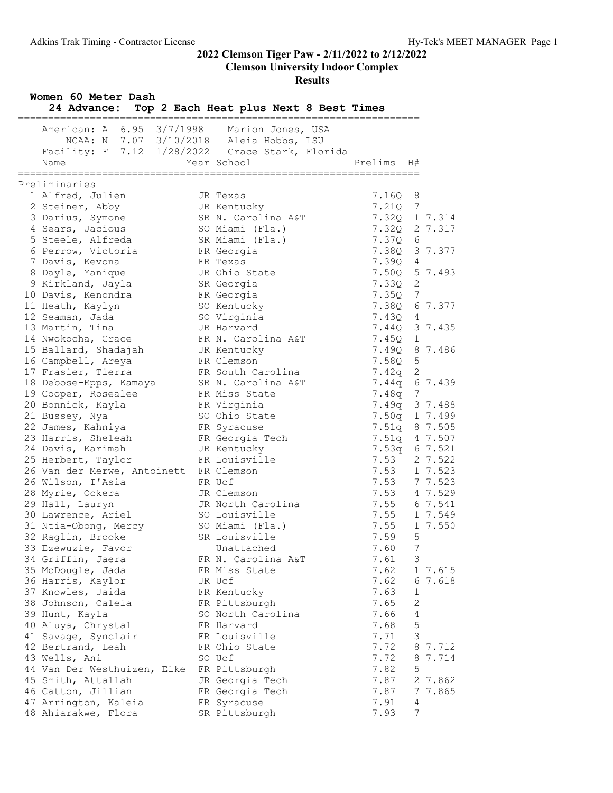Clemson University Indoor Complex

#### Results

| Women 60 Meter Dash<br>24 Advance:                                                                                      | Top 2 Each Heat plus Next 8 Best Times |              |                |       |
|-------------------------------------------------------------------------------------------------------------------------|----------------------------------------|--------------|----------------|-------|
| American: A 6.95 3/7/1998<br>NCAA: N 7.07 3/10/2018 Aleia Hobbs, LSU<br>Facility: F 7.12 1/28/2022 Grace Stark, Florida | Marion Jones, USA                      |              |                |       |
| Name<br>.===============                                                                                                | Year School                            | Prelims      | H#             |       |
| Preliminaries                                                                                                           |                                        |              |                |       |
| 1 Alfred, Julien                                                                                                        | JR Texas                               | 7.16Q        | 8              |       |
| 2 Steiner, Abby                                                                                                         | JR Kentucky                            | 7.210        | 7              |       |
| 3 Darius, Symone                                                                                                        | SR N. Carolina A&T                     | 7.32Q        | 1 7.314        |       |
| 4 Sears, Jacious                                                                                                        | SO Miami (Fla.)                        | 7.320        | 2 7.317        |       |
| 5 Steele, Alfreda                                                                                                       | SR Miami (Fla.)                        | 7.37Q        | 6              |       |
| 6 Perrow, Victoria                                                                                                      | FR Georgia                             | 7.38Q        | 3 7.377        |       |
| 7 Davis, Kevona                                                                                                         | FR Texas                               | 7.39Q        | 4              |       |
| 8 Dayle, Yanique                                                                                                        | JR Ohio State                          | 7.50Q        | 5 7.493        |       |
| 9 Kirkland, Jayla                                                                                                       | SR Georgia                             | 7.33Q        | 2              |       |
| 10 Davis, Kenondra                                                                                                      | FR Georgia                             | 7.35Q        | 7              |       |
| 11 Heath, Kaylyn                                                                                                        | SO Kentucky                            | 7.380        | 6 7.377        |       |
| 12 Seaman, Jada                                                                                                         | SO Virginia                            | 7.43Q        | 4              |       |
| 13 Martin, Tina                                                                                                         | JR Harvard                             | 7.44Q        | 3 7.435        |       |
| 14 Nwokocha, Grace                                                                                                      | FR N. Carolina A&T                     | 7.45Q        | $\mathbf 1$    |       |
| 15 Ballard, Shadajah                                                                                                    | JR Kentucky                            | 7.49Q        | 8 7.486        |       |
| 16 Campbell, Areya                                                                                                      | FR Clemson                             | 7.58Q        | 5              |       |
| 17 Frasier, Tierra                                                                                                      | FR South Carolina                      | 7.42q        | 2              |       |
| 18 Debose-Epps, Kamaya                                                                                                  | SR N. Carolina A&T                     | 7.44q        | 6 7.439        |       |
| 19 Cooper, Rosealee                                                                                                     | FR Miss State                          | 7.48q        | 7              |       |
| 20 Bonnick, Kayla                                                                                                       | FR Virginia                            | 7.49q        | 3 7.488        |       |
| 21 Bussey, Nya                                                                                                          | SO Ohio State                          | 7.50q        | 1 7.499        |       |
| 22 James, Kahniya                                                                                                       | FR Syracuse                            | 7.51q        | 8 7.505        |       |
| 23 Harris, Sheleah                                                                                                      | FR Georgia Tech                        | 7.51q        | 4 7.507        |       |
| 24 Davis, Karimah                                                                                                       | JR Kentucky                            | 7.53q        | 6 7.521        |       |
| 25 Herbert, Taylor                                                                                                      | FR Louisville                          | 7.53         | 2 7.522        |       |
| 26 Van der Merwe, Antoinett FR Clemson                                                                                  |                                        | 7.53         | 1 7.523        |       |
| 26 Wilson, I'Asia                                                                                                       | FR Ucf                                 | 7.53 7 7.523 |                |       |
| 28 Myrie, Ockera                                                                                                        | JR Clemson                             | 7.53 4 7.529 |                |       |
| 29 Hall, Lauryn                                                                                                         | JR North Carolina                      | 7.55 6 7.541 |                |       |
| 30 Lawrence, Ariel                                                                                                      | SO Louisville                          | 7.55 1 7.549 |                |       |
| 31 Ntia-Obong, Mercy                                                                                                    | SO Miami (Fla.)                        | 7.55         | 1 7.550        |       |
| 32 Raglin, Brooke                                                                                                       | SR Louisville                          | 7.59         | $5 -$          |       |
| 33 Ezewuzie, Favor                                                                                                      | Unattached                             | 7.60         | 7              |       |
| 34 Griffin, Jaera                                                                                                       | FR N. Carolina A&T                     | 7.61         | 3              |       |
| 35 McDougle, Jada                                                                                                       | FR Miss State                          | 7.62         | 1 7.615        |       |
| 36 Harris, Kaylor                                                                                                       | JR Ucf                                 | 7.62         | 6 7.618        |       |
| 37 Knowles, Jaida                                                                                                       | FR Kentucky                            | 7.63         | $\mathbf 1$    |       |
| 38 Johnson, Caleia                                                                                                      | FR Pittsburgh                          | 7.65         | 2              |       |
| 39 Hunt, Kayla                                                                                                          | SO North Carolina                      | 7.66         | $\overline{4}$ |       |
| 40 Aluya, Chrystal                                                                                                      | FR Harvard                             | 7.68         | 5              |       |
| 41 Savage, Synclair                                                                                                     | FR Louisville                          | 7.71         | 3              |       |
| 42 Bertrand, Leah                                                                                                       | FR Ohio State                          | 7.72         | 8 7.712        |       |
| 43 Wells, Ani                                                                                                           | SO Ucf                                 | 7.72         | 8              | 7.714 |
| 44 Van Der Westhuizen, Elke                                                                                             | FR Pittsburgh                          | 7.82         | $\mathsf S$    |       |
| 45 Smith, Attallah                                                                                                      | JR Georgia Tech                        | 7.87         | 2 7.862        |       |
| 46 Catton, Jillian                                                                                                      | FR Georgia Tech                        | 7.87         | 7 7.865        |       |
| 47 Arrington, Kaleia                                                                                                    | FR Syracuse                            | 7.91         | 4              |       |
| 48 Ahiarakwe, Flora                                                                                                     | SR Pittsburgh                          | 7.93         | 7              |       |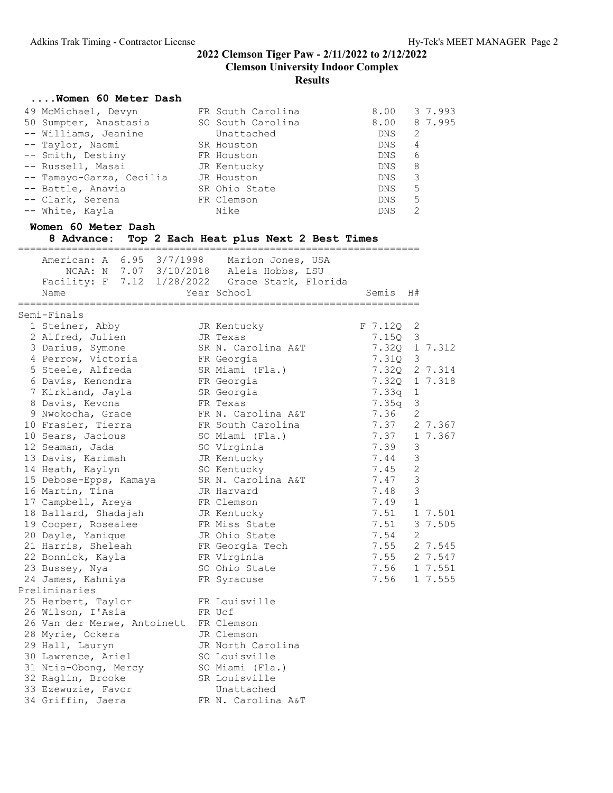#### ....Women 60 Meter Dash 49 McMichael, Devyn FR South Carolina 8.00 3 7.993 50 Sumpter, Anastasia SO South Carolina 8.00 8 7.995 -- Williams, Jeanine Unattached DNS 2 -- Taylor, Naomi SR Houston DNS 4 -- Smith, Destiny FR Houston DNS 6 -- Russell, Masai JR Kentucky DNS 8 -- Tamayo-Garza, Cecilia JR Houston DNS 3 -- Battle, Anavia SR Ohio State DNS 5 -- Clark, Serena FR Clemson DNS 5 -- White, Kayla Nike DNS 2 Women 60 Meter Dash 8 Advance: Top 2 Each Heat plus Next 2 Best Times =================================================================== American: A 6.95 3/7/1998 Marion Jones, USA NCAA: N 7.07 3/10/2018 Aleia Hobbs, LSU Facility: F 7.12 1/28/2022 Grace Stark, Florida Name Year School Semis H# =================================================================== Semi-Finals 1 Steiner, Abby JR Kentucky F 7.12Q 2 2 Alfred, Julien JR Texas 7.15Q 3 3 Darius, Symone SR N. Carolina A&T 7.32Q 1 7.312 4 Perrow, Victoria FR Georgia 7.31Q 3 5 Steele, Alfreda SR Miami (Fla.) 7.32Q 2 7.314 6 Davis, Kenondra FR Georgia 7.32Q 1 7.318 7 Kirkland, Jayla SR Georgia 7.33q 1 8 Davis, Kevona FR Texas 7.35q 3 9 Nwokocha, Grace FR N. Carolina A&T 7.36 2 10 Frasier, Tierra **FR** South Carolina **7.37** 2 7.367 10 Sears, Jacious SO Miami (Fla.) 7.37 1 7.367 12 Seaman, Jada SO Virginia 7.39 3 13 Davis, Karimah JR Kentucky 7.44 3 14 Heath, Kaylyn SO Kentucky 7.45 2 15 Debose-Epps, Kamaya SR N. Carolina A&T 7.47 3 16 Martin, Tina JR Harvard 7.48 3 17 Campbell, Areya FR Clemson 7.49 1 18 Ballard, Shadajah JR Kentucky 7.51 1 7.501 19 Cooper, Rosealee FR Miss State 7.51 3 7.505 20 Dayle, Yanique JR Ohio State 7.54 2 21 Harris, Sheleah FR Georgia Tech 7.55 2 7.545 22 Bonnick, Kayla FR Virginia 7.55 2 7.547 23 Bussey, Nya SO Ohio State 7.56 1 7.551 24 James, Kahniya FR Syracuse 7.56 1 7.555 Preliminaries 25 Herbert, Taylor FR Louisville 26 Wilson, I'Asia FR Ucf 26 Van der Merwe, Antoinett FR Clemson 28 Myrie, Ockera JR Clemson 29 Hall, Lauryn JR North Carolina 30 Lawrence, Ariel SO Louisville 31 Ntia-Obong, Mercy SO Miami (Fla.) 32 Raglin, Brooke SR Louisville 33 Ezewuzie, Favor Chattached 34 Griffin, Jaera FR N. Carolina A&T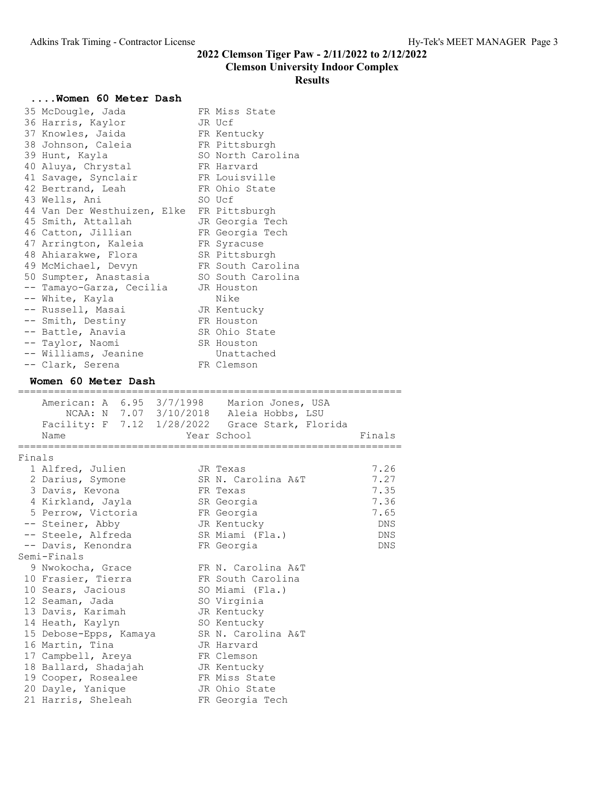#### Clemson University Indoor Complex

#### Results

#### ....Women 60 Meter Dash

| FR Miss State<br>35 McDougle, Jada<br>36 Harris, Kaylor<br>JR Ucf<br>37 Knowles, Jaida<br>FR Kentucky<br>38 Johnson, Caleia<br>FR Pittsburgh<br>SO North Carolina<br>39 Hunt, Kayla<br>40 Aluya, Chrystal<br>FR Harvard<br>41 Savage, Synclair<br>FR Louisville<br>FR Ohio State<br>42 Bertrand, Leah<br>43 Wells, Ani<br>SO Ucf<br>44 Van Der Westhuizen, Elke<br>FR Pittsburgh<br>45 Smith, Attallah<br>JR Georgia Tech<br>46 Catton, Jillian<br>FR Georgia Tech<br>47 Arrington, Kaleia<br>FR Syracuse<br>48 Ahiarakwe, Flora<br>SR Pittsburgh<br>FR South Carolina<br>49 McMichael, Devyn<br>50 Sumpter, Anastasia<br>SO South Carolina<br>-- Tamayo-Garza, Cecilia<br>JR Houston<br>-- White, Kayla<br>Nike<br>-- Russell, Masai<br>JR Kentucky |            |
|------------------------------------------------------------------------------------------------------------------------------------------------------------------------------------------------------------------------------------------------------------------------------------------------------------------------------------------------------------------------------------------------------------------------------------------------------------------------------------------------------------------------------------------------------------------------------------------------------------------------------------------------------------------------------------------------------------------------------------------------------|------------|
| -- Smith, Destiny<br>FR Houston                                                                                                                                                                                                                                                                                                                                                                                                                                                                                                                                                                                                                                                                                                                      |            |
| -- Battle, Anavia<br>SR Ohio State                                                                                                                                                                                                                                                                                                                                                                                                                                                                                                                                                                                                                                                                                                                   |            |
| -- Taylor, Naomi<br>SR Houston                                                                                                                                                                                                                                                                                                                                                                                                                                                                                                                                                                                                                                                                                                                       |            |
| -- Williams, Jeanine<br>Unattached                                                                                                                                                                                                                                                                                                                                                                                                                                                                                                                                                                                                                                                                                                                   |            |
| FR Clemson<br>-- Clark, Serena                                                                                                                                                                                                                                                                                                                                                                                                                                                                                                                                                                                                                                                                                                                       |            |
| Women 60 Meter Dash                                                                                                                                                                                                                                                                                                                                                                                                                                                                                                                                                                                                                                                                                                                                  |            |
|                                                                                                                                                                                                                                                                                                                                                                                                                                                                                                                                                                                                                                                                                                                                                      |            |
|                                                                                                                                                                                                                                                                                                                                                                                                                                                                                                                                                                                                                                                                                                                                                      |            |
| American: A 6.95 3/7/1998 Marion Jones, USA                                                                                                                                                                                                                                                                                                                                                                                                                                                                                                                                                                                                                                                                                                          |            |
| NCAA: N 7.07 3/10/2018 Aleia Hobbs, LSU                                                                                                                                                                                                                                                                                                                                                                                                                                                                                                                                                                                                                                                                                                              |            |
| Facility: F 7.12 1/28/2022 Grace Stark, Florida<br>Year School<br>Name                                                                                                                                                                                                                                                                                                                                                                                                                                                                                                                                                                                                                                                                               | Finals     |
|                                                                                                                                                                                                                                                                                                                                                                                                                                                                                                                                                                                                                                                                                                                                                      |            |
| Finals                                                                                                                                                                                                                                                                                                                                                                                                                                                                                                                                                                                                                                                                                                                                               |            |
| 1 Alfred, Julien<br>JR Texas                                                                                                                                                                                                                                                                                                                                                                                                                                                                                                                                                                                                                                                                                                                         | 7.26       |
| 2 Darius, Symone<br>SR N. Carolina A&T                                                                                                                                                                                                                                                                                                                                                                                                                                                                                                                                                                                                                                                                                                               | 7.27       |
| 3 Davis, Kevona<br>FR Texas                                                                                                                                                                                                                                                                                                                                                                                                                                                                                                                                                                                                                                                                                                                          | 7.35       |
| 4 Kirkland, Jayla<br>SR Georgia                                                                                                                                                                                                                                                                                                                                                                                                                                                                                                                                                                                                                                                                                                                      | 7.36       |
| 5 Perrow, Victoria<br>FR Georgia                                                                                                                                                                                                                                                                                                                                                                                                                                                                                                                                                                                                                                                                                                                     | 7.65       |
| -- Steiner, Abby<br>JR Kentucky                                                                                                                                                                                                                                                                                                                                                                                                                                                                                                                                                                                                                                                                                                                      | DNS        |
| -- Steele, Alfreda<br>SR Miami (Fla.)                                                                                                                                                                                                                                                                                                                                                                                                                                                                                                                                                                                                                                                                                                                | DNS<br>DNS |
| -- Davis, Kenondra<br>FR Georgia<br>Semi-Finals                                                                                                                                                                                                                                                                                                                                                                                                                                                                                                                                                                                                                                                                                                      |            |
| FR N. Carolina A&T<br>9 Nwokocha, Grace                                                                                                                                                                                                                                                                                                                                                                                                                                                                                                                                                                                                                                                                                                              |            |
| FR South Carolina<br>10 Frasier, Tierra                                                                                                                                                                                                                                                                                                                                                                                                                                                                                                                                                                                                                                                                                                              |            |
| 10 Sears, Jacious<br>SO Miami (Fla.)                                                                                                                                                                                                                                                                                                                                                                                                                                                                                                                                                                                                                                                                                                                 |            |
| 12 Seaman, Jada<br>SO Virginia                                                                                                                                                                                                                                                                                                                                                                                                                                                                                                                                                                                                                                                                                                                       |            |
| 13 Davis, Karimah<br>JR Kentucky                                                                                                                                                                                                                                                                                                                                                                                                                                                                                                                                                                                                                                                                                                                     |            |
| SO Kentucky<br>14 Heath, Kaylyn                                                                                                                                                                                                                                                                                                                                                                                                                                                                                                                                                                                                                                                                                                                      |            |
| SR N. Carolina A&T<br>15 Debose-Epps, Kamaya                                                                                                                                                                                                                                                                                                                                                                                                                                                                                                                                                                                                                                                                                                         |            |
| 16 Martin, Tina<br>JR Harvard                                                                                                                                                                                                                                                                                                                                                                                                                                                                                                                                                                                                                                                                                                                        |            |
| 17 Campbell, Areya<br>FR Clemson                                                                                                                                                                                                                                                                                                                                                                                                                                                                                                                                                                                                                                                                                                                     |            |
| 18 Ballard, Shadajah<br>JR Kentucky                                                                                                                                                                                                                                                                                                                                                                                                                                                                                                                                                                                                                                                                                                                  |            |
| 19 Cooper, Rosealee<br>FR Miss State<br>20 Dayle, Yanique<br>JR Ohio State                                                                                                                                                                                                                                                                                                                                                                                                                                                                                                                                                                                                                                                                           |            |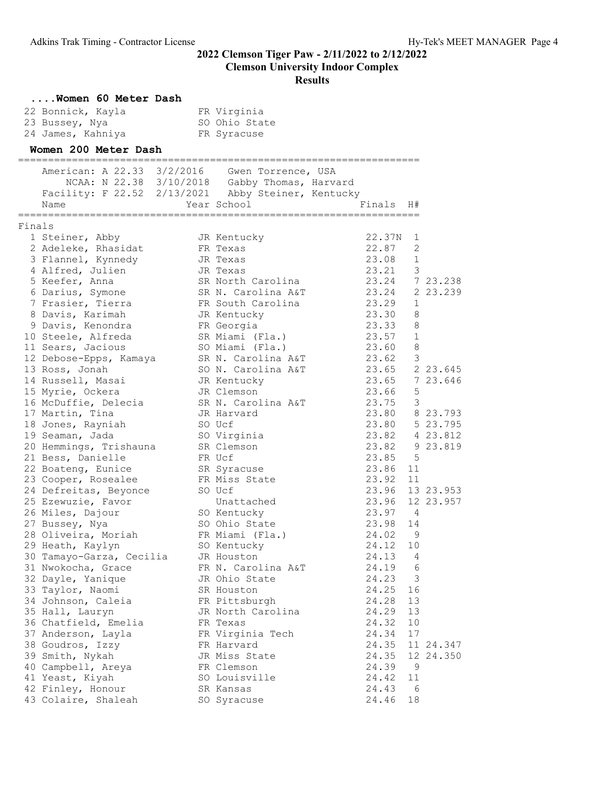|        | Women 60 Meter Dash                      |                                                    |                |                         |                |
|--------|------------------------------------------|----------------------------------------------------|----------------|-------------------------|----------------|
|        | 22 Bonnick, Kayla                        | FR Virginia                                        |                |                         |                |
|        | 23 Bussey, Nya                           | SO Ohio State                                      |                |                         |                |
|        | 24 James, Kahniya                        | FR Syracuse                                        |                |                         |                |
|        | Women 200 Meter Dash                     |                                                    |                |                         |                |
|        | American: A 22.33 3/2/2016               | Gwen Torrence, USA                                 |                |                         |                |
|        |                                          | NCAA: N 22.38 3/10/2018 Gabby Thomas, Harvard      |                |                         |                |
|        |                                          | Facility: F 22.52 2/13/2021 Abby Steiner, Kentucky |                |                         |                |
|        | Name                                     | Year School                                        | Finals H#      |                         |                |
| Finals |                                          |                                                    |                |                         |                |
|        | 1 Steiner, Abby                          | JR Kentucky                                        | 22.37N         | 1                       |                |
|        | 2 Adeleke, Rhasidat                      | FR Texas                                           | 22.87          | 2                       |                |
|        | 3 Flannel, Kynnedy                       | JR Texas                                           | 23.08          | 1                       |                |
|        | 4 Alfred, Julien                         | JR Texas                                           | 23.21          | $\mathcal{E}$           |                |
|        | 5 Keefer, Anna                           | SR North Carolina                                  | 23.24 7 23.238 |                         |                |
|        | 6 Darius, Symone                         | SR N. Carolina A&T                                 | 23.24          |                         | 2 23.239       |
|        | 7 Frasier, Tierra                        | FR South Carolina                                  | 23.29          | 1                       |                |
|        | 8 Davis, Karimah                         | JR Kentucky                                        | 23.30<br>23.33 | 8<br>8                  |                |
|        | 9 Davis, Kenondra                        | FR Georgia<br>SR Miami (Fla.)                      | 23.57          | 1                       |                |
|        | 10 Steele, Alfreda<br>11 Sears, Jacious  | SO Miami (Fla.)                                    | 23.60          | 8                       |                |
|        | 12 Debose-Epps, Kamaya                   | SR N. Carolina A&T                                 | 23.62 3        |                         |                |
|        | 13 Ross, Jonah                           | SO N. Carolina A&T                                 | 23.65 2 23.645 |                         |                |
|        | 14 Russell, Masai                        | JR Kentucky                                        | 23.65 7 23.646 |                         |                |
|        | 15 Myrie, Ockera                         | JR Clemson                                         | 23.66          | 5                       |                |
|        | 16 McDuffie, Delecia                     | SR N. Carolina A&T                                 | 23.75          | $\overline{\mathbf{3}}$ |                |
|        | 17 Martin, Tina                          | JR Harvard                                         | 23.80 8 23.793 |                         |                |
|        | 18 Jones, Rayniah                        | SO Ucf                                             |                |                         | 23.80 5 23.795 |
|        | 19 Seaman, Jada                          | SO Virginia                                        |                |                         | 23.82 4 23.812 |
|        | 20 Hemmings, Trishauna                   | SR Clemson                                         |                |                         | 23.82 9 23.819 |
|        | 21 Bess, Danielle                        | FR Ucf                                             | 23.85          | 5                       |                |
|        | 22 Boateng, Eunice                       | SR Syracuse                                        | 23.86          | 11                      |                |
|        | 23 Cooper, Rosealee                      | FR Miss State                                      | 23.92          | 11                      |                |
|        | 24 Defreitas, Beyonce                    | SO Ucf                                             | 23.96          |                         | 13 23.953      |
|        | 25 Ezewuzie, Favor                       | Unattached                                         | 23.96          |                         | 12 23.957      |
|        | 26 Miles, Dajour                         | SO Kentucky                                        | 23.97          | 4                       |                |
|        | 27 Bussey, Nya                           | SO Ohio State                                      | 23.98          | 14                      |                |
|        | 28 Oliveira, Moriah                      | FR Miami (Fla.)                                    | 24.02          | 9                       |                |
|        | 29 Heath, Kaylyn                         | SO Kentucky                                        | 24.12          | 10                      |                |
|        | 30 Tamayo-Garza, Cecilia                 | JR Houston                                         | 24.13          | 4                       |                |
|        | 31 Nwokocha, Grace                       | FR N. Carolina A&T                                 | 24.19          | 6                       |                |
|        | 32 Dayle, Yanique                        | JR Ohio State                                      | 24.23          | 3                       |                |
|        | 33 Taylor, Naomi                         | SR Houston                                         | 24.25          | 16                      |                |
|        | 34 Johnson, Caleia                       | FR Pittsburgh                                      | 24.28          | 13                      |                |
|        | 35 Hall, Lauryn                          | JR North Carolina                                  | 24.29          | 13                      |                |
|        | 36 Chatfield, Emelia                     | FR Texas                                           | 24.32          | 10                      |                |
|        | 37 Anderson, Layla                       | FR Virginia Tech                                   | 24.34          | 17                      |                |
|        | 38 Goudros, Izzy                         | FR Harvard                                         | 24.35          |                         | 11 24.347      |
|        | 39 Smith, Nykah                          | JR Miss State                                      | 24.35          |                         | 12 24.350      |
|        | 40 Campbell, Areya                       | FR Clemson                                         | 24.39          | 9                       |                |
|        | 41 Yeast, Kiyah                          | SO Louisville                                      | 24.42          | 11                      |                |
|        | 42 Finley, Honour<br>43 Colaire, Shaleah | SR Kansas                                          | 24.43          | 6<br>18                 |                |
|        |                                          | SO Syracuse                                        | 24.46          |                         |                |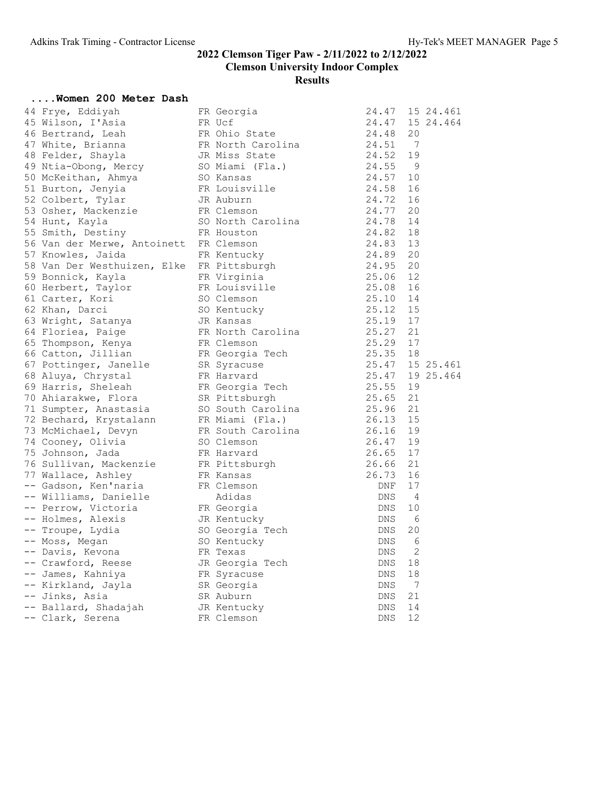#### ....Women 200 Meter Dash

| 44 Frye, Eddiyah            | FR Georgia        | 15 24.461<br>24.47      |
|-----------------------------|-------------------|-------------------------|
| 45 Wilson, I'Asia           | FR Ucf            | 24.47<br>15 24.464      |
| 46 Bertrand, Leah           | FR Ohio State     | 24.48<br>20             |
| 47 White, Brianna           | FR North Carolina | 24.51<br>$\overline{7}$ |
| 48 Felder, Shayla           | JR Miss State     | 24.52<br>19             |
| 49 Ntia-Obong, Mercy        | SO Miami (Fla.)   | 24.55<br>- 9            |
| 50 McKeithan, Ahmya         | SO Kansas         | 24.57<br>10             |
| 51 Burton, Jenyia           | FR Louisville     | 24.58<br>16             |
| 52 Colbert, Tylar           | JR Auburn         | 24.72<br>16             |
| 53 Osher, Mackenzie         | FR Clemson        | 24.77<br>20             |
| 54 Hunt, Kayla              | SO North Carolina | 24.78<br>14             |
| 55 Smith, Destiny           | FR Houston        | 24.82<br>18             |
| 56 Van der Merwe, Antoinett | FR Clemson        | 24.83<br>13             |
| 57 Knowles, Jaida           | FR Kentucky       | 24.89<br>20             |
| 58 Van Der Westhuizen, Elke | FR Pittsburgh     | 24.95<br>20             |
| 59 Bonnick, Kayla           | FR Virginia       | 25.06<br>12             |
| 60 Herbert, Taylor          | FR Louisville     | 25.08<br>16             |
| 61 Carter, Kori             | SO Clemson        | 25.10<br>14             |
| 62 Khan, Darci              | SO Kentucky       | 25.12<br>15             |
| 63 Wright, Satanya          | JR Kansas         | 25.19<br>17             |
| 64 Floriea, Paige           | FR North Carolina | 25.27<br>21             |
| 65 Thompson, Kenya          | FR Clemson        | 25.29 17                |
| 66 Catton, Jillian          | FR Georgia Tech   | 25.35<br>18             |
| 67 Pottinger, Janelle       | SR Syracuse       | 25.47<br>15 25.461      |
| 68 Aluya, Chrystal          | FR Harvard        | 25.47 19 25.464         |
| 69 Harris, Sheleah          | FR Georgia Tech   | 25.55<br>19             |
| 70 Ahiarakwe, Flora         | SR Pittsburgh     | 25.65<br>21             |
| 71 Sumpter, Anastasia       | SO South Carolina | 25.96<br>21             |
| 72 Bechard, Krystalann      | FR Miami (Fla.)   | 26.13<br>15             |
| 73 McMichael, Devyn         | FR South Carolina | 26.16 19                |
| 74 Cooney, Olivia           | SO Clemson        | 26.47<br>19             |
| 75 Johnson, Jada            | FR Harvard        | 26.65 17                |
| 76 Sullivan, Mackenzie      | FR Pittsburgh     | 26.66<br>21             |
| 77 Wallace, Ashley          | FR Kansas         | 26.73<br>16             |
| -- Gadson, Ken'naria        | FR Clemson        | 17<br>DNF               |
| -- Williams, Danielle       | Adidas            | 4<br><b>DNS</b>         |
| -- Perrow, Victoria         | FR Georgia        | 10<br>DNS               |
| -- Holmes, Alexis           | JR Kentucky       | DNS<br>6                |
| -- Troupe, Lydia            | SO Georgia Tech   | DNS<br>20               |
| -- Moss, Megan              | SO Kentucky       | DNS<br>6                |
| -- Davis, Kevona            | FR Texas          | 2<br><b>DNS</b>         |
| -- Crawford, Reese          | JR Georgia Tech   | DNS<br>18               |
| -- James, Kahniya           | FR Syracuse       | 18<br><b>DNS</b>        |
| -- Kirkland, Jayla          | SR Georgia        | $\overline{7}$<br>DNS   |
| -- Jinks, Asia              | SR Auburn         | 21<br>DNS               |
| -- Ballard, Shadajah        | JR Kentucky       | 14<br><b>DNS</b>        |
| -- Clark, Serena            | FR Clemson        | 12<br><b>DNS</b>        |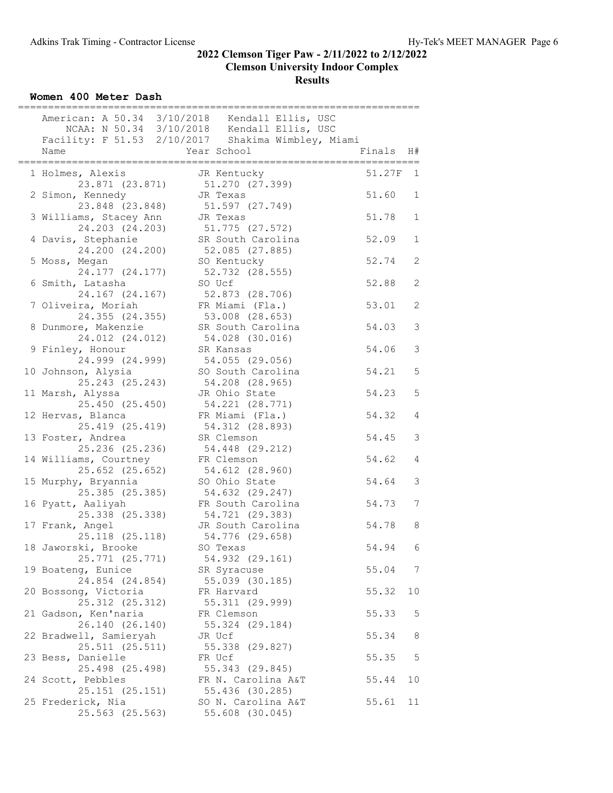Women 400 Meter Dash

|                                           | American: A 50.34 3/10/2018 Kendall Ellis, USC                    |        |                |
|-------------------------------------------|-------------------------------------------------------------------|--------|----------------|
|                                           | NCAA: N 50.34 3/10/2018 Kendall Ellis, USC                        |        |                |
| Name                                      | Facility: F 51.53 2/10/2017 Shakima Wimbley, Miami<br>Year School | Finals | H#             |
|                                           |                                                                   |        |                |
| 1 Holmes, Alexis<br>23.871 (23.871)       | JR Kentucky<br>51.270 (27.399)                                    | 51.27F | 1              |
| 2 Simon, Kennedy<br>23.848 (23.848)       | JR Texas<br>51.597 (27.749)                                       | 51.60  | $\mathbf 1$    |
| 3 Williams, Stacey Ann<br>24.203 (24.203) | JR Texas<br>51.775 (27.572)                                       | 51.78  | $\mathbf{1}$   |
| 4 Davis, Stephanie<br>24.200 (24.200)     | SR South Carolina<br>52.085 (27.885)                              | 52.09  | $\mathbf 1$    |
| 5 Moss, Megan<br>24.177 (24.177)          | SO Kentucky<br>52.732 (28.555)                                    | 52.74  | 2              |
| 6 Smith, Latasha<br>24.167 (24.167)       | SO Ucf<br>52.873 (28.706)                                         | 52.88  | $\mathbf{2}$   |
| 7 Oliveira, Moriah<br>24.355 (24.355)     | FR Miami (Fla.)<br>53.008 (28.653)                                | 53.01  | $\mathbf{2}$   |
| 8 Dunmore, Makenzie<br>24.012 (24.012)    | SR South Carolina<br>54.028 (30.016)                              | 54.03  | $\mathfrak{Z}$ |
| 9 Finley, Honour<br>24.999 (24.999)       | SR Kansas<br>54.055 (29.056)                                      | 54.06  | $\mathfrak{Z}$ |
| 10 Johnson, Alysia<br>25.243 (25.243)     | SO South Carolina<br>54.208 (28.965)                              | 54.21  | 5              |
| 11 Marsh, Alyssa<br>25.450 (25.450)       | JR Ohio State<br>54.221 (28.771)                                  | 54.23  | 5              |
| 12 Hervas, Blanca<br>25.419 (25.419)      | FR Miami (Fla.)<br>54.312 (28.893)                                | 54.32  | $\overline{4}$ |
| 13 Foster, Andrea<br>25.236 (25.236)      | SR Clemson<br>54.448 (29.212)                                     | 54.45  | 3              |
| 14 Williams, Courtney<br>25.652 (25.652)  | FR Clemson<br>54.612 (28.960)                                     | 54.62  | 4              |
| 15 Murphy, Bryannia<br>25.385 (25.385)    | SO Ohio State<br>54.632 (29.247)                                  | 54.64  | $\mathfrak{Z}$ |
| 16 Pyatt, Aaliyah<br>25.338 (25.338)      | FR South Carolina<br>54.721 (29.383)                              | 54.73  | 7              |
| 17 Frank, Angel<br>25.118 (25.118)        | JR South Carolina<br>54.776 (29.658)                              | 54.78  | 8              |
| 18 Jaworski, Brooke<br>25.771 (25.771)    | SO Texas<br>54.932 (29.161)                                       | 54.94  | 6              |
| 19 Boateng, Eunice<br>24.854 (24.854)     | SR Syracuse<br>55.039 (30.185)                                    | 55.04  | 7              |
| 20 Bossong, Victoria<br>25.312 (25.312)   | FR Harvard<br>55.311 (29.999)                                     | 55.32  | 10             |
| 21 Gadson, Ken'naria<br>26.140 (26.140)   | FR Clemson<br>55.324 (29.184)                                     | 55.33  | 5              |
| 22 Bradwell, Samieryah<br>25.511 (25.511) | JR Ucf<br>55.338 (29.827)                                         | 55.34  | 8              |
| 23 Bess, Danielle<br>25.498 (25.498)      | FR Ucf<br>55.343 (29.845)                                         | 55.35  | 5              |
| 24 Scott, Pebbles<br>25.151 (25.151)      | FR N. Carolina A&T<br>55.436 (30.285)                             | 55.44  | 10             |
| 25 Frederick, Nia<br>25.563 (25.563)      | SO N. Carolina A&T<br>55.608 (30.045)                             | 55.61  | 11             |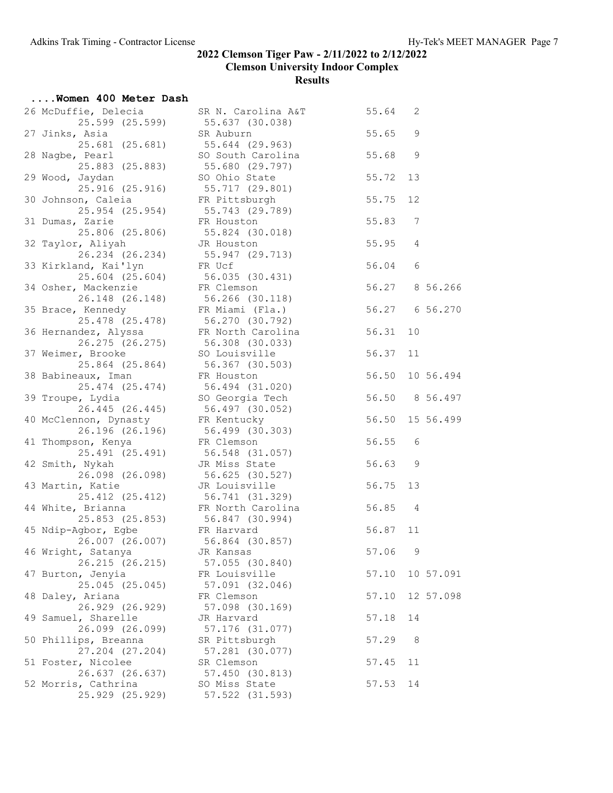| Women 400 Meter Dash                                 |                                               |         |                |                 |
|------------------------------------------------------|-----------------------------------------------|---------|----------------|-----------------|
| 26 McDuffie, Delecia<br>25.599 (25.599)              | SR N. Carolina A&T 55.64 2<br>55.637 (30.038) |         |                |                 |
| 27 Jinks, Asia<br>25.681 (25.681)                    | SR Auburn<br>55.644 (29.963)                  | 55.65   | 9              |                 |
| 28 Nagbe, Pearl<br>25.883 (25.883)                   | SO South Carolina<br>55.680 (29.797)          | 55.68   | 9              |                 |
| 29 Wood, Jaydan<br>25.916(25.916)                    | SO Ohio State<br>55.717 (29.801)              | 55.72   | 13             |                 |
| 30 Johnson, Caleia<br>25.954 (25.954)                | FR Pittsburgh<br>55.743 (29.789)              | 55.75   | 12             |                 |
| 31 Dumas, Zarie<br>25.806 (25.806)                   | FR Houston<br>55.824 (30.018)                 | 55.83   | 7              |                 |
| 32 Taylor, Aliyah<br>26.234 (26.234) 55.947 (29.713) | JR Houston                                    | 55.95   | $\overline{4}$ |                 |
| 33 Kirkland, Kai'lyn<br>$25.604$ $(25.604)$          | FR Ucf<br>56.035 (30.431)                     | 56.04   | 6              |                 |
| 34 Osher, Mackenzie<br>26.148 (26.148)               | FR Clemson<br>56.266 (30.118)                 |         |                | 56.27 8 56.266  |
| 35 Brace, Kennedy<br>25.478 (25.478) 56.270 (30.792) | FR Miami (Fla.)                               |         |                | 56.27 6 56.270  |
| 36 Hernandez, Alyssa<br>26.275 (26.275)              | FR North Carolina<br>56.308 (30.033)          | 56.31   | 10             |                 |
| 37 Weimer, Brooke<br>25.864 (25.864)                 | SO Louisville<br>56.367 (30.503)              | 56.37   | 11             |                 |
| 38 Babineaux, Iman<br>25.474 (25.474)                | FR Houston<br>56.494 (31.020)                 | 56.50   |                | 10 56.494       |
| 39 Troupe, Lydia<br>26.445 (26.445)                  | SO Georgia Tech<br>56.497 (30.052)            |         |                | 56.50 8 56.497  |
| 40 McClennon, Dynasty<br>26.196 (26.196)             | FR Kentucky<br>56.499 (30.303)                |         |                | 56.50 15 56.499 |
| 41 Thompson, Kenya<br>25.491 (25.491)                | FR Clemson<br>56.548 (31.057)                 | 56.55   | 6              |                 |
| 42 Smith, Nykah<br>26.098 (26.098)                   | JR Miss State<br>56.625 (30.527)              | 56.63   | 9              |                 |
| 43 Martin, Katie<br>25.412 (25.412) 56.741 (31.329)  | JR Louisville                                 | 56.75   | 13             |                 |
| 44 White, Brianna<br>25.853 (25.853) 56.847 (30.994) | FR North Carolina                             | 56.85 4 |                |                 |
| 45 Ndip-Agbor, Egbe<br>26.007 (26.007)               | FR Harvard<br>56.864 (30.857)                 | 56.87   | 11             |                 |
| 46 Wright, Satanya<br>26.215 (26.215)                | JR Kansas<br>57.055 (30.840)                  | 57.06   | 9              |                 |
| 47 Burton, Jenyia<br>25.045 (25.045)                 | FR Louisville<br>57.091 (32.046)              | 57.10   |                | 10 57.091       |
| 48 Daley, Ariana<br>26.929 (26.929)                  | FR Clemson<br>57.098 (30.169)                 | 57.10   |                | 12 57.098       |
| 49 Samuel, Sharelle<br>26.099 (26.099)               | JR Harvard<br>57.176 (31.077)                 | 57.18   | 14             |                 |
| 50 Phillips, Breanna<br>27.204 (27.204)              | SR Pittsburgh<br>57.281 (30.077)              | 57.29   | 8              |                 |
| 51 Foster, Nicolee<br>26.637 (26.637)                | SR Clemson<br>57.450 (30.813)                 | 57.45   | 11             |                 |
| 52 Morris, Cathrina<br>25.929 (25.929)               | SO Miss State<br>57.522 (31.593)              | 57.53   | 14             |                 |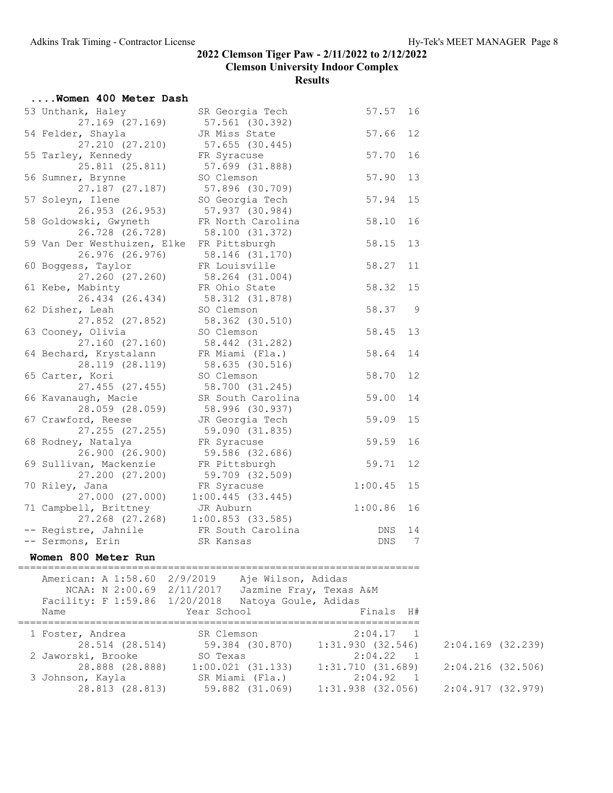| Women 400 Meter Dash                                         |                                                   |         |      |
|--------------------------------------------------------------|---------------------------------------------------|---------|------|
| 53 Unthank, Haley<br>$27.169$ $(27.169)$                     | SR Georgia Tech<br>57.561 (30.392)                | 57.57   | 16   |
| 54 Felder, Shayla<br>27.210 (27.210)                         | JR Miss State<br>57.655 (30.445)                  | 57.66   | 12   |
| 55 Tarley, Kennedy                                           | FR Syracuse                                       | 57.70   | 16   |
| 25.811 (25.811)<br>56 Sumner, Brynne                         | 57.699 (31.888)<br>SO Clemson                     | 57.90   | 13   |
| 27.187 (27.187)<br>57 Soleyn, Ilene                          | 57.896 (30.709)<br>SO Georgia Tech                | 57.94   | 15   |
| 26.953 (26.953)<br>58 Goldowski, Gwyneth                     | 57.937 (30.984)<br>FR North Carolina              | 58.10   | 16   |
| 26.728 (26.728)<br>59 Van Der Westhuizen, Elke FR Pittsburgh | 58.100 (31.372)                                   | 58.15   | 13   |
| 26.976 (26.976)<br>60 Boggess, Taylor                        | 58.146 (31.170)<br>FR Louisville                  | 58.27   | 11   |
| 27.260 (27.260)<br>61 Kebe, Mabinty                          | 58.264 (31.004)<br>FR Ohio State                  | 58.32   | 15   |
| 26.434 (26.434)<br>62 Disher, Leah                           | 58.312 (31.878)<br>SO Clemson                     | 58.37   | 9    |
| 27.852 (27.852)<br>63 Cooney, Olivia                         | 58.362 (30.510)<br>SO Clemson                     | 58.45   | 13   |
| $27.160$ $(27.160)$<br>64 Bechard, Krystalann                | 58.442 (31.282)<br>FR Miami (Fla.)                | 58.64   | 14   |
| 28.119 (28.119)<br>65 Carter, Kori                           | 58.635 (30.516)<br>SO Clemson                     | 58.70   | 12   |
| 27.455 (27.455)<br>66 Kavanaugh, Macie                       | 58.700 (31.245)<br>SR South Carolina              | 59.00   | 14   |
| 28.059 (28.059)<br>67 Crawford, Reese                        | 58.996 (30.937)<br>JR Georgia Tech                | 59.09   | 15   |
| 27.255 (27.255)<br>68 Rodney, Natalya                        | 59.090 (31.835)<br>FR Syracuse                    | 59.59   | 16   |
| 26.900 (26.900)<br>69 Sullivan, Mackenzie                    | 59.586 (32.686)<br>FR Pittsburgh                  | 59.71   | 12   |
| 27.200 (27.200)<br>70 Riley, Jana                            | 59.709 (32.509)<br>FR Syracuse                    | 1:00.45 | 15   |
| 27.000 (27.000)<br>71 Campbell, Brittney                     | 1:00.445(33.445)<br>JR Auburn                     | 1:00.86 | 16   |
| $27.268$ (27.268) 1:00.853 (33.585)<br>-- Registre, Jahnile  | FR South Carolina                                 | DNS     | 14   |
|                                                              |                                                   | DNS 7   |      |
| Women 800 Meter Run                                          |                                                   |         |      |
| American: A 1:58.60 2/9/2019 Aje Wilson, Adidas              | NCAA: N 2:00.69 2/11/2017 Jazmine Fray, Texas A&M |         |      |
| Facility: F 1:59.86 1/20/2018<br>Name                        | Natoya Goule, Adidas<br>Year School               | Finals  | - H# |
| 1 Foster, Andrea                                             | SR Clemson                                        | 2:04.17 | 1    |

3 Johnson, Kayla SR Miami (Fla.) 2:04.92 1

| 28.514 (28.514)    | 59.384 (30.870) | 1:31.930 (32.546) | 2:04.169 (32.239) |
|--------------------|-----------------|-------------------|-------------------|
| 2 Jaworski, Brooke | SO Texas        | 2:04.22 1         |                   |

# 28.888 (28.888) 1:00.021 (31.133) 1:31.710 (31.689) 2:04.216 (32.506)

28.813 (28.813) 59.882 (31.069) 1:31.938 (32.056) 2:04.917 (32.979)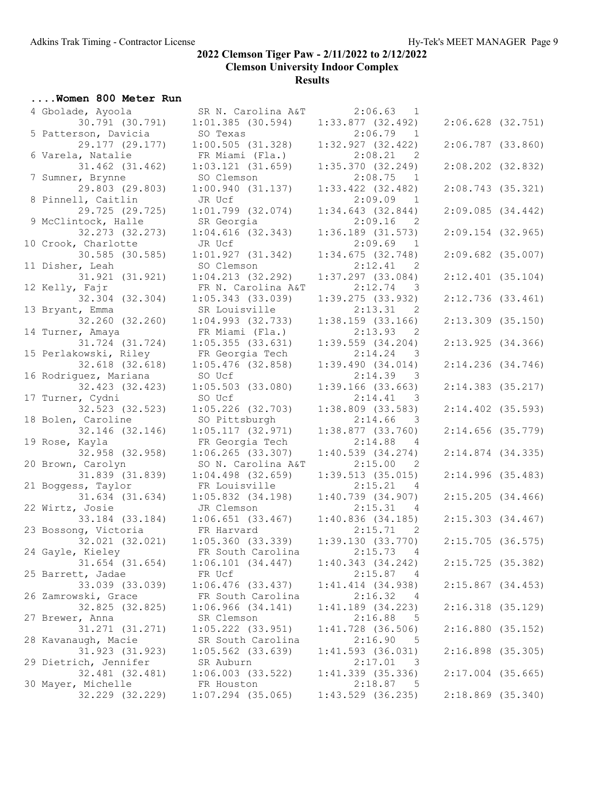#### ....Women 800 Meter Run

| 4 Gbolade, Ayoola                       | SR N. Carolina A&T                       | $2:06.63$ 1                                                |                       |
|-----------------------------------------|------------------------------------------|------------------------------------------------------------|-----------------------|
| 30.791 (30.791)                         | $1:01.385$ (30.594)                      | $1:33.877$ (32.492)                                        | $2:06.628$ (32.751)   |
| 5 Patterson, Davicia                    | SO Texas                                 | 2:06.79<br>$\overline{1}$                                  |                       |
| 29.177 (29.177)                         | 1:00.505(31.328)                         | 1:32.927(32.422)                                           | $2:06.787$ (33.860)   |
| 6 Varela, Natalie                       | FR Miami (Fla.)                          | 2:08.21 2                                                  |                       |
| $31.462$ $(31.462)$<br>7 Sumner, Brynne | $1:03.121$ $(31.659)$<br>SO Clemson      | 1:35.370(32.249)<br>2:08.75<br>$\overline{1}$              | $2:08.202$ $(32.832)$ |
| 29.803 (29.803)                         | 1:00.940(31.137)                         | $1:33.422$ (32.482)                                        | 2:08.743(35.321)      |
| 8 Pinnell, Caitlin                      | JR Ucf                                   | 2:09.09<br>$\overline{1}$                                  |                       |
| 29.725 (29.725)                         | $1:01.799$ (32.074)                      | 1:34.643(32.844)                                           | 2:09.085(34.442)      |
| 9 McClintock, Halle                     | SR Georgia                               | $2:09.16$ 2                                                |                       |
| 32.273 (32.273)                         | $1:04.616$ (32.343)                      | $1:36.189$ $(31.573)$                                      | $2:09.154$ (32.965)   |
| 10 Crook, Charlotte                     | JR Ucf                                   | 2:09.69<br>$\overline{1}$                                  |                       |
| 30.585 (30.585)                         | 1:01.927(31.342)                         | 1:34.675(32.748)                                           | $2:09.682$ (35.007)   |
| 11 Disher, Leah                         | SO Clemson<br>1:04.213(32.292)           | 2:12.41<br>$\overline{\phantom{0}}^2$                      | $2:12.401$ (35.104)   |
| 31.921 (31.921)<br>12 Kelly, Fajr       | FR N. Carolina A&T                       | $1:37.297$ (33.084)<br>2:12.74<br>$\overline{\phantom{a}}$ |                       |
| 32.304 (32.304)                         | $1:05.343$ (33.039)                      | 1:39.275(33.932)                                           | 2:12.736(33.461)      |
| 13 Bryant, Emma                         | SR Louisville                            | 2:13.31<br>2                                               |                       |
| 32.260 (32.260)                         | $1:04.993$ (32.733)                      | $1:38.159$ (33.166)                                        | $2:13.309$ $(35.150)$ |
| 14 Turner, Amaya                        | FR Miami (Fla.)                          | 2:13.93<br>$\overline{2}$                                  |                       |
| 31.724 (31.724)                         | 1:05.355(33.631)                         | $1:39.559$ $(34.204)$                                      | 2:13.925(34.366)      |
| 15 Perlakowski, Riley                   | FR Georgia Tech                          | $2:14.24$ 3                                                |                       |
| $32.618$ $(32.618)$                     | $1:05.476$ (32.858)                      | 1:39.490(34.014)                                           | $2:14.236$ (34.746)   |
| 16 Rodriguez, Mariana                   | SO Ucf                                   | 2:14.39<br>$\overline{\phantom{a}}$                        |                       |
| 32.423 (32.423)                         | $1:05.503$ (33.080)                      | 1:39.166 (33.663)                                          | $2:14.383$ (35.217)   |
| 17 Turner, Cydni<br>32.523 (32.523)     | SO Ucf<br>$1:05.226$ (32.703)            | 2:14.41<br>- 3<br>$1:38.809$ $(33.583)$                    | $2:14.402$ (35.593)   |
| 18 Bolen, Caroline                      | SO Pittsburgh                            | 2:14.66<br>$\overline{\phantom{a}}$                        |                       |
| 32.146 (32.146)                         | 1:05.117(32.971)                         | 1:38.877(33.760)                                           | $2:14.656$ (35.779)   |
| 19 Rose, Kayla                          | FR Georgia Tech                          | 2:14.88<br>4                                               |                       |
| 32.958 (32.958)                         | $1:06.265$ (33.307)                      | 1:40.539(34.274)                                           | 2:14.874(34.335)      |
| 20 Brown, Carolyn                       | SO N. Carolina A&T                       | 2:15.00<br>-2                                              |                       |
| 31.839 (31.839)                         | $1:04.498$ (32.659)                      | $1:39.513$ (35.015)                                        | 2:14.996(35.483)      |
| 21 Boggess, Taylor                      | FR Louisville                            | 2:15.21<br>4                                               |                       |
| 31.634 (31.634)                         | $1:05.832$ $(34.198)$                    | 1:40.739(34.907)                                           | 2:15.205(34.466)      |
| 22 Wirtz, Josie<br>33.184 (33.184)      | JR Clemson                               | 2:15.31<br>4<br>1:40.836(34.185)                           |                       |
| 23 Bossong, Victoria                    | $1:06.651$ (33.467)<br>FR Harvard        | 2:15.71<br>$\overline{2}$                                  | 2:15.303(34.467)      |
| 32.021 (32.021)                         | 1:05.360(33.339)                         | 1:39.130(33.770)                                           | 2:15.705(36.575)      |
| 24 Gayle, Kieley                        | FR South Carolina 2:15.73 4              |                                                            |                       |
| 31.654 (31.654)                         | 1:06.101(34.447)                         | 1:40.343(34.242)                                           | 2:15.725(35.382)      |
| 25 Barrett, Jadae                       | FR Ucf                                   | 2:15.87<br>$\overline{4}$                                  |                       |
| 33.039 (33.039)                         | $1:06.476$ (33.437)                      | $1:41.414$ $(34.938)$                                      | 2:15.867(34.453)      |
| 26 Zamrowski, Grace                     | FR South Carolina                        | 2:16.32<br>- 4                                             |                       |
| 32.825 (32.825)                         | 1:06.966(34.141)                         | $1:41.189$ $(34.223)$                                      | $2:16.318$ (35.129)   |
| 27 Brewer, Anna                         | SR Clemson                               | 2:16.88<br>5                                               |                       |
| 31.271 (31.271)                         | $1:05.222$ (33.951)                      | $1:41.728$ (36.506)                                        | 2:16.880(35.152)      |
| 28 Kavanaugh, Macie<br>31.923 (31.923)  | SR South Carolina<br>$1:05.562$ (33.639) | 2:16.90<br>5<br>$1:41.593$ (36.031)                        | $2:16.898$ (35.305)   |
| 29 Dietrich, Jennifer                   | SR Auburn                                | 2:17.01<br>- 3                                             |                       |
| 32.481 (32.481)                         | $1:06.003$ $(33.522)$                    | $1:41.339$ $(35.336)$                                      | $2:17.004$ (35.665)   |
| 30 Mayer, Michelle                      | FR Houston                               | 2:18.87<br>$-5$                                            |                       |
| 32.229 (32.229)                         | $1:07.294$ (35.065)                      | $1:43.529$ (36.235)                                        | $2:18.869$ (35.340)   |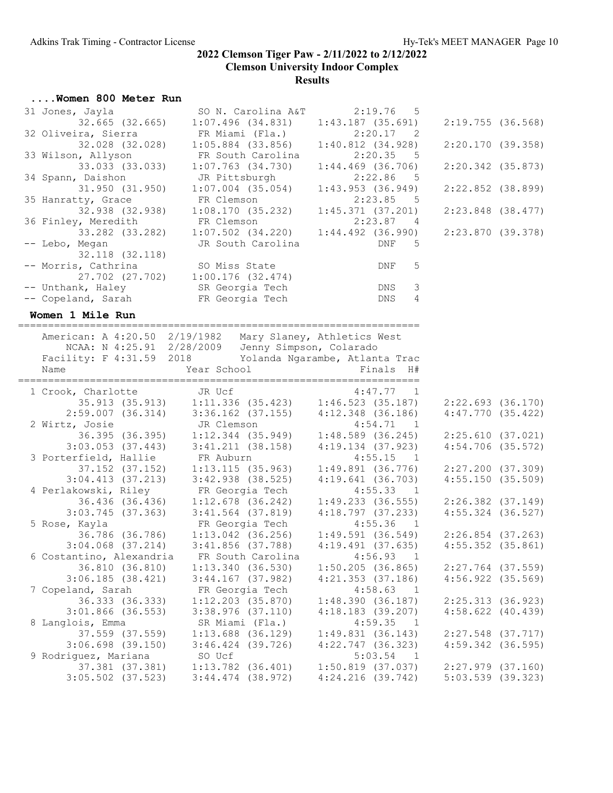#### ....Women 800 Meter Run

| 31 Jones, Jayla<br>$32.665$ $(32.665)$                                                                                  | SO N. Carolina A&T<br>$1:07.496$ $(34.831)$                                                     | 2:19.76<br>$-5$<br>$1:43.187$ (35.691)                       | 2:19.755(36.568)                        |  |
|-------------------------------------------------------------------------------------------------------------------------|-------------------------------------------------------------------------------------------------|--------------------------------------------------------------|-----------------------------------------|--|
| 32 Oliveira, Sierra<br>32.028 (32.028)                                                                                  | FR Miami (Fla.)<br>$1:05.884$ (33.856)                                                          | 2:20.17<br>$\overline{\phantom{0}}^2$<br>$1:40.812$ (34.928) | 2:20.170 (39.358)                       |  |
| 33 Wilson, Allyson                                                                                                      | FR South Carolina                                                                               | 2:20.35<br>5                                                 |                                         |  |
| 33.033 (33.033)<br>34 Spann, Daishon                                                                                    | $1:07.763$ $(34.730)$<br>JR Pittsburgh                                                          | $1:44.469$ (36.706)<br>2:22.86<br>- 5                        | $2:20.342$ (35.873)                     |  |
| 31.950 (31.950)                                                                                                         | $1:07.004$ (35.054)                                                                             | 1:43.953(36.949)                                             | $2:22.852$ (38.899)                     |  |
| 35 Hanratty, Grace                                                                                                      | FR Clemson                                                                                      | 2:23.85 5                                                    |                                         |  |
| 32.938 (32.938)<br>36 Finley, Meredith                                                                                  | 1:08.170(35.232)<br>FR Clemson                                                                  | $1:45.371$ (37.201)<br>2:23.87 4                             | 2:23.848 (38.477)                       |  |
|                                                                                                                         | 33.282 (33.282) 1:07.502 (34.220)                                                               | $1:44.492$ (36.990)                                          | 2:23.870(39.378)                        |  |
| -- Lebo, Megan                                                                                                          | JR South Carolina                                                                               | DNF<br>5                                                     |                                         |  |
| 32.118 (32.118)<br>-- Morris, Cathrina                                                                                  | SO Miss State                                                                                   | 5<br>DNF                                                     |                                         |  |
|                                                                                                                         | 27.702 (27.702) 1:00.176 (32.474)                                                               |                                                              |                                         |  |
| -- Unthank, Haley SR Georgia Tech                                                                                       |                                                                                                 | DNS<br>3                                                     |                                         |  |
| -- Copeland, Sarah                                                                                                      | FR Georgia Tech                                                                                 | 4<br>DNS                                                     |                                         |  |
| Women 1 Mile Run                                                                                                        |                                                                                                 |                                                              |                                         |  |
|                                                                                                                         | American: A 4:20.50 2/19/1982 Mary Slaney, Athletics West                                       |                                                              |                                         |  |
|                                                                                                                         | NCAA: N 4:25.91 2/28/2009 Jenny Simpson, Colarado                                               |                                                              |                                         |  |
|                                                                                                                         | Facility: F 4:31.59 2018 Yolanda Ngarambe, Atlanta Trac                                         | Finals H#                                                    |                                         |  |
| Name                                                                                                                    | Year School                                                                                     |                                                              |                                         |  |
| 1 Crook, Charlotte JR Ucf                                                                                               |                                                                                                 |                                                              |                                         |  |
|                                                                                                                         |                                                                                                 |                                                              |                                         |  |
|                                                                                                                         | charlotte JR Ucf 4:47.77 1<br>35.913 (35.913) 1:11.336 (35.423) 1:46.523 (35.187)               |                                                              | $2:22.693$ $(36.170)$                   |  |
|                                                                                                                         | $2:59.007$ (36.314) 3:36.162 (37.155) 4:12.348 (36.186)                                         |                                                              | $4:47.770$ (35.422)                     |  |
| 2 Wirtz, Josie                                                                                                          |                                                                                                 | 4:54.71<br>$\overline{1}$                                    |                                         |  |
|                                                                                                                         |                                                                                                 | $1:48.589$ (36.245)<br>$4:19.134$ $(37.923)$                 | 2:25.610(37.021)<br>$4:54.706$ (35.572) |  |
| 3 Porterfield, Hallie FR Auburn                                                                                         | z, Josie JR Clemson<br>36.395 (36.395) 1:12.344 (35.949)<br>3:03.053 (37.443) 3:41.211 (38.158) | $4:55.15$ 1                                                  |                                         |  |
|                                                                                                                         | 37.152 (37.152) 1:13.115 (35.963)                                                               | $1:49.891$ (36.776)                                          | 2:27.200(37.309)                        |  |
|                                                                                                                         | $3:04.413$ (37.213) $3:42.938$ (38.525)                                                         | 4:19.641(36.703)                                             | 4:55.150(35.509)                        |  |
|                                                                                                                         |                                                                                                 | 4:55.33<br>$\overline{1}$                                    |                                         |  |
|                                                                                                                         |                                                                                                 |                                                              | $2:26.382$ $(37.149)$                   |  |
| 4 Perlakowski, Riley<br>36.436 (36.436) 1:12.678 (36.242)<br>3:03.745 (37.363) 3:41.564 (37.819)<br>$3:03.745$ (37.363) | $3:41.564$ (37.819)                                                                             | 1:49.233 (36.555)<br>4:18.797 (37.233)<br>4:18.797(37.233)   | $4:55.324$ $(36.527)$                   |  |
| 5 Rose, Kayla                                                                                                           | FR Georgia Tech                                                                                 | $4:55.36$ 1                                                  |                                         |  |
|                                                                                                                         | $36.786$ (36.786) 1:13.042 (36.256)                                                             | $1:49.591$ (36.549) $2:26.854$ (37.263)                      |                                         |  |
| $3:04.068$ $(37.214)$<br>6 Costantino, Alexandria                                                                       | $3:41.856$ (37.788)                                                                             | 4:19.491(37.635)<br>$4:56.93$ 1                              | $4:55.352$ $(35.861)$                   |  |
| 36.810 (36.810)                                                                                                         | FR South Carolina<br>1:13.340(36.530)                                                           | $1:50.205$ (36.865)                                          | $2:27.764$ (37.559)                     |  |
| $3:06.185$ (38.421)                                                                                                     | $3:44.167$ (37.982)                                                                             | $4:21.353$ (37.186)                                          | $4:56.922$ $(35.569)$                   |  |
| 7 Copeland, Sarah                                                                                                       | FR Georgia Tech                                                                                 | 4:58.63<br>$\overline{1}$                                    |                                         |  |
| 36.333 (36.333)                                                                                                         | $1:12.203$ (35.870)                                                                             | 1:48.390(36.187)                                             | 2:25.313(36.923)                        |  |
| $3:01.866$ (36.553)                                                                                                     | $3:38.976$ $(37.110)$                                                                           | $4:18.183$ (39.207)                                          | $4:58.622$ $(40.439)$                   |  |
| 8 Langlois, Emma                                                                                                        | SR Miami (Fla.)                                                                                 | 4:59.35<br>$\overline{1}$                                    |                                         |  |
| 37.559 (37.559)                                                                                                         | $1:13.688$ (36.129)                                                                             | 1:49.831(36.143)                                             | $2:27.548$ (37.717)                     |  |
| $3:06.698$ $(39.150)$                                                                                                   | $3:46.424$ (39.726)                                                                             | $4:22.747$ (36.323)                                          | $4:59.342$ (36.595)                     |  |
| 9 Rodriguez, Mariana<br>37.381 (37.381)                                                                                 | SO Ucf<br>$1:13.782$ (36.401)                                                                   | 5:03.54<br>$\overline{1}$<br>1:50.819(37.037)                | $2:27.979$ $(37.160)$                   |  |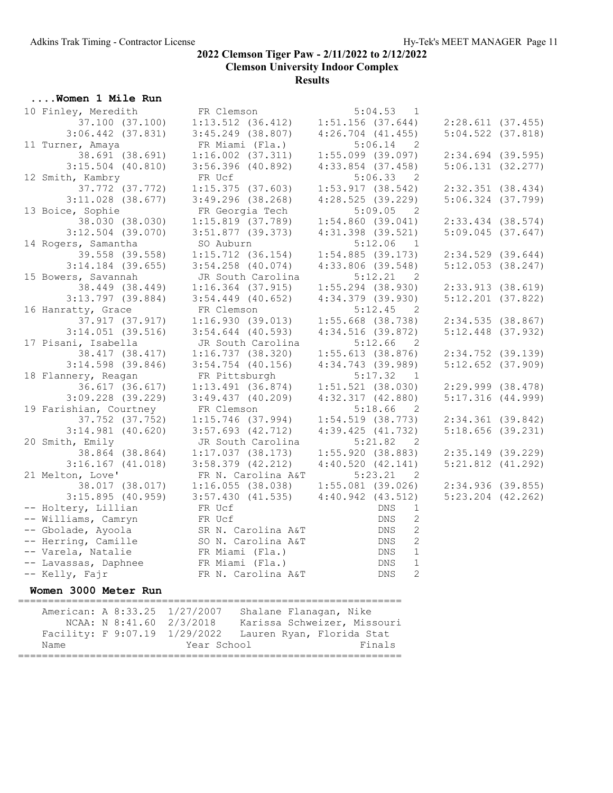| Women 1 Mile Run                       |                                                                                                                                 |                                       |                       |
|----------------------------------------|---------------------------------------------------------------------------------------------------------------------------------|---------------------------------------|-----------------------|
| 10 Finley, Meredith                    | FR Clemson                                                                                                                      | 5:04.53 1                             |                       |
| 37.100 (37.100)                        | $1:13.512$ $(36.412)$                                                                                                           | $1:51.156$ (37.644)                   | 2:28.611(37.455)      |
| $3:06.442$ (37.831)                    | $3:45.249$ (38.807)                                                                                                             | $4:26.704$ $(41.455)$                 | $5:04.522$ (37.818)   |
| 11 Turner, Amaya                       | FR Miami (Fla.)                                                                                                                 | $5:06.14$ 2                           |                       |
| 38.691 (38.691)                        | $1:16.002$ $(37.311)$                                                                                                           | $1:55.099$ (39.097)                   | $2:34.694$ (39.595)   |
| $3:15.504$ (40.810)                    | $3:56.396$ (40.892)                                                                                                             | $4:33.854$ (37.458)                   | 5:06.131(32.277)      |
| 12 Smith, Kambry                       | FR Ucf                                                                                                                          | 5:06.33<br>$\overline{2}$             |                       |
| 37.772 (37.772)                        | 1:15.375(37.603)                                                                                                                | 1:53.917(38.542)                      | $2:32.351$ (38.434)   |
| $3:11.028$ (38.677)                    | $3:49.296$ (38.268)                                                                                                             | 4:28.525(39.229)                      | $5:06.324$ (37.799)   |
| 13 Boice, Sophie                       | FR Georgia Tech                                                                                                                 | 5:09.05 2                             |                       |
| 38.030 (38.030)                        | $1:15.819$ (37.789)                                                                                                             | 1:54.860(39.041)                      | $2:33.434$ $(38.574)$ |
| $3:12.504$ (39.070)                    | $3:51.877$ (39.373)                                                                                                             | $4:31.398$ (39.521)                   | $5:09.045$ (37.647)   |
| 14 Rogers, Samantha                    | SO Auburn                                                                                                                       | $5:12.06$ 1                           |                       |
| 39.558 (39.558)                        | $1:15.712$ (36.154)                                                                                                             | $1:54.885$ (39.173)                   | $2:34.529$ (39.644)   |
| $3:14.184$ (39.655)                    | $3:54.258$ (40.074)                                                                                                             | $4:33.806$ (39.548)                   | 5:12.053(38.247)      |
| 15 Bowers, Savannah                    | JR South Carolina                                                                                                               | $5:12.21$ 2                           |                       |
| 38.449 (38.449)                        | $1:16.364$ (37.915)                                                                                                             | $1:55.294$ (38.930)                   | 2:33.913(38.619)      |
| $3:13.797$ (39.884)                    | $3:54.449$ (40.652)                                                                                                             | $4:34.379$ (39.930)                   | $5:12.201$ (37.822)   |
| 16 Hanratty, Grace                     | FR Clemson                                                                                                                      | 5:12.45<br>$\overline{\phantom{0}}^2$ |                       |
| 37.917 (37.917)                        | 1:16.930(39.013)                                                                                                                | $1:55.668$ (38.738)                   | 2:34.535(38.867)      |
| $3:14.051$ (39.516)                    | $3:54.644$ (40.593)                                                                                                             | $4:34.516$ (39.872)                   | $5:12.448$ (37.932)   |
| 17 Pisani, Isabella                    | JR South Carolina                                                                                                               | 5:12.66<br>$\overline{2}$             |                       |
| 38.417 (38.417)                        | 1:16.737(38.320)                                                                                                                | 1:55.613(38.876)                      | $2:34.752$ (39.139)   |
| $3:14.598$ (39.846)                    | $3:54.754$ (40.156)                                                                                                             | $4:34.743$ (39.989)                   | $5:12.652$ (37.909)   |
| 18 Flannery, Reagan                    | FR Pittsburgh                                                                                                                   | $5:17.32$ 1                           |                       |
| 36.617 (36.617)                        | 1:13.491(36.874)                                                                                                                | $1:51.521$ (38.030)                   | $2:29.999$ $(38.478)$ |
| $3:09.228$ $(39.229)$                  | 3:49.437(40.209)                                                                                                                | $4:32.317$ $(42.880)$                 | 5:17.316(44.999)      |
| 19 Farishian, Courtney                 | FR Clemson                                                                                                                      | 5:18.66<br>$\overline{2}$             |                       |
| 37.752 (37.752)                        | $1:15.746$ (37.994)                                                                                                             | $1:54.519$ (38.773)                   | $2:34.361$ (39.842)   |
| $3:14.981$ (40.620)<br>20 Smith, Emily | $3:57.693$ $(42.712)$                                                                                                           | 4:39.425(41.732)<br>$\overline{2}$    | $5:18.656$ (39.231)   |
| 38.864 (38.864)                        | JR South Carolina                                                                                                               | 5:21.82<br>1:55.920(38.883)           | 2:35.149(39.229)      |
| $3:16.167$ (41.018)                    | 1:17.037(38.173)<br>$3:58.379$ $(42.212)$                                                                                       | 4:40.520(42.141)                      | $5:21.812$ $(41.292)$ |
| 21 Melton, Love'                       | FR N. Carolina A&T                                                                                                              | 5:23.21<br>$\overline{\phantom{0}}^2$ |                       |
| 38.017 (38.017)                        | 1:16.055(38.038)                                                                                                                | $1:55.081$ (39.026)                   | 2:34.936(39.855)      |
| 3:15.895(40.959)                       | 3:57.430(41.535)                                                                                                                | $4:40.942$ $(43.512)$                 | $5:23.204$ $(42.262)$ |
| -- Holtery, Lillian                    |                                                                                                                                 | DNS<br>$\mathbf{1}$                   |                       |
| -- Williams, Camryn                    |                                                                                                                                 | $\mathbf{2}$<br>DNS                   |                       |
| -- Gbolade, Ayoola                     |                                                                                                                                 | $\mathbf{2}$                          |                       |
| -- Herring, Camille                    |                                                                                                                                 | DNS<br>DNS<br>2                       |                       |
| -- Varela, Natalie                     |                                                                                                                                 | DNS<br>$\mathbf 1$                    |                       |
| -- Lavassas, Daphnee                   |                                                                                                                                 | DNS<br>1                              |                       |
| -- Kelly, Fajr                         | FR Ucf<br>FR Ucf<br>FR Ucf<br>SR N. Carolina A&T<br>SO N. Carolina A&T<br>FR Miami (Fla.)<br>FR Miami (Fla.)<br>FR Miami (Fla.) | $\mathbf{2}$<br>DNS                   |                       |
| Women 3000 Meter Run                   |                                                                                                                                 |                                       |                       |
|                                        |                                                                                                                                 |                                       |                       |

 American: A 8:33.25 1/27/2007 Shalane Flanagan, Nike NCAA: N 8:41.60 2/3/2018 Karissa Schweizer, Missouri Facility: F 9:07.19 1/29/2022 Lauren Ryan, Florida Stat Name Year School Finals ================================================================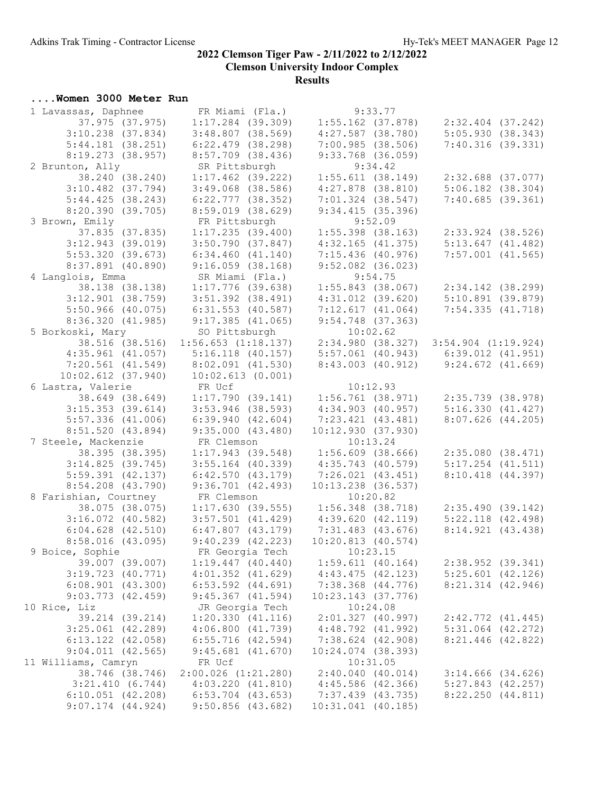## ....Women 3000 Meter Run

| 1 Lavassas, Daphnee   | FR Miami (Fla.)                                       | 9:33.77                                 |                                                                                |
|-----------------------|-------------------------------------------------------|-----------------------------------------|--------------------------------------------------------------------------------|
| 37.975 (37.975)       |                                                       | $1:17.284$ (39.309) $1:55.162$ (37.878) | $2:32.404$ $(37.242)$                                                          |
| $3:10.238$ $(37.834)$ | $3:48.807$ (38.569)                                   | $4:27.587$ (38.780)                     | 5:05.930(38.343)                                                               |
| 5:44.181(38.251)      | $6:22.479$ $(38.298)$                                 | 7:00.985(38.506)                        | 7:40.316(39.331)                                                               |
| 8:19.273 (38.957)     | $8:57.709$ (38.436)                                   | $9:33.768$ (36.059)                     |                                                                                |
| 2 Brunton, Ally       | SR Pittsburgh                                         | 9:34.42                                 |                                                                                |
| 38.240 (38.240)       | $1:17.462$ (39.222)                                   | 1:55.611(38.149)                        | $2:32.688$ (37.077)                                                            |
| $3:10.482$ $(37.794)$ | $3:49.068$ $(38.586)$                                 | $4:27.878$ $(38.810)$                   | $5:06.182$ $(38.304)$                                                          |
| 5:44.425(38.243)      | 6:22.777(38.352)                                      | $7:01.324$ (38.547)                     | 7:40.685(39.361)                                                               |
| 8:20.390 (39.705)     | $8:59.019$ $(38.629)$                                 | 9:34.415(35.396)                        |                                                                                |
| 3 Brown, Emily        | FR Pittsburgh                                         | 9:52.09                                 |                                                                                |
| 37.835 (37.835)       | 1:17.235(39.400)                                      | $1:55.398$ (38.163)                     | $2:33.924$ $(38.526)$                                                          |
| $3:12.943$ (39.019)   | 3:50.790(37.847)                                      | 4:32.165(41.375)                        | 5:13.647(41.482)                                                               |
| 5:53.320(39.673)      | 6:34.460(41.140)                                      | $7:15.436$ (40.976)                     | $7:57.001$ $(41.565)$                                                          |
| 8:37.891 (40.890)     | $9:16.059$ (38.168)                                   | $9:52.082$ (36.023)                     |                                                                                |
| 4 Langlois, Emma      | SR Miami (Fla.)                                       | 9:54.75                                 |                                                                                |
| 38.138 (38.138)       | $1:17.776$ (39.638)                                   |                                         | $1:55.843$ (38.067) $2:34.142$ (38.299)<br>4:31.012 (39.620) 5:10.891 (39.879) |
| $3:12.901$ (38.759)   | $3:51.392$ (38.491)                                   | $4:31.012$ $(39.620)$                   | 5:10.891(39.879)                                                               |
| $5:50.966$ (40.075)   | $6:31.553$ $(40.587)$                                 | 7:12.617(41.064)                        | 7:54.335(41.718)                                                               |
| 8:36.320(41.985)      | $9:17.385$ (41.065)                                   | $9:54.748$ (37.363)                     |                                                                                |
| 5 Borkoski, Mary      | SO Pittsburgh                                         | 10:02.62                                |                                                                                |
| 38.516 (38.516)       | $1:56.653$ $(1:18.137)$                               |                                         | $2:34.980$ (38.327) 3:54.904 (1:19.924)                                        |
| $4:35.961$ $(41.057)$ | $5:16.118$ (40.157)                                   |                                         |                                                                                |
| $7:20.561$ $(41.549)$ | $8:02.091$ (41.530)                                   |                                         | 5:57.061 (40.943) 6:39.012 (41.951)<br>8:43.003 (40.912) 9:24.672 (41.669)     |
| $10:02.612$ (37.940)  | 10:02.613(0.001)                                      |                                         |                                                                                |
| 6 Lastra, Valerie     | FR Ucf                                                | 10:12.93                                |                                                                                |
| 38.649 (38.649)       | 1:17.790(39.141)                                      | $1:56.761$ (38.971)                     | $2:35.739$ $(38.978)$                                                          |
| $3:15.353$ $(39.614)$ | $3:53.946$ (38.593)                                   | $4:34.903$ $(40.957)$                   | 5:16.330(41.427)                                                               |
| $5:57.336$ $(41.006)$ | 6:39.940(42.604)                                      | $7:23.421$ $(43.481)$                   | $8:07.626$ $(44.205)$                                                          |
| 8:51.520 (43.894)     | 9:35.000(43.480)                                      | 10:12.930(37.930)                       |                                                                                |
| 7 Steele, Mackenzie   | FR Clemson                                            | 10:13.24                                |                                                                                |
| 38.395 (38.395)       | 1:17.943(39.548)                                      | $1:56.609$ (38.666) $2:35.080$ (38.471) |                                                                                |
| 3:14.825(39.745)      | $3:55.164$ (40.339)                                   | 4:35.743 (40.579)                       | $5:17.254$ $(41.511)$                                                          |
| $5:59.391$ $(42.137)$ | 6:42.570(43.179)                                      | 7:26.021(43.451)                        | 8:10.418 (44.397)                                                              |
| $8:54.208$ $(43.790)$ | 9:36.701(42.493)                                      | $10:13.238$ (36.537)                    |                                                                                |
| 8 Farishian, Courtney | FR Clemson                                            | 10:20.82                                |                                                                                |
|                       | $38.075$ (38.075) 1:17.630 (39.555) 1:56.348 (38.718) |                                         | 2:35.490(39.142)                                                               |
| $3:16.072$ (40.582)   | $3:57.501$ (41.429)                                   | 4:39.620(42.119)                        | $5:22.118$ $(42.498)$                                                          |
| $6:04.628$ $(42.510)$ | $6:47.807$ $(43.179)$                                 | $7:31.483$ (43.676)                     | 8:14.921(43.438)                                                               |
| 8:58.016(43.095)      | $9:40.239$ $(42.223)$                                 | 10:20.813(40.574)                       |                                                                                |
| 9 Boice, Sophie       | FR Georgia Tech                                       | 10:23.15                                |                                                                                |
| 39.007 (39.007)       | $1:19.447$ $(40.440)$                                 | $1:59.611$ (40.164)                     | $2:38.952$ (39.341)                                                            |
| $3:19.723$ $(40.771)$ | $4:01.352$ $(41.629)$                                 | 4:43.475(42.123)                        | $5:25.601$ $(42.126)$                                                          |
| $6:08.901$ $(43.300)$ | $6:53.592$ $(44.691)$                                 | $7:38.368$ $(44.776)$                   | $8:21.314$ $(42.946)$                                                          |
| $9:03.773$ $(42.459)$ | $9:45.367$ $(41.594)$                                 | $10:23.143$ (37.776)                    |                                                                                |
| 10 Rice, Liz          | JR Georgia Tech                                       | 10:24.08                                |                                                                                |
| 39.214 (39.214)       | 1:20.330(41.116)                                      | $2:01.327$ (40.997)                     | $2:42.772$ $(41.445)$                                                          |
| $3:25.061$ $(42.289)$ | 4:06.800(41.739)                                      | $4:48.792$ $(41.992)$                   | $5:31.064$ $(42.272)$                                                          |
| $6:13.122$ $(42.058)$ | $6:55.716$ (42.594)                                   | $7:38.624$ (42.908)                     | $8:21.446$ (42.822)                                                            |
| $9:04.011$ $(42.565)$ | $9:45.681$ $(41.670)$                                 | $10:24.074$ (38.393)                    |                                                                                |
| 11 Williams, Camryn   | FR Ucf                                                | 10:31.05                                |                                                                                |
| 38.746 (38.746)       | $2:00.026$ $(1:21.280)$                               | 2:40.040(40.014)                        | $3:14.666$ $(34.626)$                                                          |
| 3:21.410(6.744)       | 4:03.220(41.810)                                      | $4:45.586$ $(42.366)$                   | $5:27.843$ $(42.257)$                                                          |
| $6:10.051$ $(42.208)$ | $6:53.704$ $(43.653)$                                 | $7:37.439$ $(43.735)$                   | 8:22.250(44.811)                                                               |
| $9:07.174$ $(44.924)$ | $9:50.856$ (43.682)                                   | 10:31.041 (40.185)                      |                                                                                |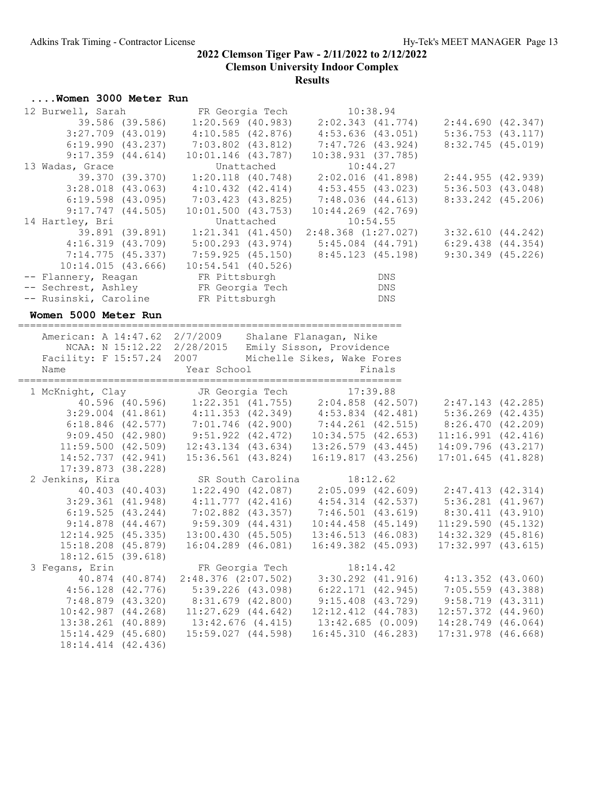## ....Women 3000 Meter Run 12 Burwell, Sarah FR Georgia Tech 10:38.94 39.586 (39.586) 1:20.569 (40.983) 2:02.343 (41.774) 2:44.690 (42.347)

|                                                                                                                 |                                           | 3:27.709 (43.019) 4:10.585 (42.876) 4:53.636 (43.051) 5:36.753 (43.117)                                                                                                                                                                 |                                          |  |
|-----------------------------------------------------------------------------------------------------------------|-------------------------------------------|-----------------------------------------------------------------------------------------------------------------------------------------------------------------------------------------------------------------------------------------|------------------------------------------|--|
|                                                                                                                 |                                           | 6:19.990 (43.237) 7:03.802 (43.812) 7:47.726 (43.924) 8:32.745 (45.019)<br>9:17.359 (44.614) 10:01.146 (43.787) 10:38.931 (37.785)<br>13 Wadas, Grace Unattached 10:44.27<br>39.370 (39.370) 1:20.118 (40.748) 2:02.016 (41.898) 2:44.9 |                                          |  |
|                                                                                                                 |                                           |                                                                                                                                                                                                                                         |                                          |  |
|                                                                                                                 |                                           |                                                                                                                                                                                                                                         |                                          |  |
|                                                                                                                 |                                           | 3:28.018 (43.063) 4:10.432 (42.414) 4:53.455 (43.023) 5:36.503 (43.048)                                                                                                                                                                 |                                          |  |
|                                                                                                                 |                                           | $6:19.598$ (43.095) $7:03.423$ (43.825) $7:48.036$ (44.613)                                                                                                                                                                             | $8:33.242$ $(45.206)$                    |  |
| 9:17.747(44.505)                                                                                                | 10:01.500(43.753)                         | $10:44.269$ $(42.769)$                                                                                                                                                                                                                  |                                          |  |
| 14 Hartley, Bri                                                                                                 |                                           |                                                                                                                                                                                                                                         |                                          |  |
|                                                                                                                 |                                           |                                                                                                                                                                                                                                         |                                          |  |
|                                                                                                                 |                                           | 4:16.319 (43.709) 5:00.293 (43.974) 5:45.084 (44.791) 6:29.438 (44.354)                                                                                                                                                                 |                                          |  |
|                                                                                                                 |                                           | 7:14.775 (45.337) 7:59.925 (45.150) 8:45.123 (45.198) 9:30.349 (45.226)                                                                                                                                                                 |                                          |  |
|                                                                                                                 | $10:14.015$ (43.666) $10:54.541$ (40.526) |                                                                                                                                                                                                                                         |                                          |  |
|                                                                                                                 |                                           | DNS                                                                                                                                                                                                                                     |                                          |  |
|                                                                                                                 |                                           | $\mathop{\rm DNS}$                                                                                                                                                                                                                      |                                          |  |
| -- Flannery, Reagan FR Pittsburgh<br>-- Sechrest, Ashley FR Georgia Tech<br>-- Rusinski, Caroline FR Pittsburgh |                                           | DNS                                                                                                                                                                                                                                     |                                          |  |
| Women 5000 Meter Run                                                                                            |                                           |                                                                                                                                                                                                                                         |                                          |  |
|                                                                                                                 |                                           |                                                                                                                                                                                                                                         |                                          |  |
| American: A 14:47.62 2/7/2009 Shalane Flanagan, Nike                                                            |                                           |                                                                                                                                                                                                                                         |                                          |  |
| NCAA: N 15:12.22 2/28/2015 Emily Sisson, Providence                                                             |                                           |                                                                                                                                                                                                                                         |                                          |  |
| Facility: F 15:57.24 2007 Michelle Sikes, Wake Fores                                                            |                                           |                                                                                                                                                                                                                                         |                                          |  |
| Year School<br>Name                                                                                             |                                           | Finals                                                                                                                                                                                                                                  |                                          |  |
|                                                                                                                 |                                           | 1 McKnight, Clay JR Georgia Tech 17:39.88<br>40.596 (40.596) 1:22.351 (41.755) 2:04.858 (42.507) 2:47.143 (42.285)<br>3:29.004 (41.861) 4:11.353 (42.349) 4:53.834 (42.481) 5:36.269 (42.435)<br>6:18.846 (42.577) 7:01.746 (42.900)    |                                          |  |
|                                                                                                                 |                                           |                                                                                                                                                                                                                                         |                                          |  |
|                                                                                                                 |                                           |                                                                                                                                                                                                                                         |                                          |  |
|                                                                                                                 |                                           |                                                                                                                                                                                                                                         |                                          |  |
|                                                                                                                 |                                           |                                                                                                                                                                                                                                         |                                          |  |
|                                                                                                                 |                                           | 11:59.500 (42.509) 12:43.134 (43.634) 13:26.579 (43.445) 14:09.796 (43.217)                                                                                                                                                             |                                          |  |
|                                                                                                                 |                                           | 14:52.737 (42.941) 15:36.561 (43.824) 16:19.817 (43.256) 17:01.645 (41.828)                                                                                                                                                             |                                          |  |
| $17:39.873$ (38.228)                                                                                            |                                           |                                                                                                                                                                                                                                         |                                          |  |
| 2 Jenkins, Kira                                                                                                 |                                           | SR South Carolina 18:12.62                                                                                                                                                                                                              |                                          |  |
|                                                                                                                 |                                           | 40.403 (40.403) 1:22.490 (42.087) 2:05.099 (42.609) 2:47.413 (42.314)                                                                                                                                                                   |                                          |  |
|                                                                                                                 |                                           | $3:29.361$ (41.948) $4:11.777$ (42.416) $4:54.314$ (42.537) $5:36.281$ (41.967)                                                                                                                                                         |                                          |  |
|                                                                                                                 |                                           | $6:19.525$ (43.244) $7:02.882$ (43.357) $7:46.501$ (43.619) $8:30.411$ (43.910)                                                                                                                                                         |                                          |  |
|                                                                                                                 |                                           | $9:14.878$ (44.467) $9:59.309$ (44.431) $10:44.458$ (45.149) $11:29.590$ (45.132)                                                                                                                                                       |                                          |  |
|                                                                                                                 |                                           | $12:14.925 (45.335) 13:00.430 (45.505) 13:46.513 (46.083) 14:32.329 (45.816) 15:18.208 (45.879) 16:04.289 (46.081) 16:49.382 (45.093) 17:32.997 (43.615)$                                                                               |                                          |  |
|                                                                                                                 |                                           |                                                                                                                                                                                                                                         |                                          |  |
| 18:12.615(39.618)                                                                                               |                                           |                                                                                                                                                                                                                                         |                                          |  |
| 3 Fegans, Erin                                                                                                  | FR Georgia Tech 18:14.42                  |                                                                                                                                                                                                                                         |                                          |  |
| 40.874 (40.874)                                                                                                 | $2:48.376$ $(2:07.502)$                   | $3:30.292$ $(41.916)$                                                                                                                                                                                                                   | $4:13.352$ $(43.060)$                    |  |
| $4:56.128$ $(42.776)$                                                                                           | $5:39.226$ $(43.098)$                     | $6:22.171$ $(42.945)$                                                                                                                                                                                                                   | $7:05.559$ $(43.388)$                    |  |
| 7:48.879 (43.320)                                                                                               | 8:31.679 (42.800)                         | $9:15.408$ (43.729)                                                                                                                                                                                                                     | $9:58.719$ $(43.311)$                    |  |
| $10:42.987$ $(44.268)$<br>13:38.261 (40.889)                                                                    | $11:27.629$ $(44.642)$                    | 12:12.412 (44.783)<br>13:42.685(0.009)                                                                                                                                                                                                  | 12:57.372 (44.960)<br>14:28.749 (46.064) |  |
|                                                                                                                 |                                           |                                                                                                                                                                                                                                         |                                          |  |
|                                                                                                                 | $13:42.676$ $(4.415)$                     |                                                                                                                                                                                                                                         |                                          |  |
| $15:14.429$ $(45.680)$<br>18:14.414 (42.436)                                                                    | 15:59.027 (44.598)                        | 16:45.310(46.283)                                                                                                                                                                                                                       | $17:31.978$ (46.668)                     |  |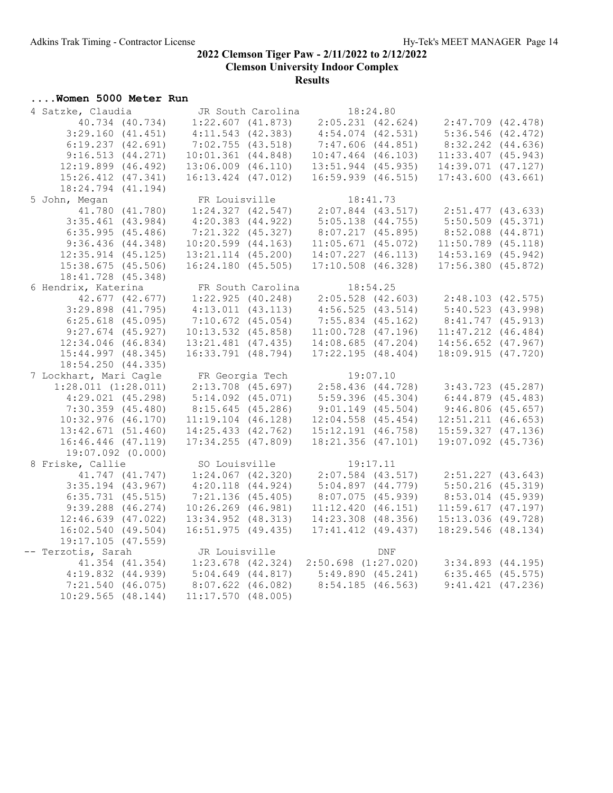#### ....Women 5000 Meter Run

| 4 Satzke, Claudia       | JR South Carolina      | 18:24.80                                |                        |  |
|-------------------------|------------------------|-----------------------------------------|------------------------|--|
| 40.734 (40.734)         | 1:22.607(41.873)       | $2:05.231$ $(42.624)$                   | $2:47.709$ $(42.478)$  |  |
| 3:29.160(41.451)        | 4:11.543(42.383)       | $4:54.074$ $(42.531)$                   | $5:36.546$ $(42.472)$  |  |
| 6:19.237(42.691)        | 7:02.755(43.518)       | 7:47.606 (44.851)                       | $8:32.242$ $(44.636)$  |  |
| 9:16.513(44.271)        | 10:01.361(44.848)      | $10:47.464$ $(46.103)$                  | $11:33.407$ (45.943)   |  |
| $12:19.899$ $(46.492)$  | $13:06.009$ $(46.110)$ | $13:51.944$ (45.935)                    | 14:39.071 (47.127)     |  |
| $15:26.412$ $(47.341)$  | $16:13.424$ $(47.012)$ | $16:59.939$ $(46.515)$                  | 17:43.600(43.661)      |  |
| 18:24.794 (41.194)      |                        |                                         |                        |  |
| 5 John, Megan           | FR Louisville          | 18:41.73                                |                        |  |
| 41.780 (41.780)         | 1:24.327(42.547)       | $2:07.844$ (43.517)                     | $2:51.477$ (43.633)    |  |
| $3:35.461$ (43.984)     | $4:20.383$ $(44.922)$  | $5:05.138$ $(44.755)$                   | $5:50.509$ $(45.371)$  |  |
| 6:35.995(45.486)        | 7:21.322 (45.327)      | 8:07.217(45.895)                        | 8:52.088 (44.871)      |  |
| 9:36.436(44.348)        | $10:20.599$ $(44.163)$ | $11:05.671$ (45.072)                    | $11:50.789$ $(45.118)$ |  |
| $12:35.914$ $(45.125)$  | 13:21.114 (45.200)     | $14:07.227$ $(46.113)$                  | $14:53.169$ (45.942)   |  |
| $15:38.675$ (45.506)    | 16:24.180(45.505)      | $17:10.508$ $(46.328)$                  | $17:56.380$ $(45.872)$ |  |
| 18:41.728 (45.348)      |                        |                                         |                        |  |
| 6 Hendrix, Katerina     | FR South Carolina      | 18:54.25                                |                        |  |
| 42.677 (42.677)         | 1:22.925(40.248)       | $2:05.528$ (42.603)                     | 2:48.103(42.575)       |  |
| $3:29.898$ $(41.795)$   | $4:13.011$ $(43.113)$  | 4:56.525(43.514)                        | 5:40.523(43.998)       |  |
| $6:25.618$ (45.095)     | $7:10.672$ $(45.054)$  | $7:55.834$ (45.162)                     | 8:41.747(45.913)       |  |
| $9:27.674$ (45.927)     | $10:13.532$ $(45.858)$ | $11:00.728$ (47.196)                    | $11:47.212$ $(46.484)$ |  |
| $12:34.046$ $(46.834)$  | $13:21.481$ (47.435)   | 14:08.685(47.204)                       | $14:56.652$ $(47.967)$ |  |
| $15:44.997$ $(48.345)$  | 16:33.791 (48.794)     | 17:22.195(48.404)                       | 18:09.915 (47.720)     |  |
| 18:54.250(44.335)       |                        |                                         |                        |  |
| 7 Lockhart, Mari Cagle  | FR Georgia Tech        | 19:07.10                                |                        |  |
| $1:28.011$ $(1:28.011)$ | $2:13.708$ (45.697)    | 2:58.436(44.728)                        | $3:43.723$ (45.287)    |  |
| $4:29.021$ $(45.298)$   | $5:14.092$ $(45.071)$  | $5:59.396$ $(45.304)$                   | 6:44.879(45.483)       |  |
| $7:30.359$ $(45.480)$   | 8:15.645(45.286)       | $9:01.149$ $(45.504)$                   | 9:46.806(45.657)       |  |
| $10:32.976$ (46.170)    | $11:19.104$ $(46.128)$ | $12:04.558$ $(45.454)$                  | $12:51.211$ $(46.653)$ |  |
| 13:42.671(51.460)       | $14:25.433$ $(42.762)$ | $15:12.191$ (46.758)                    | $15:59.327$ $(47.136)$ |  |
| $16:46.446$ (47.119)    | $17:34.255$ (47.809)   | $18:21.356$ (47.101)                    | 19:07.092 (45.736)     |  |
| $19:07.092$ $(0.000)$   |                        |                                         |                        |  |
| 8 Friske, Callie        | SO Louisville          | 19:17.11                                |                        |  |
| 41.747 (41.747)         | $1:24.067$ $(42.320)$  | $2:07.584$ (43.517)                     | $2:51.227$ $(43.643)$  |  |
| $3:35.194$ (43.967)     | $4:20.118$ $(44.924)$  | 5:04.897(44.779)                        | $5:50.216$ (45.319)    |  |
| $6:35.731$ $(45.515)$   | $7:21.136$ (45.405)    | 8:07.075(45.939)                        | 8:53.014 (45.939)      |  |
| $9:39.288$ $(46.274)$   | $10:26.269$ $(46.981)$ | 11:12.420(46.151)                       | 11:59.617(47.197)      |  |
| $12:46.639$ $(47.022)$  | 13:34.952 (48.313)     | $14:23.308$ $(48.356)$                  | 15:13.036 (49.728)     |  |
| 16:02.540(49.504)       | 16:51.975(49.435)      | $17:41.412$ $(49.437)$                  | 18:29.546 (48.134)     |  |
| $19:17.105$ (47.559)    |                        |                                         |                        |  |
| -- Terzotis, Sarah      | JR Louisville          | <b>DNF</b>                              |                        |  |
| 41.354 (41.354)         |                        | $1:23.678$ (42.324) 2:50.698 (1:27.020) | $3:34.893$ $(44.195)$  |  |
| $4:19.832$ $(44.939)$   | $5:04.649$ $(44.817)$  | 5:49.890(45.241)                        | $6:35.465$ $(45.575)$  |  |
| $7:21.540$ (46.075)     | $8:07.622$ $(46.082)$  | 8:54.185(46.563)                        | $9:41.421$ $(47.236)$  |  |
| $10:29.565$ $(48.144)$  | $11:17.570$ (48.005)   |                                         |                        |  |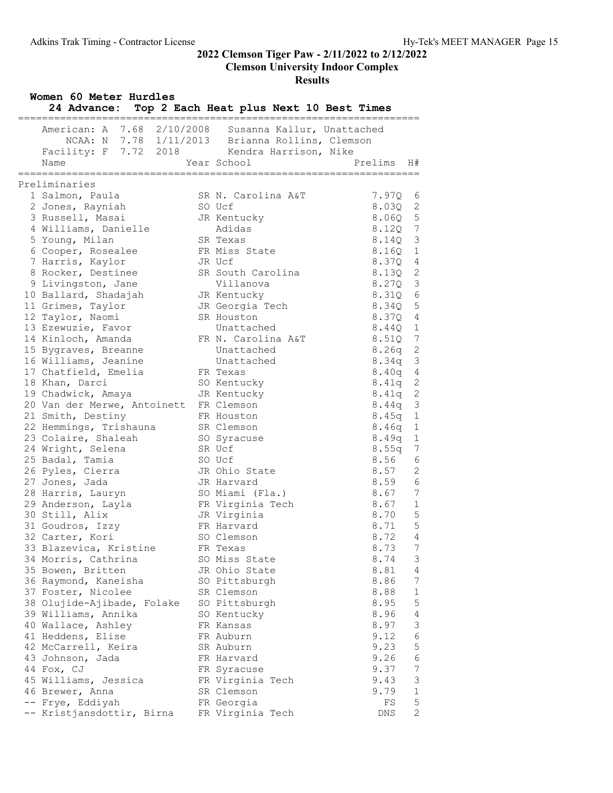Clemson University Indoor Complex

#### Results

| American: A 7.68 2/10/2008 Susanna Kallur, Unattached<br>NCAA: N 7.78 1/11/2013 Brianna Rollins, Clemson<br>Facility: F 7.72 2018 Kendra Harrison, Nike<br>Year School<br>Prelims<br>Name<br>H#<br>.=====================<br>==============<br>========<br>Preliminaries<br>$7.97Q$ 6<br>1 Salmon, Paula<br>SR N. Carolina A&T<br>2 Jones, Rayniah<br>8.03Q<br>$\overline{\phantom{0}}^2$<br>SO Ucf<br>$8.06Q$ 5<br>3 Russell, Masai<br>JR Kentucky<br>8.120 7<br>Adidas<br>4 Williams, Danielle<br>8.14Q 3<br>5 Young, Milan<br>SR Texas<br>8.16Q 1<br>6 Cooper, Rosealee<br>FR Miss State<br>8.37Q 4<br>7 Harris, Kaylor<br>JR Ucf<br>8.13Q 2<br>8 Rocker, Destinee<br>SR South Carolina<br>8.27Q 3<br>9 Livingston, Jane<br>Villanova<br>$\epsilon$<br>8.31Q<br>10 Ballard, Shadajah<br>JR Kentucky<br>8.34Q 5<br>11 Grimes, Taylor<br>JR Georgia Tech<br>8.37Q 4<br>12 Taylor, Naomi<br>SR Houston<br>8.440 1<br>13 Ezewuzie, Favor<br>Unattached<br>14 Kinloch, Amanda<br>8.51Q 7<br>FR N. Carolina A&T<br>$8.26q$ 2<br>15 Bygraves, Breanne<br>Unattached<br>$\mathcal{S}$<br>16 Williams, Jeanine<br>Unattached<br>8.34q<br>8.40q 4<br>17 Chatfield, Emelia<br>FR Texas<br>8.41q 2<br>18 Khan, Darci<br>SO Kentucky<br>2<br>19 Chadwick, Amaya<br>JR Kentucky<br>8.41q<br>$\overline{3}$<br>20 Van der Merwe, Antoinett FR Clemson<br>8.44q<br>$8.45q$ 1<br>21 Smith, Destiny<br>FR Houston<br>$\mathbf 1$<br>22 Hemmings, Trishauna<br>SR Clemson<br>8.46q<br>23 Colaire, Shaleah<br>8.49q<br>1<br>SO Syracuse<br>8.55q<br>7<br>24 Wright, Selena<br>SR Ucf<br>6<br>8.56<br>25 Badal, Tamia<br>SO Ucf<br>26 Pyles, Cierra<br>8.57<br>2<br>JR Ohio State<br>27 Jones, Jada<br>8.59<br>6<br>JR Harvard<br>8.67<br>7<br>28 Harris, Lauryn<br>SO Miami (Fla.)<br>8.67<br>$\overline{\phantom{a}}$<br>FR Virginia Tech<br>29 Anderson, Layla<br>5<br>30 Still, Alix<br>8.70<br>JR Virginia<br>5<br>8.71<br>31 Goudros, Izzy<br>FR Harvard<br>8.72<br>32 Carter, Kori<br>SO Clemson<br>$\overline{4}$<br>33 Blazevica, Kristine<br>8.73<br>FR Texas<br>7<br>8.74<br>34 Morris, Cathrina<br>SO Miss State<br>3<br>35 Bowen, Britten<br>8.81<br>JR Ohio State<br>4<br>36 Raymond, Kaneisha<br>8.86<br>7<br>SO Pittsburgh<br>8.88<br>1<br>37 Foster, Nicolee<br>SR Clemson<br>5<br>38 Olujide-Ajibade, Folake<br>SO Pittsburgh<br>8.95<br>39 Williams, Annika<br>8.96<br>4<br>SO Kentucky<br>3<br>40 Wallace, Ashley<br>FR Kansas<br>8.97<br>6<br>41 Heddens, Elise<br>9.12<br>FR Auburn<br>5<br>9.23<br>42 McCarrell, Keira<br>SR Auburn<br>6<br>9.26<br>43 Johnson, Jada<br>FR Harvard<br>44 Fox, CJ<br>9.37<br>7<br>FR Syracuse<br>45 Williams, Jessica<br>FR Virginia Tech<br>9.43<br>3 | Women 60 Meter Hurdles<br>24 Advance: Top 2 Each Heat plus Next 10 Best Times<br>.=====<br>$=$ $=$ $=$ $=$ $=$ $=$ |  |  |  |  |  |  |  |
|--------------------------------------------------------------------------------------------------------------------------------------------------------------------------------------------------------------------------------------------------------------------------------------------------------------------------------------------------------------------------------------------------------------------------------------------------------------------------------------------------------------------------------------------------------------------------------------------------------------------------------------------------------------------------------------------------------------------------------------------------------------------------------------------------------------------------------------------------------------------------------------------------------------------------------------------------------------------------------------------------------------------------------------------------------------------------------------------------------------------------------------------------------------------------------------------------------------------------------------------------------------------------------------------------------------------------------------------------------------------------------------------------------------------------------------------------------------------------------------------------------------------------------------------------------------------------------------------------------------------------------------------------------------------------------------------------------------------------------------------------------------------------------------------------------------------------------------------------------------------------------------------------------------------------------------------------------------------------------------------------------------------------------------------------------------------------------------------------------------------------------------------------------------------------------------------------------------------------------------------------------------------------------------------------------------------------------------------------------------------------------------------------------------------------------------------------------------------------------------------------------------------------------------------------------------------------------------------------------------------------------------------------------------------------------------------|--------------------------------------------------------------------------------------------------------------------|--|--|--|--|--|--|--|
|                                                                                                                                                                                                                                                                                                                                                                                                                                                                                                                                                                                                                                                                                                                                                                                                                                                                                                                                                                                                                                                                                                                                                                                                                                                                                                                                                                                                                                                                                                                                                                                                                                                                                                                                                                                                                                                                                                                                                                                                                                                                                                                                                                                                                                                                                                                                                                                                                                                                                                                                                                                                                                                                                            |                                                                                                                    |  |  |  |  |  |  |  |
|                                                                                                                                                                                                                                                                                                                                                                                                                                                                                                                                                                                                                                                                                                                                                                                                                                                                                                                                                                                                                                                                                                                                                                                                                                                                                                                                                                                                                                                                                                                                                                                                                                                                                                                                                                                                                                                                                                                                                                                                                                                                                                                                                                                                                                                                                                                                                                                                                                                                                                                                                                                                                                                                                            |                                                                                                                    |  |  |  |  |  |  |  |
|                                                                                                                                                                                                                                                                                                                                                                                                                                                                                                                                                                                                                                                                                                                                                                                                                                                                                                                                                                                                                                                                                                                                                                                                                                                                                                                                                                                                                                                                                                                                                                                                                                                                                                                                                                                                                                                                                                                                                                                                                                                                                                                                                                                                                                                                                                                                                                                                                                                                                                                                                                                                                                                                                            |                                                                                                                    |  |  |  |  |  |  |  |
|                                                                                                                                                                                                                                                                                                                                                                                                                                                                                                                                                                                                                                                                                                                                                                                                                                                                                                                                                                                                                                                                                                                                                                                                                                                                                                                                                                                                                                                                                                                                                                                                                                                                                                                                                                                                                                                                                                                                                                                                                                                                                                                                                                                                                                                                                                                                                                                                                                                                                                                                                                                                                                                                                            |                                                                                                                    |  |  |  |  |  |  |  |
|                                                                                                                                                                                                                                                                                                                                                                                                                                                                                                                                                                                                                                                                                                                                                                                                                                                                                                                                                                                                                                                                                                                                                                                                                                                                                                                                                                                                                                                                                                                                                                                                                                                                                                                                                                                                                                                                                                                                                                                                                                                                                                                                                                                                                                                                                                                                                                                                                                                                                                                                                                                                                                                                                            |                                                                                                                    |  |  |  |  |  |  |  |
|                                                                                                                                                                                                                                                                                                                                                                                                                                                                                                                                                                                                                                                                                                                                                                                                                                                                                                                                                                                                                                                                                                                                                                                                                                                                                                                                                                                                                                                                                                                                                                                                                                                                                                                                                                                                                                                                                                                                                                                                                                                                                                                                                                                                                                                                                                                                                                                                                                                                                                                                                                                                                                                                                            |                                                                                                                    |  |  |  |  |  |  |  |
|                                                                                                                                                                                                                                                                                                                                                                                                                                                                                                                                                                                                                                                                                                                                                                                                                                                                                                                                                                                                                                                                                                                                                                                                                                                                                                                                                                                                                                                                                                                                                                                                                                                                                                                                                                                                                                                                                                                                                                                                                                                                                                                                                                                                                                                                                                                                                                                                                                                                                                                                                                                                                                                                                            |                                                                                                                    |  |  |  |  |  |  |  |
|                                                                                                                                                                                                                                                                                                                                                                                                                                                                                                                                                                                                                                                                                                                                                                                                                                                                                                                                                                                                                                                                                                                                                                                                                                                                                                                                                                                                                                                                                                                                                                                                                                                                                                                                                                                                                                                                                                                                                                                                                                                                                                                                                                                                                                                                                                                                                                                                                                                                                                                                                                                                                                                                                            |                                                                                                                    |  |  |  |  |  |  |  |
|                                                                                                                                                                                                                                                                                                                                                                                                                                                                                                                                                                                                                                                                                                                                                                                                                                                                                                                                                                                                                                                                                                                                                                                                                                                                                                                                                                                                                                                                                                                                                                                                                                                                                                                                                                                                                                                                                                                                                                                                                                                                                                                                                                                                                                                                                                                                                                                                                                                                                                                                                                                                                                                                                            |                                                                                                                    |  |  |  |  |  |  |  |
|                                                                                                                                                                                                                                                                                                                                                                                                                                                                                                                                                                                                                                                                                                                                                                                                                                                                                                                                                                                                                                                                                                                                                                                                                                                                                                                                                                                                                                                                                                                                                                                                                                                                                                                                                                                                                                                                                                                                                                                                                                                                                                                                                                                                                                                                                                                                                                                                                                                                                                                                                                                                                                                                                            |                                                                                                                    |  |  |  |  |  |  |  |
|                                                                                                                                                                                                                                                                                                                                                                                                                                                                                                                                                                                                                                                                                                                                                                                                                                                                                                                                                                                                                                                                                                                                                                                                                                                                                                                                                                                                                                                                                                                                                                                                                                                                                                                                                                                                                                                                                                                                                                                                                                                                                                                                                                                                                                                                                                                                                                                                                                                                                                                                                                                                                                                                                            |                                                                                                                    |  |  |  |  |  |  |  |
|                                                                                                                                                                                                                                                                                                                                                                                                                                                                                                                                                                                                                                                                                                                                                                                                                                                                                                                                                                                                                                                                                                                                                                                                                                                                                                                                                                                                                                                                                                                                                                                                                                                                                                                                                                                                                                                                                                                                                                                                                                                                                                                                                                                                                                                                                                                                                                                                                                                                                                                                                                                                                                                                                            |                                                                                                                    |  |  |  |  |  |  |  |
|                                                                                                                                                                                                                                                                                                                                                                                                                                                                                                                                                                                                                                                                                                                                                                                                                                                                                                                                                                                                                                                                                                                                                                                                                                                                                                                                                                                                                                                                                                                                                                                                                                                                                                                                                                                                                                                                                                                                                                                                                                                                                                                                                                                                                                                                                                                                                                                                                                                                                                                                                                                                                                                                                            |                                                                                                                    |  |  |  |  |  |  |  |
|                                                                                                                                                                                                                                                                                                                                                                                                                                                                                                                                                                                                                                                                                                                                                                                                                                                                                                                                                                                                                                                                                                                                                                                                                                                                                                                                                                                                                                                                                                                                                                                                                                                                                                                                                                                                                                                                                                                                                                                                                                                                                                                                                                                                                                                                                                                                                                                                                                                                                                                                                                                                                                                                                            |                                                                                                                    |  |  |  |  |  |  |  |
|                                                                                                                                                                                                                                                                                                                                                                                                                                                                                                                                                                                                                                                                                                                                                                                                                                                                                                                                                                                                                                                                                                                                                                                                                                                                                                                                                                                                                                                                                                                                                                                                                                                                                                                                                                                                                                                                                                                                                                                                                                                                                                                                                                                                                                                                                                                                                                                                                                                                                                                                                                                                                                                                                            |                                                                                                                    |  |  |  |  |  |  |  |
|                                                                                                                                                                                                                                                                                                                                                                                                                                                                                                                                                                                                                                                                                                                                                                                                                                                                                                                                                                                                                                                                                                                                                                                                                                                                                                                                                                                                                                                                                                                                                                                                                                                                                                                                                                                                                                                                                                                                                                                                                                                                                                                                                                                                                                                                                                                                                                                                                                                                                                                                                                                                                                                                                            |                                                                                                                    |  |  |  |  |  |  |  |
|                                                                                                                                                                                                                                                                                                                                                                                                                                                                                                                                                                                                                                                                                                                                                                                                                                                                                                                                                                                                                                                                                                                                                                                                                                                                                                                                                                                                                                                                                                                                                                                                                                                                                                                                                                                                                                                                                                                                                                                                                                                                                                                                                                                                                                                                                                                                                                                                                                                                                                                                                                                                                                                                                            |                                                                                                                    |  |  |  |  |  |  |  |
|                                                                                                                                                                                                                                                                                                                                                                                                                                                                                                                                                                                                                                                                                                                                                                                                                                                                                                                                                                                                                                                                                                                                                                                                                                                                                                                                                                                                                                                                                                                                                                                                                                                                                                                                                                                                                                                                                                                                                                                                                                                                                                                                                                                                                                                                                                                                                                                                                                                                                                                                                                                                                                                                                            |                                                                                                                    |  |  |  |  |  |  |  |
|                                                                                                                                                                                                                                                                                                                                                                                                                                                                                                                                                                                                                                                                                                                                                                                                                                                                                                                                                                                                                                                                                                                                                                                                                                                                                                                                                                                                                                                                                                                                                                                                                                                                                                                                                                                                                                                                                                                                                                                                                                                                                                                                                                                                                                                                                                                                                                                                                                                                                                                                                                                                                                                                                            |                                                                                                                    |  |  |  |  |  |  |  |
|                                                                                                                                                                                                                                                                                                                                                                                                                                                                                                                                                                                                                                                                                                                                                                                                                                                                                                                                                                                                                                                                                                                                                                                                                                                                                                                                                                                                                                                                                                                                                                                                                                                                                                                                                                                                                                                                                                                                                                                                                                                                                                                                                                                                                                                                                                                                                                                                                                                                                                                                                                                                                                                                                            |                                                                                                                    |  |  |  |  |  |  |  |
|                                                                                                                                                                                                                                                                                                                                                                                                                                                                                                                                                                                                                                                                                                                                                                                                                                                                                                                                                                                                                                                                                                                                                                                                                                                                                                                                                                                                                                                                                                                                                                                                                                                                                                                                                                                                                                                                                                                                                                                                                                                                                                                                                                                                                                                                                                                                                                                                                                                                                                                                                                                                                                                                                            |                                                                                                                    |  |  |  |  |  |  |  |
|                                                                                                                                                                                                                                                                                                                                                                                                                                                                                                                                                                                                                                                                                                                                                                                                                                                                                                                                                                                                                                                                                                                                                                                                                                                                                                                                                                                                                                                                                                                                                                                                                                                                                                                                                                                                                                                                                                                                                                                                                                                                                                                                                                                                                                                                                                                                                                                                                                                                                                                                                                                                                                                                                            |                                                                                                                    |  |  |  |  |  |  |  |
|                                                                                                                                                                                                                                                                                                                                                                                                                                                                                                                                                                                                                                                                                                                                                                                                                                                                                                                                                                                                                                                                                                                                                                                                                                                                                                                                                                                                                                                                                                                                                                                                                                                                                                                                                                                                                                                                                                                                                                                                                                                                                                                                                                                                                                                                                                                                                                                                                                                                                                                                                                                                                                                                                            |                                                                                                                    |  |  |  |  |  |  |  |
|                                                                                                                                                                                                                                                                                                                                                                                                                                                                                                                                                                                                                                                                                                                                                                                                                                                                                                                                                                                                                                                                                                                                                                                                                                                                                                                                                                                                                                                                                                                                                                                                                                                                                                                                                                                                                                                                                                                                                                                                                                                                                                                                                                                                                                                                                                                                                                                                                                                                                                                                                                                                                                                                                            |                                                                                                                    |  |  |  |  |  |  |  |
|                                                                                                                                                                                                                                                                                                                                                                                                                                                                                                                                                                                                                                                                                                                                                                                                                                                                                                                                                                                                                                                                                                                                                                                                                                                                                                                                                                                                                                                                                                                                                                                                                                                                                                                                                                                                                                                                                                                                                                                                                                                                                                                                                                                                                                                                                                                                                                                                                                                                                                                                                                                                                                                                                            |                                                                                                                    |  |  |  |  |  |  |  |
|                                                                                                                                                                                                                                                                                                                                                                                                                                                                                                                                                                                                                                                                                                                                                                                                                                                                                                                                                                                                                                                                                                                                                                                                                                                                                                                                                                                                                                                                                                                                                                                                                                                                                                                                                                                                                                                                                                                                                                                                                                                                                                                                                                                                                                                                                                                                                                                                                                                                                                                                                                                                                                                                                            |                                                                                                                    |  |  |  |  |  |  |  |
|                                                                                                                                                                                                                                                                                                                                                                                                                                                                                                                                                                                                                                                                                                                                                                                                                                                                                                                                                                                                                                                                                                                                                                                                                                                                                                                                                                                                                                                                                                                                                                                                                                                                                                                                                                                                                                                                                                                                                                                                                                                                                                                                                                                                                                                                                                                                                                                                                                                                                                                                                                                                                                                                                            |                                                                                                                    |  |  |  |  |  |  |  |
|                                                                                                                                                                                                                                                                                                                                                                                                                                                                                                                                                                                                                                                                                                                                                                                                                                                                                                                                                                                                                                                                                                                                                                                                                                                                                                                                                                                                                                                                                                                                                                                                                                                                                                                                                                                                                                                                                                                                                                                                                                                                                                                                                                                                                                                                                                                                                                                                                                                                                                                                                                                                                                                                                            |                                                                                                                    |  |  |  |  |  |  |  |
|                                                                                                                                                                                                                                                                                                                                                                                                                                                                                                                                                                                                                                                                                                                                                                                                                                                                                                                                                                                                                                                                                                                                                                                                                                                                                                                                                                                                                                                                                                                                                                                                                                                                                                                                                                                                                                                                                                                                                                                                                                                                                                                                                                                                                                                                                                                                                                                                                                                                                                                                                                                                                                                                                            |                                                                                                                    |  |  |  |  |  |  |  |
|                                                                                                                                                                                                                                                                                                                                                                                                                                                                                                                                                                                                                                                                                                                                                                                                                                                                                                                                                                                                                                                                                                                                                                                                                                                                                                                                                                                                                                                                                                                                                                                                                                                                                                                                                                                                                                                                                                                                                                                                                                                                                                                                                                                                                                                                                                                                                                                                                                                                                                                                                                                                                                                                                            |                                                                                                                    |  |  |  |  |  |  |  |
|                                                                                                                                                                                                                                                                                                                                                                                                                                                                                                                                                                                                                                                                                                                                                                                                                                                                                                                                                                                                                                                                                                                                                                                                                                                                                                                                                                                                                                                                                                                                                                                                                                                                                                                                                                                                                                                                                                                                                                                                                                                                                                                                                                                                                                                                                                                                                                                                                                                                                                                                                                                                                                                                                            |                                                                                                                    |  |  |  |  |  |  |  |
|                                                                                                                                                                                                                                                                                                                                                                                                                                                                                                                                                                                                                                                                                                                                                                                                                                                                                                                                                                                                                                                                                                                                                                                                                                                                                                                                                                                                                                                                                                                                                                                                                                                                                                                                                                                                                                                                                                                                                                                                                                                                                                                                                                                                                                                                                                                                                                                                                                                                                                                                                                                                                                                                                            |                                                                                                                    |  |  |  |  |  |  |  |
|                                                                                                                                                                                                                                                                                                                                                                                                                                                                                                                                                                                                                                                                                                                                                                                                                                                                                                                                                                                                                                                                                                                                                                                                                                                                                                                                                                                                                                                                                                                                                                                                                                                                                                                                                                                                                                                                                                                                                                                                                                                                                                                                                                                                                                                                                                                                                                                                                                                                                                                                                                                                                                                                                            |                                                                                                                    |  |  |  |  |  |  |  |
|                                                                                                                                                                                                                                                                                                                                                                                                                                                                                                                                                                                                                                                                                                                                                                                                                                                                                                                                                                                                                                                                                                                                                                                                                                                                                                                                                                                                                                                                                                                                                                                                                                                                                                                                                                                                                                                                                                                                                                                                                                                                                                                                                                                                                                                                                                                                                                                                                                                                                                                                                                                                                                                                                            |                                                                                                                    |  |  |  |  |  |  |  |
|                                                                                                                                                                                                                                                                                                                                                                                                                                                                                                                                                                                                                                                                                                                                                                                                                                                                                                                                                                                                                                                                                                                                                                                                                                                                                                                                                                                                                                                                                                                                                                                                                                                                                                                                                                                                                                                                                                                                                                                                                                                                                                                                                                                                                                                                                                                                                                                                                                                                                                                                                                                                                                                                                            |                                                                                                                    |  |  |  |  |  |  |  |
|                                                                                                                                                                                                                                                                                                                                                                                                                                                                                                                                                                                                                                                                                                                                                                                                                                                                                                                                                                                                                                                                                                                                                                                                                                                                                                                                                                                                                                                                                                                                                                                                                                                                                                                                                                                                                                                                                                                                                                                                                                                                                                                                                                                                                                                                                                                                                                                                                                                                                                                                                                                                                                                                                            |                                                                                                                    |  |  |  |  |  |  |  |
|                                                                                                                                                                                                                                                                                                                                                                                                                                                                                                                                                                                                                                                                                                                                                                                                                                                                                                                                                                                                                                                                                                                                                                                                                                                                                                                                                                                                                                                                                                                                                                                                                                                                                                                                                                                                                                                                                                                                                                                                                                                                                                                                                                                                                                                                                                                                                                                                                                                                                                                                                                                                                                                                                            |                                                                                                                    |  |  |  |  |  |  |  |
|                                                                                                                                                                                                                                                                                                                                                                                                                                                                                                                                                                                                                                                                                                                                                                                                                                                                                                                                                                                                                                                                                                                                                                                                                                                                                                                                                                                                                                                                                                                                                                                                                                                                                                                                                                                                                                                                                                                                                                                                                                                                                                                                                                                                                                                                                                                                                                                                                                                                                                                                                                                                                                                                                            |                                                                                                                    |  |  |  |  |  |  |  |
|                                                                                                                                                                                                                                                                                                                                                                                                                                                                                                                                                                                                                                                                                                                                                                                                                                                                                                                                                                                                                                                                                                                                                                                                                                                                                                                                                                                                                                                                                                                                                                                                                                                                                                                                                                                                                                                                                                                                                                                                                                                                                                                                                                                                                                                                                                                                                                                                                                                                                                                                                                                                                                                                                            |                                                                                                                    |  |  |  |  |  |  |  |
|                                                                                                                                                                                                                                                                                                                                                                                                                                                                                                                                                                                                                                                                                                                                                                                                                                                                                                                                                                                                                                                                                                                                                                                                                                                                                                                                                                                                                                                                                                                                                                                                                                                                                                                                                                                                                                                                                                                                                                                                                                                                                                                                                                                                                                                                                                                                                                                                                                                                                                                                                                                                                                                                                            |                                                                                                                    |  |  |  |  |  |  |  |
|                                                                                                                                                                                                                                                                                                                                                                                                                                                                                                                                                                                                                                                                                                                                                                                                                                                                                                                                                                                                                                                                                                                                                                                                                                                                                                                                                                                                                                                                                                                                                                                                                                                                                                                                                                                                                                                                                                                                                                                                                                                                                                                                                                                                                                                                                                                                                                                                                                                                                                                                                                                                                                                                                            |                                                                                                                    |  |  |  |  |  |  |  |
|                                                                                                                                                                                                                                                                                                                                                                                                                                                                                                                                                                                                                                                                                                                                                                                                                                                                                                                                                                                                                                                                                                                                                                                                                                                                                                                                                                                                                                                                                                                                                                                                                                                                                                                                                                                                                                                                                                                                                                                                                                                                                                                                                                                                                                                                                                                                                                                                                                                                                                                                                                                                                                                                                            |                                                                                                                    |  |  |  |  |  |  |  |
|                                                                                                                                                                                                                                                                                                                                                                                                                                                                                                                                                                                                                                                                                                                                                                                                                                                                                                                                                                                                                                                                                                                                                                                                                                                                                                                                                                                                                                                                                                                                                                                                                                                                                                                                                                                                                                                                                                                                                                                                                                                                                                                                                                                                                                                                                                                                                                                                                                                                                                                                                                                                                                                                                            |                                                                                                                    |  |  |  |  |  |  |  |
|                                                                                                                                                                                                                                                                                                                                                                                                                                                                                                                                                                                                                                                                                                                                                                                                                                                                                                                                                                                                                                                                                                                                                                                                                                                                                                                                                                                                                                                                                                                                                                                                                                                                                                                                                                                                                                                                                                                                                                                                                                                                                                                                                                                                                                                                                                                                                                                                                                                                                                                                                                                                                                                                                            |                                                                                                                    |  |  |  |  |  |  |  |
|                                                                                                                                                                                                                                                                                                                                                                                                                                                                                                                                                                                                                                                                                                                                                                                                                                                                                                                                                                                                                                                                                                                                                                                                                                                                                                                                                                                                                                                                                                                                                                                                                                                                                                                                                                                                                                                                                                                                                                                                                                                                                                                                                                                                                                                                                                                                                                                                                                                                                                                                                                                                                                                                                            |                                                                                                                    |  |  |  |  |  |  |  |
|                                                                                                                                                                                                                                                                                                                                                                                                                                                                                                                                                                                                                                                                                                                                                                                                                                                                                                                                                                                                                                                                                                                                                                                                                                                                                                                                                                                                                                                                                                                                                                                                                                                                                                                                                                                                                                                                                                                                                                                                                                                                                                                                                                                                                                                                                                                                                                                                                                                                                                                                                                                                                                                                                            |                                                                                                                    |  |  |  |  |  |  |  |
|                                                                                                                                                                                                                                                                                                                                                                                                                                                                                                                                                                                                                                                                                                                                                                                                                                                                                                                                                                                                                                                                                                                                                                                                                                                                                                                                                                                                                                                                                                                                                                                                                                                                                                                                                                                                                                                                                                                                                                                                                                                                                                                                                                                                                                                                                                                                                                                                                                                                                                                                                                                                                                                                                            |                                                                                                                    |  |  |  |  |  |  |  |
| 9.79<br>46 Brewer, Anna<br>SR Clemson<br>1                                                                                                                                                                                                                                                                                                                                                                                                                                                                                                                                                                                                                                                                                                                                                                                                                                                                                                                                                                                                                                                                                                                                                                                                                                                                                                                                                                                                                                                                                                                                                                                                                                                                                                                                                                                                                                                                                                                                                                                                                                                                                                                                                                                                                                                                                                                                                                                                                                                                                                                                                                                                                                                 |                                                                                                                    |  |  |  |  |  |  |  |
| 5<br>-- Frye, Eddiyah<br>FR Georgia<br>FS                                                                                                                                                                                                                                                                                                                                                                                                                                                                                                                                                                                                                                                                                                                                                                                                                                                                                                                                                                                                                                                                                                                                                                                                                                                                                                                                                                                                                                                                                                                                                                                                                                                                                                                                                                                                                                                                                                                                                                                                                                                                                                                                                                                                                                                                                                                                                                                                                                                                                                                                                                                                                                                  |                                                                                                                    |  |  |  |  |  |  |  |
| $\mathbf{2}^{\mathsf{I}}$<br>-- Kristjansdottir, Birna<br>FR Virginia Tech<br>DNS                                                                                                                                                                                                                                                                                                                                                                                                                                                                                                                                                                                                                                                                                                                                                                                                                                                                                                                                                                                                                                                                                                                                                                                                                                                                                                                                                                                                                                                                                                                                                                                                                                                                                                                                                                                                                                                                                                                                                                                                                                                                                                                                                                                                                                                                                                                                                                                                                                                                                                                                                                                                          |                                                                                                                    |  |  |  |  |  |  |  |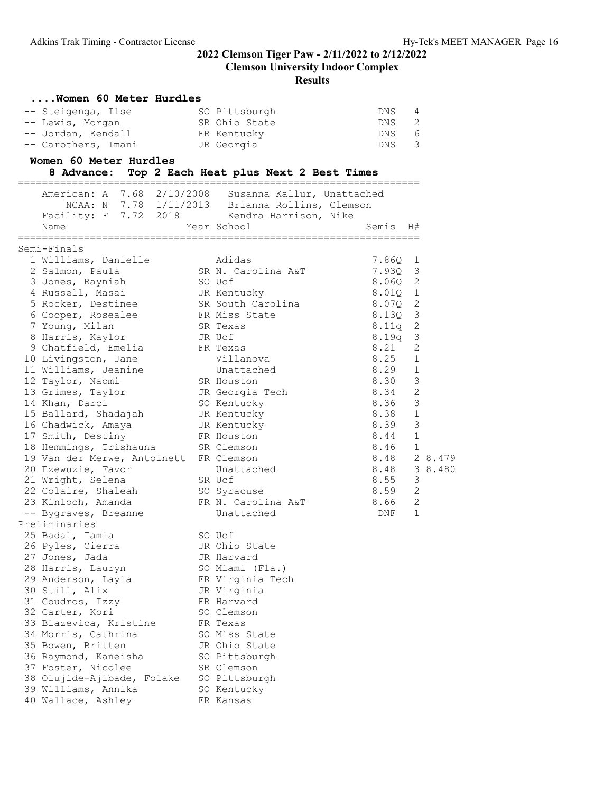| Women 60 Meter Hurdles                      |                                                 |              |              |         |
|---------------------------------------------|-------------------------------------------------|--------------|--------------|---------|
| -- Steigenga, Ilse                          | SO Pittsburgh                                   | DNS          | 4            |         |
| -- Lewis, Morgan                            | SR Ohio State                                   | DNS          | 2            |         |
| -- Jordan, Kendall                          | FR Kentucky                                     | DNS          | 6            |         |
| -- Carothers, Imani                         | JR Georgia                                      | DNS          | 3            |         |
| Women 60 Meter Hurdles                      |                                                 |              |              |         |
| 8 Advance:                                  | Top 2 Each Heat plus Next 2 Best Times          |              |              |         |
|                                             |                                                 |              |              |         |
| American: A 7.68 2/10/2008                  | Susanna Kallur, Unattached                      |              |              |         |
| Facility: F 7.72 2018 Kendra Harrison, Nike | NCAA: N 7.78 1/11/2013 Brianna Rollins, Clemson |              |              |         |
| Name                                        | Year School                                     | Semis        | H#           |         |
|                                             |                                                 |              |              |         |
| Semi-Finals                                 |                                                 |              |              |         |
| 1 Williams, Danielle                        | Adidas                                          | 7.860        | 1            |         |
| 2 Salmon, Paula                             | SR N. Carolina A&T                              | 7.93Q        | 3            |         |
| 3 Jones, Rayniah                            | SO Ucf                                          | 8.060        | $\mathbf{2}$ |         |
| 4 Russell, Masai                            | JR Kentucky                                     | 8.01Q        | $\mathbf 1$  |         |
| 5 Rocker, Destinee                          | SR South Carolina                               | 8.07Q        | 2            |         |
| 6 Cooper, Rosealee                          | FR Miss State                                   | 8.130        | 3            |         |
| 7 Young, Milan                              | SR Texas                                        | 8.11q        | 2            |         |
| 8 Harris, Kaylor                            | JR Ucf                                          | 8.19q        | 3            |         |
| 9 Chatfield, Emelia                         | FR Texas                                        | 8.21         | 2            |         |
| 10 Livingston, Jane                         | Villanova                                       | 8.25         | $\mathbf{1}$ |         |
| 11 Williams, Jeanine                        | Unattached                                      | 8.29         | $\mathbf 1$  |         |
| 12 Taylor, Naomi                            | SR Houston                                      | 8.30         | 3            |         |
| 13 Grimes, Taylor                           | JR Georgia Tech                                 | 8.34         | $\mathbf{2}$ |         |
| 14 Khan, Darci                              | SO Kentucky                                     | 8.36         | 3            |         |
| 15 Ballard, Shadajah                        | JR Kentucky                                     | 8.38         | $\mathbf{1}$ |         |
| 16 Chadwick, Amaya                          | JR Kentucky                                     | 8.39         | 3            |         |
| 17 Smith, Destiny                           | FR Houston                                      | 8.44         | $\mathbf 1$  |         |
| 18 Hemmings, Trishauna                      | SR Clemson                                      | 8.46         | $\mathbf 1$  |         |
| 19 Van der Merwe, Antoinett                 | FR Clemson                                      | 8.48         |              | 2 8.479 |
| 20 Ezewuzie, Favor                          | Unattached                                      | 8.48         |              | 3 8.480 |
| 21 Wright, Selena                           | SR Ucf                                          | 8.55<br>8.59 | 3<br>2       |         |
| 22 Colaire, Shaleah                         | SO Syracuse<br>FR N. Carolina A&T               | 8.66         | 2            |         |
| 23 Kinloch, Amanda                          | Unattached                                      | <b>DNF</b>   | 1            |         |
| -- Bygraves, Breanne<br>Preliminaries       |                                                 |              |              |         |
| 25 Badal, Tamia                             | SO Ucf                                          |              |              |         |
| 26 Pyles, Cierra                            | JR Ohio State                                   |              |              |         |
| 27 Jones, Jada                              | JR Harvard                                      |              |              |         |
| 28 Harris, Lauryn                           | SO Miami (Fla.)                                 |              |              |         |
| 29 Anderson, Layla                          | FR Virginia Tech                                |              |              |         |
| 30 Still, Alix                              | JR Virginia                                     |              |              |         |
| 31 Goudros, Izzy                            | FR Harvard                                      |              |              |         |
| 32 Carter, Kori                             | SO Clemson                                      |              |              |         |
| 33 Blazevica, Kristine                      | FR Texas                                        |              |              |         |
| 34 Morris, Cathrina                         | SO Miss State                                   |              |              |         |
| 35 Bowen, Britten                           | JR Ohio State                                   |              |              |         |
| 36 Raymond, Kaneisha                        | SO Pittsburgh                                   |              |              |         |
| 37 Foster, Nicolee                          | SR Clemson                                      |              |              |         |
| 38 Olujide-Ajibade, Folake                  | SO Pittsburgh                                   |              |              |         |
| 39 Williams, Annika                         | SO Kentucky                                     |              |              |         |
| 40 Wallace, Ashley                          | FR Kansas                                       |              |              |         |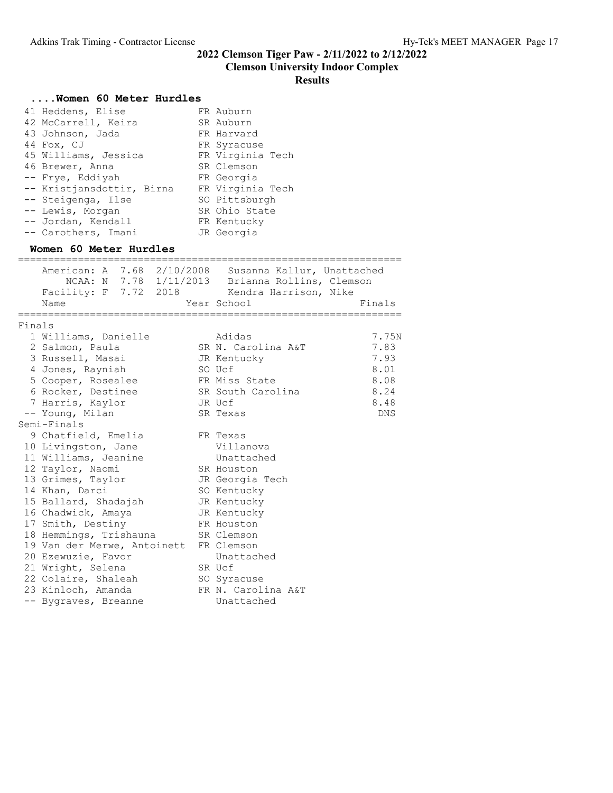#### Clemson University Indoor Complex

# Results

|        | Women 60 Meter Hurdles                                |                                                 |        |
|--------|-------------------------------------------------------|-------------------------------------------------|--------|
|        | 41 Heddens, Elise                                     | FR Auburn                                       |        |
|        | 42 McCarrell, Keira                                   | SR Auburn                                       |        |
|        | 43 Johnson, Jada                                      | FR Harvard                                      |        |
|        | 44 Fox, CJ                                            | FR Syracuse                                     |        |
|        | 45 Williams, Jessica                                  | FR Virginia Tech                                |        |
|        | 46 Brewer, Anna                                       | SR Clemson                                      |        |
|        | -- Frye, Eddiyah                                      | FR Georgia                                      |        |
|        | -- Kristjansdottir, Birna                             | FR Virginia Tech                                |        |
|        | -- Steigenga, Ilse                                    | SO Pittsburgh                                   |        |
|        | -- Lewis, Morgan                                      | SR Ohio State                                   |        |
|        | -- Jordan, Kendall                                    | FR Kentucky                                     |        |
|        | -- Carothers, Imani                                   | JR Georgia                                      |        |
|        | Women 60 Meter Hurdles<br>==================          |                                                 |        |
|        | American: A 7.68 2/10/2008 Susanna Kallur, Unattached |                                                 |        |
|        |                                                       | NCAA: N 7.78 1/11/2013 Brianna Rollins, Clemson |        |
|        | Facility: F 7.72 2018 Kendra Harrison, Nike           |                                                 |        |
|        | Name                                                  | Year School                                     | Finals |
| Finals |                                                       |                                                 |        |
|        | 1 Williams, Danielle                                  | Adidas                                          | 7.75N  |
|        | 2 Salmon, Paula                                       | SR N. Carolina A&T                              | 7.83   |
|        | 3 Russell, Masai                                      | JR Kentucky                                     | 7.93   |
|        | 4 Jones, Rayniah                                      | SO Ucf                                          | 8.01   |
|        | 5 Cooper, Rosealee                                    | FR Miss State                                   | 8.08   |
|        | 6 Rocker, Destinee                                    | SR South Carolina                               | 8.24   |
|        | 7 Harris, Kaylor                                      | JR Ucf                                          | 8.48   |
|        | -- Young, Milan                                       | SR Texas                                        | DNS    |
|        | Semi-Finals                                           |                                                 |        |
|        | 9 Chatfield, Emelia                                   | FR Texas                                        |        |
|        | 10 Livingston, Jane                                   | Villanova                                       |        |
|        | 11 Williams, Jeanine                                  | Unattached                                      |        |
|        | 12 Taylor, Naomi                                      | SR Houston                                      |        |
|        | 13 Grimes, Taylor                                     | JR Georgia Tech                                 |        |
|        | 14 Khan, Darci                                        | SO Kentucky                                     |        |
|        | 15 Ballard, Shadajah                                  | JR Kentucky                                     |        |
|        | 16 Chadwick, Amaya                                    | JR Kentucky                                     |        |
|        | 17 Smith, Destiny                                     | FR Houston                                      |        |
|        | 18 Hemmings, Trishauna                                | SR Clemson                                      |        |
|        | 19 Van der Merwe, Antoinett                           | FR Clemson                                      |        |
|        | 20 Ezewuzie, Favor                                    | Unattached                                      |        |
|        | 21 Wright, Selena                                     | SR Ucf                                          |        |
|        | 22 Colaire, Shaleah                                   | SO Syracuse                                     |        |
|        | 23 Kinloch, Amanda                                    | FR N. Carolina A&T                              |        |
|        | -- Bygraves, Breanne                                  | Unattached                                      |        |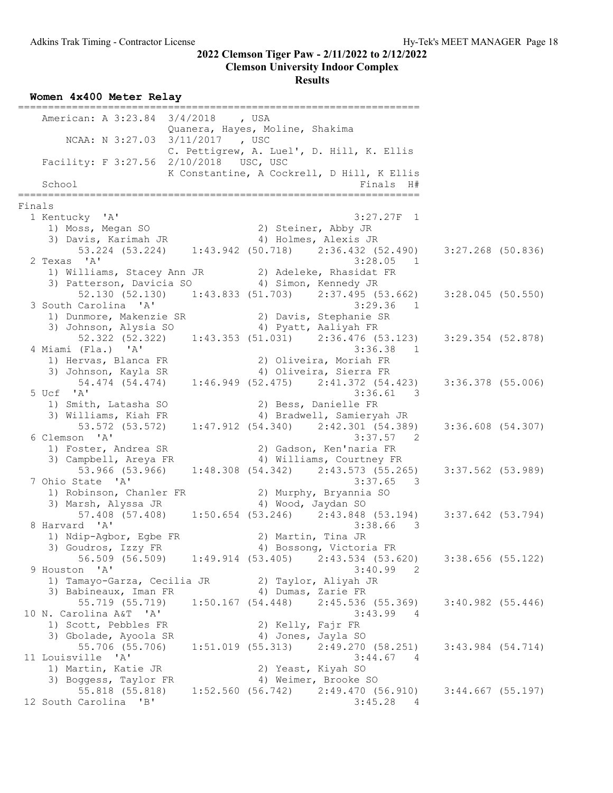## Clemson University Indoor Complex

#### Results

|        | American: A 3:23.84 3/4/2018 , USA                                          |                                 |                                                  |                       |  |
|--------|-----------------------------------------------------------------------------|---------------------------------|--------------------------------------------------|-----------------------|--|
|        | NCAA: N 3:27.03 3/11/2017 , USC                                             | Quanera, Hayes, Moline, Shakima |                                                  |                       |  |
|        |                                                                             |                                 | C. Pettigrew, A. Luel', D. Hill, K. Ellis        |                       |  |
|        | Facility: F 3:27.56 2/10/2018 USC, USC                                      |                                 | K Constantine, A Cockrell, D Hill, K Ellis       |                       |  |
|        | School                                                                      |                                 | Finals H#                                        |                       |  |
| Finals |                                                                             |                                 | ===============                                  |                       |  |
|        | 1 Kentucky 'A'                                                              |                                 | $3:27.27F$ 1                                     |                       |  |
|        | 1) Moss, Megan SO                                                           | 2) Steiner, Abby JR             |                                                  |                       |  |
|        | 3) Davis, Karimah JR                                                        |                                 | 4) Holmes, Alexis JR                             |                       |  |
|        | 53.224 (53.224) 1:43.942 (50.718) 2:36.432 (52.490) 3:27.268 (50.836)       |                                 |                                                  |                       |  |
|        | 2 Texas 'A'                                                                 |                                 | 3:28.05<br>$\overline{1}$                        |                       |  |
|        | 1) Williams, Stacey Ann JR (2) Adeleke, Rhasidat FR                         |                                 |                                                  |                       |  |
|        | 3) Patterson, Davicia SO 4) Simon, Kennedy JR                               |                                 |                                                  |                       |  |
|        | 52.130 (52.130) 1:43.833 (51.703) 2:37.495 (53.662)                         |                                 |                                                  | 3:28.045(50.550)      |  |
|        | 3 South Carolina 'A'                                                        |                                 | 3:29.36<br>$\overline{1}$                        |                       |  |
|        | 1) Dunmore, Makenzie SR                                                     |                                 | 2) Davis, Stephanie SR                           |                       |  |
|        | 3) Johnson, Alysia SO                                                       | 4) Pyatt, Aaliyah FR            |                                                  |                       |  |
|        | 52.322 (52.322) 1:43.353 (51.031) 2:36.476 (53.123)                         |                                 |                                                  | $3:29.354$ (52.878)   |  |
|        | 4 Miami (Fla.) 'A'                                                          |                                 | 3:36.38<br>$\overline{1}$                        |                       |  |
|        | 1) Hervas, Blanca FR                                                        |                                 | 2) Oliveira, Moriah FR<br>4) Oliveira, Sierra FR |                       |  |
|        | 3) Johnson, Kayla SR<br>54.474 (54.474) 1:46.949 (52.475) 2:41.372 (54.423) |                                 |                                                  |                       |  |
|        | 5 Ucf 'A'                                                                   |                                 | 3:36.61<br>$\overline{\phantom{a}}$              | 3:36.378 (55.006)     |  |
|        | 1) Smith, Latasha SO                                                        |                                 | 2) Bess, Danielle FR                             |                       |  |
|        | 3) Williams, Kiah FR                                                        |                                 | 4) Bradwell, Samieryah JR                        |                       |  |
|        | 53.572 (53.572)                                                             |                                 | $1:47.912$ (54.340) $2:42.301$ (54.389)          | $3:36.608$ $(54.307)$ |  |
|        | 6 Clemson 'A'                                                               |                                 | 3:37.57 2                                        |                       |  |
|        | 1) Foster, Andrea SR                                                        |                                 | 2) Gadson, Ken'naria FR                          |                       |  |
|        | 3) Campbell, Areya FR                                                       |                                 | 4) Williams, Courtney FR                         |                       |  |
|        | 53.966 (53.966)                                                             |                                 | $1:48.308$ (54.342) $2:43.573$ (55.265)          | $3:37.562$ (53.989)   |  |
|        | 7 Ohio State 'A'                                                            |                                 | 3:37.65<br>$\overline{\phantom{a}}$              |                       |  |
|        | 1) Robinson, Chanler FR                                                     |                                 | 2) Murphy, Bryannia SO                           |                       |  |
|        | 3) Marsh, Alyssa JR                                                         | 4) Wood, Jaydan SO              |                                                  |                       |  |
|        | 57.408 (57.408) 1:50.654 (53.246) 2:43.848 (53.194) 3:37.642 (53.794)       |                                 |                                                  |                       |  |
|        | 8 Harvard 'A'                                                               |                                 | 3:38.66<br>3                                     |                       |  |
|        | 1) Ndip-Agbor, Egbe FR                                                      | 2) Martin, Tina JR              |                                                  |                       |  |
|        | 3) Goudros, Izzy FR                                                         |                                 | 4) Bossong, Victoria FR                          |                       |  |
|        | 56.509 (56.509)                                                             | 1:49.914(53.405)                | $2:43.534$ (53.620)                              | 3:38.656(55.122)      |  |
|        | 9 Houston 'A'                                                               |                                 | 3:40.99<br>2                                     |                       |  |
|        | 1) Tamayo-Garza, Cecilia JR (2) Taylor, Aliyah JR                           |                                 |                                                  |                       |  |
|        | 3) Babineaux, Iman FR<br>55.719 (55.719)                                    | 4) Dumas, Zarie FR              | $1:50.167$ (54.448) $2:45.536$ (55.369)          | 3:40.982(55.446)      |  |
|        | 10 N. Carolina A&T 'A'                                                      |                                 | 3:43.99<br>4                                     |                       |  |
|        | 1) Scott, Pebbles FR                                                        | 2) Kelly, Fajr FR               |                                                  |                       |  |
|        | 3) Gbolade, Ayoola SR                                                       | 4) Jones, Jayla SO              |                                                  |                       |  |
|        | 55.706 (55.706)                                                             |                                 | $1:51.019$ (55.313) $2:49.270$ (58.251)          | $3:43.984$ $(54.714)$ |  |
|        | 11 Louisville 'A'                                                           |                                 | 3:44.67<br>- 4                                   |                       |  |
|        | 1) Martin, Katie JR                                                         | 2) Yeast, Kiyah SO              |                                                  |                       |  |
|        | 3) Boggess, Taylor FR                                                       |                                 | 4) Weimer, Brooke SO                             |                       |  |
|        | 55.818 (55.818)                                                             |                                 | $1:52.560$ (56.742) 2:49.470 (56.910)            | $3:44.667$ (55.197)   |  |
|        | 12 South Carolina<br>$\mathsf{B}$                                           |                                 | 3:45.28<br>4                                     |                       |  |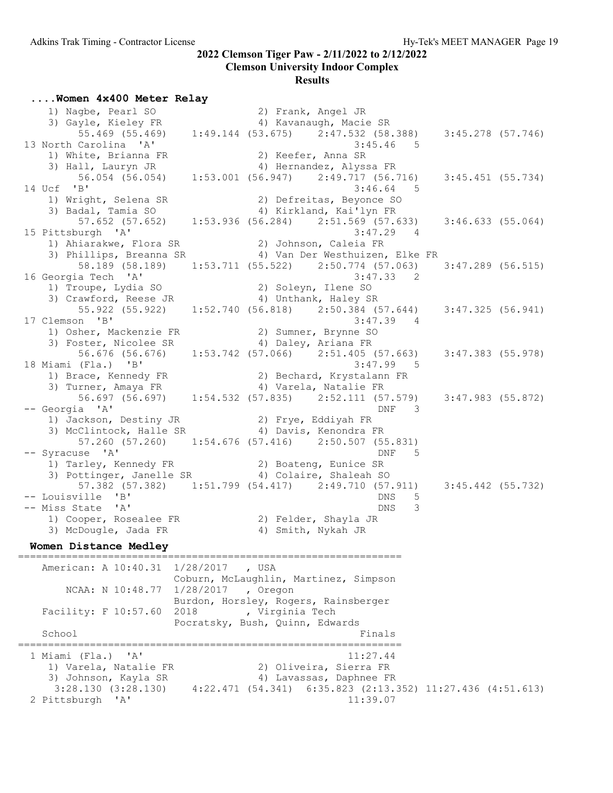#### Clemson University Indoor Complex Results

....Women 4x400 Meter Relay

| 1) Nagbe, Pearl SO                                                    |           | 2) Frank, Angel JR                                          |                          |                                 |                     |
|-----------------------------------------------------------------------|-----------|-------------------------------------------------------------|--------------------------|---------------------------------|---------------------|
| 3) Gayle, Kieley FR                                                   |           |                                                             | 4) Kavanaugh, Macie SR   |                                 |                     |
| 55.469 (55.469)                                                       |           | $1:49.144$ (53.675) $2:47.532$ (58.388) $3:45.278$ (57.746) |                          |                                 |                     |
| 13 North Carolina 'A'                                                 |           |                                                             |                          | 3:45.46<br>$5^{\circ}$          |                     |
| 1) White, Brianna FR                                                  |           |                                                             | 2) Keefer, Anna SR       |                                 |                     |
| 3) Hall, Lauryn JR                                                    |           |                                                             | 4) Hernandez, Alyssa FR  |                                 |                     |
| 56.054 (56.054)                                                       |           | $1:53.001$ (56.947) $2:49.717$ (56.716)                     |                          |                                 | $3:45.451$ (55.734) |
| 14 Ucf 'B'                                                            |           |                                                             |                          | 3:46.64<br>5                    |                     |
| 1) Wright, Selena SR                                                  |           |                                                             | 2) Defreitas, Beyonce SO |                                 |                     |
| 3) Badal, Tamia SO                                                    |           |                                                             | 4) Kirkland, Kai'lyn FR  |                                 |                     |
| 57.652 (57.652)                                                       |           | $1:53.936$ (56.284) $2:51.569$ (57.633)                     |                          |                                 | 3:46.633(55.064)    |
|                                                                       |           |                                                             |                          | 3:47.29<br>$\overline{4}$       |                     |
| 15 Pittsburgh 'A'<br>1) Ahiarakwe, Flora SR (2) Johnson, Caleia FR    |           |                                                             |                          |                                 |                     |
| 3) Phillips, Breanna SR 4) Van Der Westhuizen, Elke FR                |           |                                                             |                          |                                 |                     |
|                                                                       |           |                                                             |                          |                                 |                     |
| 58.189 (58.189)                                                       |           | $1:53.711$ (55.522) $2:50.774$ (57.063) $3:47.289$ (56.515) |                          |                                 |                     |
| 16 Georgia Tech 'A'                                                   |           |                                                             |                          | 3:47.33 2                       |                     |
| 1) Troupe, Lydia SO                                                   |           |                                                             | 2) Soleyn, Ilene SO      |                                 |                     |
| 3) Crawford, Reese JR                                                 |           | 4) Unthank, Haley SR                                        |                          |                                 |                     |
| 55.922 (55.922) 1:52.740 (56.818) 2:50.384 (57.644) 3:47.325 (56.941) |           |                                                             |                          |                                 |                     |
| 17 Clemson 'B'                                                        |           |                                                             |                          | 3:47.39<br>4                    |                     |
| 1) Osher, Mackenzie FR                                                |           | 2) Sumner, Brynne SO                                        |                          |                                 |                     |
| 3) Foster, Nicolee SR                                                 |           | 4) Daley, Ariana FR                                         |                          |                                 |                     |
| 56.676 (56.676)                                                       |           | $1:53.742$ (57.066) $2:51.405$ (57.663)                     |                          |                                 | $3:47.383$ (55.978) |
| 18 Miami (Fla.) 'B'                                                   |           |                                                             |                          | 3:47.99 5                       |                     |
| 1) Brace, Kennedy FR 2) Bechard, Krystalann FR                        |           |                                                             |                          |                                 |                     |
| 3) Turner, Amaya FR                                                   |           |                                                             | 4) Varela, Natalie FR    |                                 |                     |
|                                                                       |           |                                                             |                          |                                 | $3:47.983$ (55.872) |
| -- Georgia 'A'                                                        |           |                                                             |                          | DNF<br>$\overline{\phantom{a}}$ |                     |
|                                                                       |           | 2) Frye, Eddiyah FR                                         |                          |                                 |                     |
| 1) Jackson, Destiny JR<br>3) McClintock, Halle SR                     |           | 4) Davis, Kenondra FR                                       |                          |                                 |                     |
| 57.260 (57.260) 1:54.676 (57.416) 2:50.507 (55.831)                   |           |                                                             |                          |                                 |                     |
| -- Syracuse 'A'                                                       |           |                                                             |                          | DNF<br>5                        |                     |
| 1) Tarley, Kennedy FR 2) Boateng, Eunice SR                           |           |                                                             |                          |                                 |                     |
| 3) Pottinger, Janelle SR 4) Colaire, Shaleah SO                       |           |                                                             |                          |                                 |                     |
| 57.382 (57.382) 1:51.799 (54.417) 2:49.710 (57.911)                   |           |                                                             |                          |                                 | $3:45.442$ (55.732) |
| -- Louisville 'B'                                                     |           |                                                             |                          | DNS<br>5                        |                     |
| -- Miss State 'A'                                                     |           |                                                             |                          | <b>DNS</b><br>3                 |                     |
| 1) Cooper, Rosealee FR 2) Felder, Shayla JR                           |           |                                                             |                          |                                 |                     |
| 3) McDougle, Jada FR                                                  |           |                                                             | 4) Smith, Nykah JR       |                                 |                     |
|                                                                       |           |                                                             |                          |                                 |                     |
| Women Distance Medley                                                 |           |                                                             |                          |                                 |                     |
| American: A 10:40.31 1/28/2017 , USA                                  |           |                                                             |                          |                                 |                     |
|                                                                       |           | Coburn, McLaughlin, Martinez, Simpson                       |                          |                                 |                     |
|                                                                       |           |                                                             |                          |                                 |                     |
| NCAA: N 10:48.77                                                      | 1/28/2017 | , Oregon                                                    |                          |                                 |                     |
|                                                                       |           | Burdon, Horsley, Rogers, Rainsberger                        |                          |                                 |                     |
| Facility: F 10:57.60 2018                                             |           | , Virginia Tech                                             |                          |                                 |                     |
|                                                                       |           | Pocratsky, Bush, Quinn, Edwards                             |                          |                                 |                     |
| School                                                                |           |                                                             |                          | Finals                          |                     |
| 1 Miami (Fla.)<br>' A'                                                |           |                                                             | 11:27.44                 |                                 |                     |
| 1) Varela, Natalie FR                                                 |           |                                                             | 2) Oliveira, Sierra FR   |                                 |                     |
|                                                                       |           |                                                             | 4) Lavassas, Daphnee FR  |                                 |                     |
| 3) Johnson, Kayla SR                                                  |           |                                                             |                          |                                 |                     |
| 3:28.130(3:28.130)                                                    |           | 4:22.471 (54.341) 6:35.823 (2:13.352) 11:27.436 (4:51.613)  |                          |                                 |                     |
| 2 Pittsburgh 'A'                                                      |           |                                                             | 11:39.07                 |                                 |                     |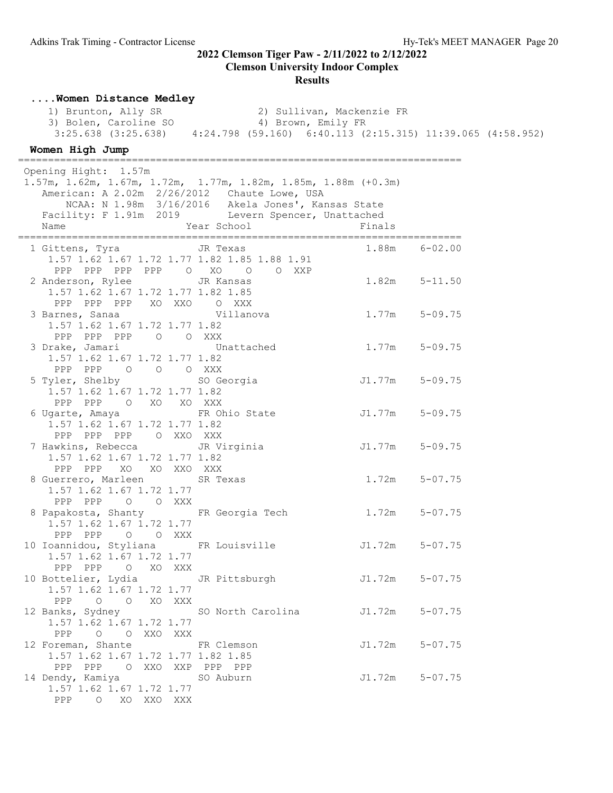#### Results

| Women Distance Medley                                                                                                                                                       |                                                    |                    |             |  |
|-----------------------------------------------------------------------------------------------------------------------------------------------------------------------------|----------------------------------------------------|--------------------|-------------|--|
| 1) Brunton, Ally SR 2) Sullivan, Mackenzie FR<br>3) Bolen, Caroline SO 4) Brown, Emily FR<br>3:25.638 (3:25.638) 4:24.798 (59.160) 6:40.113 (2:15.315) 11:39.065 (4:58.952) |                                                    |                    |             |  |
|                                                                                                                                                                             |                                                    |                    |             |  |
|                                                                                                                                                                             |                                                    |                    |             |  |
| Women High Jump                                                                                                                                                             |                                                    |                    |             |  |
| Opening Hight: 1.57m                                                                                                                                                        |                                                    |                    |             |  |
| 1.57m, 1.62m, 1.67m, 1.72m, 1.77m, 1.82m, 1.85m, 1.88m (+0.3m)                                                                                                              |                                                    |                    |             |  |
| American: A 2.02m 2/26/2012 Chaute Lowe, USA                                                                                                                                |                                                    |                    |             |  |
|                                                                                                                                                                             | NCAA: N 1.98m 3/16/2016 Akela Jones', Kansas State |                    |             |  |
| Facility: F 1.91m 2019 Levern Spencer, Unattached                                                                                                                           |                                                    |                    |             |  |
| Year School<br>Name                                                                                                                                                         |                                                    | Finals             |             |  |
| 1 Gittens, Tyra JR Texas                                                                                                                                                    |                                                    | $1.88m$ $6-02.00$  |             |  |
| 1.57 1.62 1.67 1.72 1.77 1.82 1.85 1.88 1.91                                                                                                                                |                                                    |                    |             |  |
| PPP PPP PPP PPP 0 XO 0 0 XXP                                                                                                                                                |                                                    |                    |             |  |
| 2 Anderson, Rylee                                                                                                                                                           | JR Kansas                                          | $1.82m$ $5-11.50$  |             |  |
| 1.57 1.62 1.67 1.72 1.77 1.82 1.85                                                                                                                                          |                                                    |                    |             |  |
| PPP PPP PPP XO XXO O XXX                                                                                                                                                    |                                                    |                    |             |  |
|                                                                                                                                                                             |                                                    |                    |             |  |
| 1.57 1.62 1.67 1.72 1.77 1.82                                                                                                                                               |                                                    |                    |             |  |
| PPP PPP PPP 0 0 XXX                                                                                                                                                         |                                                    |                    |             |  |
| 3 Drake, Jamari Vnattached<br>1.57 1.62 1.67 1.72 1.77 1.82                                                                                                                 |                                                    | $1.77m$ $5-09.75$  |             |  |
| PPP PPP 0 0 0 XXX                                                                                                                                                           |                                                    |                    |             |  |
| 5 Tyler, Shelby SO Georgia                                                                                                                                                  |                                                    | J1.77m 5-09.75     |             |  |
| 1.57 1.62 1.67 1.72 1.77 1.82                                                                                                                                               |                                                    |                    |             |  |
| PPP PPP 0 XO XO XXX                                                                                                                                                         |                                                    |                    |             |  |
| 6 Ugarte, Amaya TR Ohio State                                                                                                                                               |                                                    | J1.77m 5-09.75     |             |  |
| 1.57 1.62 1.67 1.72 1.77 1.82                                                                                                                                               |                                                    |                    |             |  |
| PPP PPP PPP O XXO XXX                                                                                                                                                       |                                                    |                    |             |  |
| 7 Hawkins, Rebecca                                                                                                                                                          | JR Virginia                                        | J1.77m 5-09.75     |             |  |
| 1.57 1.62 1.67 1.72 1.77 1.82<br>PPP PPP XO XO XXO XXX                                                                                                                      |                                                    |                    |             |  |
| 8 Guerrero, Marleen                                                                                                                                                         | SR Texas                                           | $1.72m$ $5-07.75$  |             |  |
| 1.57 1.62 1.67 1.72 1.77                                                                                                                                                    |                                                    |                    |             |  |
| PPP PPP 0 0 XXX                                                                                                                                                             |                                                    |                    |             |  |
| 8 Papakosta, Shanty     FR Georgia Tech     1.72m   5-07.75                                                                                                                 |                                                    |                    |             |  |
| 1.57 1.62 1.67 1.72 1.77                                                                                                                                                    |                                                    |                    |             |  |
| PPP PPP 0 0 XXX                                                                                                                                                             |                                                    |                    |             |  |
| 10 Ioannidou, Styliana FR Louisville                                                                                                                                        |                                                    | J1.72m             | $5 - 07.75$ |  |
| 1.57 1.62 1.67 1.72 1.77                                                                                                                                                    |                                                    |                    |             |  |
| PPP PPP 0 XO XXX<br>10 Bottelier, Lydia GR Pittsburgh                                                                                                                       |                                                    | $J1.72m$ $5-07.75$ |             |  |
| 1.57 1.62 1.67 1.72 1.77                                                                                                                                                    |                                                    |                    |             |  |
| PPP 0 0 XO XXX                                                                                                                                                              |                                                    |                    |             |  |
| 12 Banks, Sydney 50 North Carolina                                                                                                                                          |                                                    | J1.72m 5-07.75     |             |  |
| 1.57 1.62 1.67 1.72 1.77                                                                                                                                                    |                                                    |                    |             |  |
| PPP O O XXO XXX                                                                                                                                                             |                                                    |                    |             |  |
| 12 Foreman, Shante FR Clemson                                                                                                                                               |                                                    | $J1.72m$ $5-07.75$ |             |  |
| 1.57 1.62 1.67 1.72 1.77 1.82 1.85                                                                                                                                          |                                                    |                    |             |  |
| PPP PPP O XXO XXP PPP PPP                                                                                                                                                   |                                                    |                    |             |  |
| 14 Dendy, Kamiya<br>1.57 1.62 1.67 1.72 1.77                                                                                                                                | SO Auburn                                          | $J1.72m$ $5-07.75$ |             |  |
| PPP O XO XXO XXX                                                                                                                                                            |                                                    |                    |             |  |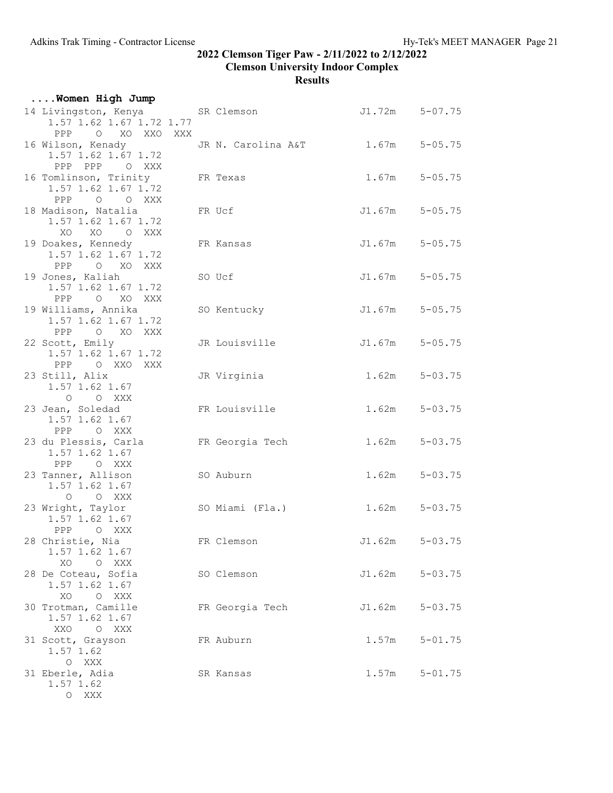| Women High Jump                                                             |          |                    |                    |                    |
|-----------------------------------------------------------------------------|----------|--------------------|--------------------|--------------------|
| 14 Livingston, Kenya SR Clemson<br>1.57 1.62 1.67 1.72 1.77<br>PPP O XO XXO | XXX      |                    |                    | $J1.72m$ $5-07.75$ |
| 16 Wilson, Kenady<br>1.57 1.62 1.67 1.72<br>PPP PPP O XXX                   |          | JR N. Carolina A&T |                    | $1.67m$ $5-05.75$  |
| 16 Tomlinson, Trinity<br>1.57 1.62 1.67 1.72<br>PPP<br>O O XXX              | FR Texas |                    |                    | $1.67m$ $5-05.75$  |
| 18 Madison, Natalia<br>1.57 1.62 1.67 1.72<br>XO<br>XO O XXX                |          | FR Ucf             |                    | $J1.67m$ $5-05.75$ |
| 19 Doakes, Kennedy<br>1.57 1.62 1.67 1.72<br>PPP O XO XXX                   |          | FR Kansas          |                    | $J1.67m$ $5-05.75$ |
| 19 Jones, Kaliah<br>1.57 1.62 1.67 1.72<br>O XO XXX<br>PPP                  |          | SO Ucf             |                    | $J1.67m$ $5-05.75$ |
| 19 Williams, Annika<br>1.57 1.62 1.67 1.72<br>O XO XXX<br>$\rm PPP$         |          | SO Kentucky        |                    | $J1.67m$ $5-05.75$ |
| 22 Scott, Emily<br>1.57 1.62 1.67 1.72<br>PPP OXXOXXX                       |          | JR Louisville      |                    | $J1.67m$ $5-05.75$ |
| 23 Still, Alix<br>1.57 1.62 1.67<br>O O XXX                                 |          | JR Virginia        |                    | $1.62m$ $5-03.75$  |
| 23 Jean, Soledad<br>1.57 1.62 1.67<br>O XXX<br>PPP                          |          | FR Louisville      |                    | $1.62m$ $5-03.75$  |
| 23 du Plessis, Carla<br>1.57 1.62 1.67<br>PPP OXXX                          |          | FR Georgia Tech    |                    | $1.62m$ $5-03.75$  |
| 23 Tanner, Allison<br>1.57 1.62 1.67<br>O O XXX                             |          | SO Auburn          |                    | $1.62m$ $5-03.75$  |
| 23 Wright, Taylor<br>1.57 1.62 1.67<br>PPP OXXX                             |          | SO Miami (Fla.)    |                    | $1.62m$ $5-03.75$  |
| 28 Christie, Nia<br>1.57 1.62 1.67<br>XO<br>O XXX                           |          | FR Clemson         | $J1.62m$ $5-03.75$ |                    |
| 28 De Coteau, Sofia<br>1.57 1.62 1.67<br>XO<br>O XXX                        |          | SO Clemson         | J1.62m             | $5 - 03.75$        |
| 30 Trotman, Camille<br>1.57 1.62 1.67<br>XXO<br>O XXX                       |          | FR Georgia Tech    | J1.62m             | $5 - 03.75$        |
| 31 Scott, Grayson<br>1.57 1.62<br>O XXX                                     |          | FR Auburn          | 1.57m              | $5 - 01.75$        |
| 31 Eberle, Adia<br>1.57 1.62<br>O XXX                                       |          | SR Kansas          | 1.57m              | $5 - 01.75$        |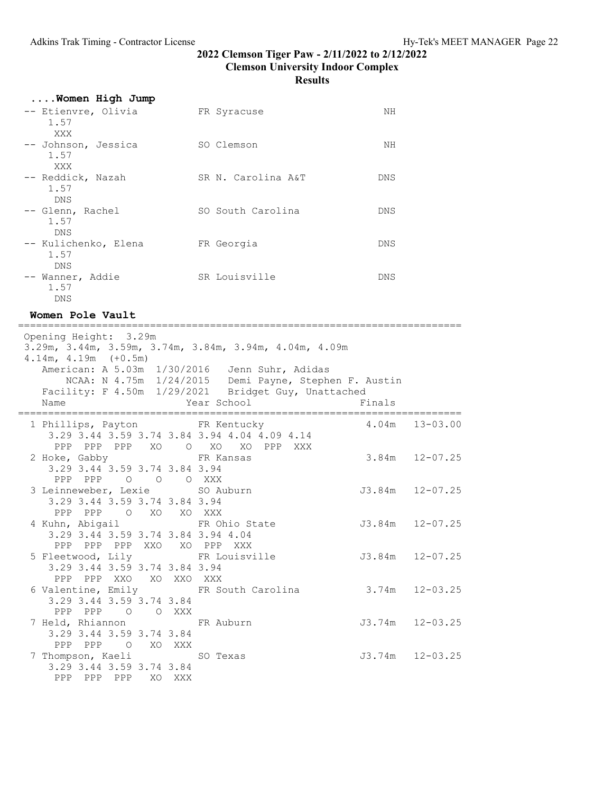| Women High Jump                            |                    |     |
|--------------------------------------------|--------------------|-----|
| -- Etienvre, Olivia<br>1.57<br>XXX         | FR Syracuse        | NΗ  |
| -- Johnson, Jessica<br>1.57<br>XXX         | SO Clemson         | ΝH  |
| -- Reddick, Nazah<br>1.57<br><b>DNS</b>    | SR N. Carolina A&T | DNS |
| -- Glenn, Rachel<br>1.57<br><b>DNS</b>     | SO South Carolina  | DNS |
| -- Kulichenko, Elena<br>1.57<br><b>DNS</b> | FR Georgia         | DNS |
| -- Wanner, Addie<br>1.57<br><b>DNS</b>     | SR Louisville      | DNS |

Women Pole Vault

========================================================================== Opening Height: 3.29m

| $4.14m$ , $4.19m$ $(+0.5m)$                                                                    | 3.29m, 3.44m, 3.59m, 3.74m, 3.84m, 3.94m, 4.04m, 4.09m                                                                                                        |                    |
|------------------------------------------------------------------------------------------------|---------------------------------------------------------------------------------------------------------------------------------------------------------------|--------------------|
|                                                                                                | American: A 5.03m 1/30/2016 Jenn Suhr, Adidas<br>NCAA: N 4.75m 1/24/2015 Demi Payne, Stephen F. Austin<br>Facility: F 4.50m 1/29/2021 Bridget Guy, Unattached |                    |
|                                                                                                |                                                                                                                                                               |                    |
|                                                                                                | 1 Phillips, Payton FR Kentucky 6 4.04m 13-03.00<br>3.29 3.44 3.59 3.74 3.84 3.94 4.04 4.09 4.14                                                               |                    |
| 2 Hoke, Gabby FR Kansas<br>3.29 3.44 3.59 3.74 3.84 3.94                                       | PPP PPP PPP XO O XO XO PPP XXX                                                                                                                                | $3.84m$ $12-07.25$ |
| PPP PPP 0 0 0 XXX<br>3 Leinneweber, Lexie 50 Auburn<br>3.29 3.44 3.59 3.74 3.84 3.94           | J3.84m 12-07.25                                                                                                                                               |                    |
| PPP PPP O XO XO XXX<br>3.29 3.44 3.59 3.74 3.84 3.94 4.04                                      | 4 Kuhn, Abigail 6 Mexico FR Ohio State 53.84m 12-07.25                                                                                                        |                    |
| PPP PPP PPP XXO XO PPP XXX<br>5 Fleetwood, Lily FR Louisville<br>3.29 3.44 3.59 3.74 3.84 3.94 | $J3.84m$ $12-07.25$                                                                                                                                           |                    |
| PPP PPP XXO XO XXO XXX<br>3.29 3.44 3.59 3.74 3.84                                             | 6 Valentine, Emily FR South Carolina 3.74m 12-03.25                                                                                                           |                    |
| PPP PPP 0 0 XXX<br>7 Held, Rhiannon FR Auburn                                                  | $J3.74m$ $12-03.25$                                                                                                                                           |                    |
| 3.29 3.44 3.59 3.74 3.84<br>PPP PPP 0 XO XXX<br>7 Thompson, Kaeli SO Texas                     | J3.74m 12-03.25                                                                                                                                               |                    |
| 3.29 3.44 3.59 3.74 3.84<br>PPP PPP PPP XO XXX                                                 |                                                                                                                                                               |                    |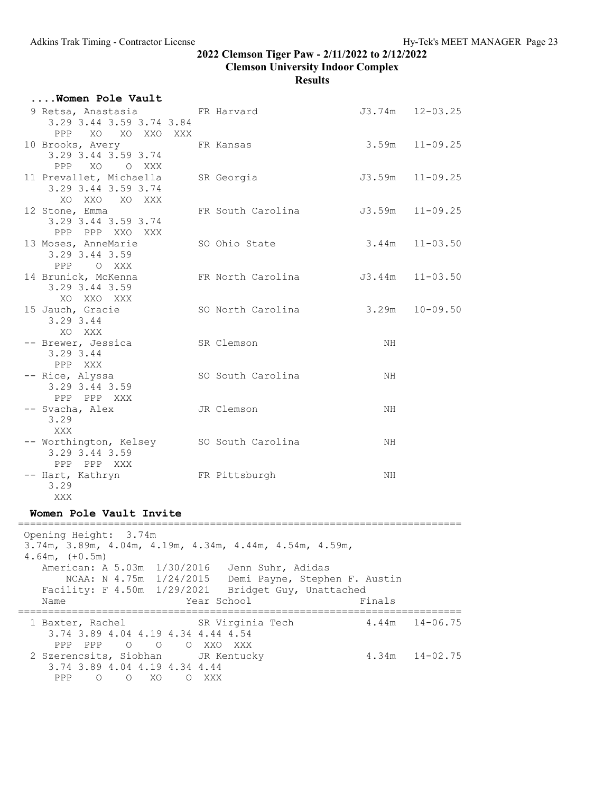| Women Pole Vault                                                               |                   |                        |
|--------------------------------------------------------------------------------|-------------------|------------------------|
| 9 Retsa, Anastasia FR Harvard<br>3.29 3.44 3.59 3.74 3.84<br>PPP XO XO XXO XXX |                   | $J3.74m$ $12-03.25$    |
| 10 Brooks, Avery<br>3.29 3.44 3.59 3.74<br>PPP XO OXXX                         | FR Kansas         | $3.59m$ $11-09.25$     |
| 11 Prevallet, Michaella<br>3.29 3.44 3.59 3.74<br>XO XXO XO XXX                | SR Georgia        | J3.59m<br>$11 - 09.25$ |
| 12 Stone, Emma<br>3.29 3.44 3.59 3.74<br>PPP PPP XXO XXX                       | FR South Carolina | $J3.59m$ $11-09.25$    |
| 13 Moses, AnneMarie<br>3.29 3.44 3.59<br>PPP OXXX                              | SO Ohio State     | $3.44m$ $11-03.50$     |
| 14 Brunick, McKenna<br>3.29 3.44 3.59<br>XO XXO XXX                            | FR North Carolina | $J3.44m$ $11-03.50$    |
| 15 Jauch, Gracie<br>3.29 3.44<br>XO XXX                                        | SO North Carolina | $3.29m$ $10-09.50$     |
| -- Brewer, Jessica<br>3.29 3.44<br>PPP XXX                                     | SR Clemson        | NH                     |
| -- Rice, Alyssa<br>3.29 3.44 3.59<br>PPP PPP XXX                               | SO South Carolina | NH                     |
| -- Svacha, Alex<br>3.29<br>XXX                                                 | JR Clemson        | NH                     |
| -- Worthington, Kelsey SO South Carolina<br>3.29 3.44 3.59<br>PPP PPP XXX      |                   | ΝH                     |
| -- Hart, Kathryn<br>3.29<br>XXX                                                | FR Pittsburgh     | NH                     |
| Women Pole Vault Invite                                                        |                   |                        |
| Opening Height: 3.74m                                                          |                   |                        |
|                                                                                |                   |                        |

 Opening Height: 3.74m 3.74m, 3.89m, 4.04m, 4.19m, 4.34m, 4.44m, 4.54m, 4.59m, 4.64m, (+0.5m) American: A 5.03m 1/30/2016 Jenn Suhr, Adidas NCAA: N 4.75m 1/24/2015 Demi Payne, Stephen F. Austin Facility: F 4.50m 1/29/2021 Bridget Guy, Unattached Name Year School Finals ========================================================================== 1 Baxter, Rachel SR Virginia Tech 3.74 3.89 4.04 4.19 4.34 4.44 4.54 PPP PPP O O O XXO XXX 2 Szerencsits, Siobhan JR Kentucky 4.34m 14-02.75 3.74 3.89 4.04 4.19 4.34 4.44 PPP O O XO O XXX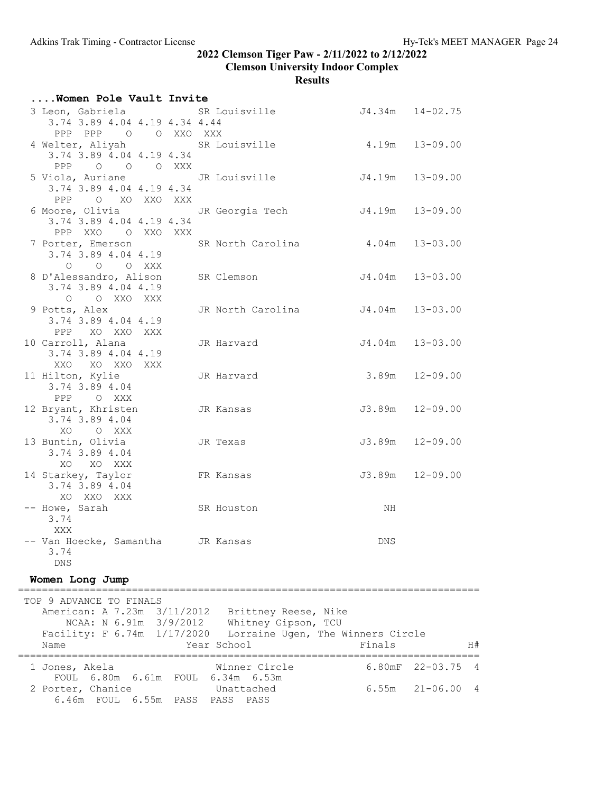# Results

| Women Pole Vault Invite                                                                   |                                                  |                    |                   |
|-------------------------------------------------------------------------------------------|--------------------------------------------------|--------------------|-------------------|
| 3.74 3.89 4.04 4.19 4.34 4.44<br>PPP PPP 0 0 XXO XXX                                      | 3 Leon, Gabriela SR Louisville 54.34m 14-02.75   |                    |                   |
| 3.74 3.89 4.04 4.19 4.34<br>PPP 0 0 0 XXX                                                 | 4 Welter, Aliyah SR Louisville 4.19m 13-09.00    |                    |                   |
| 3.74 3.89 4.04 4.19 4.34<br>PPP O XO XXO XXX                                              | 5 Viola, Auriane 5 JR Louisville 54.19m 13-09.00 |                    |                   |
| 6 Moore, Olivia Contract JR Georgia Tech<br>3.74 3.89 4.04 4.19 4.34<br>PPP XXO O XXO XXX |                                                  | J4.19m             | $13 - 09.00$      |
| 7 Porter, Emerson SR North Carolina<br>3.74 3.89 4.04 4.19<br>O O O XXX                   |                                                  | $4.04m$ $13-03.00$ |                   |
| 8 D'Alessandro, Alison SR Clemson<br>3.74 3.89 4.04 4.19<br>O O XXO XXX                   |                                                  | J4.04m 13-03.00    |                   |
| 9 Potts, Alex<br>3.74 3.89 4.04 4.19<br>PPP XO XXO XXX                                    | JR North Carolina J4.04m 13-03.00                |                    |                   |
| 10 Carroll, Alana<br>3.74 3.89 4.04 4.19<br>XXO XO XXO XXX                                | JR Harvard                                       | J4.04m             | $13 - 03.00$      |
| 11 Hilton, Kylie<br>3.74 3.89 4.04<br>PPP OXXX                                            | JR Harvard                                       | 3.89m              | $12 - 09.00$      |
| 12 Bryant, Khristen JR Kansas<br>3.74 3.89 4.04<br>XO O XXX                               |                                                  | J3.89m             | $12 - 09.00$      |
| 13 Buntin, Olivia<br>3.74 3.89 4.04<br>XO XO XXX                                          | JR Texas                                         | J3.89m             | $12 - 09.00$      |
| 14 Starkey, Taylor<br>3.74 3.89 4.04<br>XO XXO XXX                                        | FR Kansas                                        |                    | J3.89m 12-09.00   |
| -- Howe, Sarah<br>3.74<br>XXX                                                             | SR Houston                                       | NH                 |                   |
| Van Hoecke, Samantha<br>3.74<br><b>DNS</b>                                                | JR Kansas                                        | DNS                |                   |
| Women Long Jump                                                                           |                                                  |                    |                   |
| TOP 9 ADVANCE TO FINALS                                                                   |                                                  |                    |                   |
| American: A 7.23m 3/11/2012<br>NCAA: N 6.91m 3/9/2012                                     | Brittney Reese, Nike<br>Whitney Gipson, TCU      |                    |                   |
| Facility: F 6.74m 1/17/2020<br>Name                                                       | Lorraine Ugen, The Winners Circle<br>Year School | Finals             | H#                |
|                                                                                           |                                                  | ================== | ———————           |
| 1 Jones, Akela<br>FOUL 6.80m<br>6.61m FOUL                                                | Winner Circle<br>$6.34m$ $6.53m$                 | 6.80mF             | $22 - 03.75$<br>4 |
| 2 Porter, Chanice<br>6.46m FOUL 6.55m PASS PASS PASS                                      | Unattached                                       | 6.55m              | $21 - 06.00$<br>4 |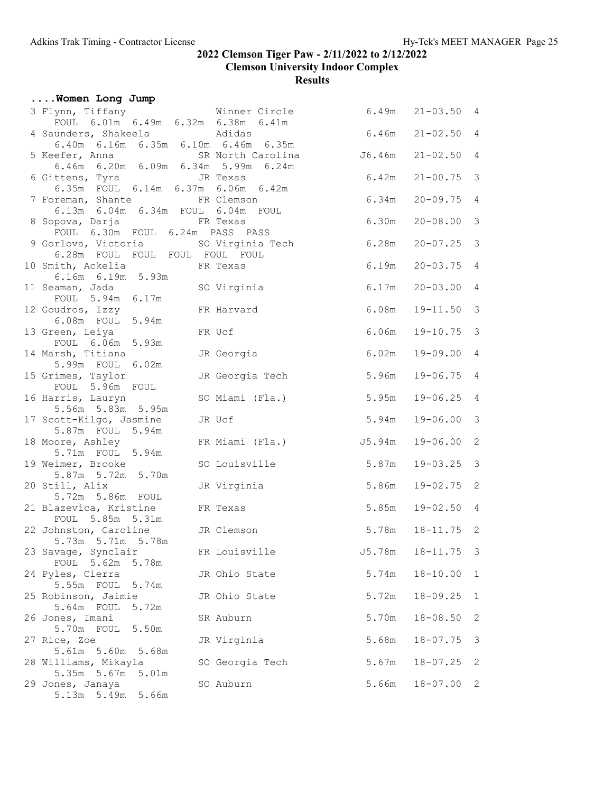|  | Women Long Jump                                  |       |          |                                                    |        |                      |                         |
|--|--------------------------------------------------|-------|----------|----------------------------------------------------|--------|----------------------|-------------------------|
|  |                                                  |       |          | 3 Flynn, Tiffany<br>Four Control of Minner Circle  |        | $6.49m$ $21-03.50$ 4 |                         |
|  |                                                  |       |          | FOUL 6.01m 6.49m 6.32m 6.38m 6.41m                 | 6.46m  | $21 - 02.50$ 4       |                         |
|  | 4 Saunders, Shakeela and Adidas                  |       |          | 6.40m 6.16m 6.35m 6.10m 6.46m 6.35m                |        |                      |                         |
|  |                                                  |       |          |                                                    | J6.46m | $21 - 02.50$ 4       |                         |
|  | 6 Gittens, Tyra GIR Texas                        |       |          | 6.35m FOUL 6.14m 6.37m 6.06m 6.42m                 | 6.42m  | $21 - 00.75$         | $\overline{\mathbf{3}}$ |
|  | 7 Foreman, Shante FR Clemson                     |       |          |                                                    | 6.34m  | $20 - 09.75$         | $\overline{4}$          |
|  | 8 Sopova, Darja                                  |       |          | 6.13m  6.04m  6.34m  FOUL  6.04m  FOUL<br>FR Texas | 6.30m  | $20 - 08.00$ 3       |                         |
|  | FOUL 6.30m FOUL 6.24m PASS PASS                  |       |          |                                                    |        |                      |                         |
|  | 6.28m FOUL FOUL FOUL FOUL FOUL                   |       |          | 9 Gorlova, Victoria SO Virginia Tech               | 6.28m  | $20 - 07.25$ 3       |                         |
|  | 10 Smith, Ackelia FR Texas<br>6.16m 6.19m 5.93m  |       |          |                                                    | 6.19m  | $20 - 03.75$         | $\overline{4}$          |
|  | 11 Seaman, Jada<br>FOUL 5.94m 6.17m              |       |          | SO Virginia                                        | 6.17m  | $20 - 03.00$         | $\overline{4}$          |
|  | 12 Goudros, Izzy<br>6.08m FOUL 5.94m             |       |          | FR Harvard                                         | 6.08m  | $19 - 11.50$         | $\overline{\mathbf{3}}$ |
|  | 13 Green, Leiya<br>FOUL 6.06m 5.93m              |       |          | FR Ucf                                             | 6.06m  | $19 - 10.75$         | $\mathcal{E}$           |
|  | 14 Marsh, Titiana                                |       |          | JR Georgia                                         | 6.02m  | 19-09.00             | $\overline{4}$          |
|  | 5.99m FOUL 6.02m<br>15 Grimes, Taylor            |       |          | JR Georgia Tech                                    | 5.96m  | $19 - 06.75$         | $\overline{4}$          |
|  | FOUL 5.96m FOUL<br>16 Harris, Lauryn             |       |          | SO Miami (Fla.)                                    | 5.95m  | $19 - 06.25$         | $\overline{4}$          |
|  | 5.56m 5.83m 5.95m<br>17 Scott-Kilgo, Jasmine     |       |          | JR Ucf                                             | 5.94m  | $19 - 06.00$         | $\mathcal{E}$           |
|  | 5.87m FOUL 5.94m<br>18 Moore, Ashley             |       |          | FR Miami (Fla.)                                    | J5.94m | $19 - 06.00$         | $\sqrt{2}$              |
|  | 5.71m FOUL 5.94m<br>19 Weimer, Brooke            |       |          | SO Louisville                                      | 5.87m  | $19 - 03.25$         | $\mathcal{E}$           |
|  | 5.87m 5.72m 5.70m<br>20 Still, Alix              |       |          | JR Virginia                                        | 5.86m  | $19 - 02.75$ 2       |                         |
|  | 5.72m 5.86m FOUL                                 |       |          |                                                    |        |                      |                         |
|  | 21 Blazevica, Kristine<br>FOUL 5.85m 5.31m       |       | FR Texas |                                                    | 5.85m  | $19 - 02.50$ 4       |                         |
|  | 22 Johnston, Caroline<br>$5.73m$ $5.71m$ $5.78m$ |       |          | JR Clemson                                         | 5.78m  | $18 - 11.75$ 2       |                         |
|  | 23 Savage, Synclair<br>FOUL 5.62m                | 5.78m |          | FR Louisville                                      | J5.78m | $18 - 11.75$         | $\overline{\mathbf{3}}$ |
|  | 24 Pyles, Cierra<br>5.55m FOUL 5.74m             |       |          | JR Ohio State                                      | 5.74m  | $18 - 10.00$         | $\mathbf{1}$            |
|  | 25 Robinson, Jaimie<br>5.64m FOUL                | 5.72m |          | JR Ohio State                                      | 5.72m  | $18 - 09.25$         | $\mathbf{1}$            |
|  | 26 Jones, Imani<br>5.70m FOUL 5.50m              |       |          | SR Auburn                                          | 5.70m  | $18 - 08.50$         | 2                       |
|  | 27 Rice, Zoe<br>5.61m 5.60m 5.68m                |       |          | JR Virginia                                        | 5.68m  | $18 - 07.75$         | 3                       |
|  | 28 Williams, Mikayla<br>5.35m 5.67m 5.01m        |       |          | SO Georgia Tech                                    | 5.67m  | $18 - 07.25$         | 2                       |
|  | 29 Jones, Janaya<br>5.13m 5.49m 5.66m            |       |          | SO Auburn                                          | 5.66m  | $18 - 07.00$         | 2                       |
|  |                                                  |       |          |                                                    |        |                      |                         |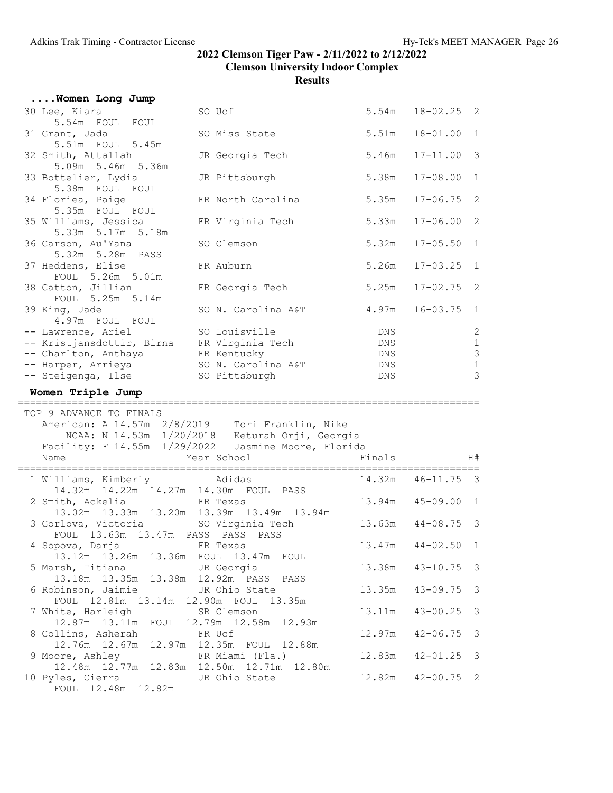| Women Long Jump                                                                                                                                         |                                                                                                       |                                 |                |                                                                                          |
|---------------------------------------------------------------------------------------------------------------------------------------------------------|-------------------------------------------------------------------------------------------------------|---------------------------------|----------------|------------------------------------------------------------------------------------------|
| 30 Lee, Kiara<br>5.54m FOUL FOUL                                                                                                                        | SO Ucf                                                                                                | 5.54m                           | $18 - 02.25$ 2 |                                                                                          |
| 31 Grant, Jada<br>5.51m FOUL 5.45m                                                                                                                      | SO Miss State                                                                                         | 5.51m                           | $18 - 01.00$   | $\mathbf{1}$                                                                             |
| 32 Smith, Attallah<br>5.09m 5.46m 5.36m                                                                                                                 | JR Georgia Tech                                                                                       | 5.46m                           | $17 - 11.00$   | $\mathfrak{Z}$                                                                           |
| 33 Bottelier, Lydia<br>5.38m FOUL FOUL                                                                                                                  | JR Pittsburgh                                                                                         | 5.38m                           | $17 - 08.00$   | $\mathbf 1$                                                                              |
| 34 Floriea, Paige<br>5.35m FOUL FOUL                                                                                                                    | FR North Carolina                                                                                     | 5.35m                           | $17 - 06.75$   | 2                                                                                        |
| 35 Williams, Jessica<br>5.33m 5.17m 5.18m                                                                                                               | FR Virginia Tech                                                                                      | 5.33m                           | $17 - 06.00$   | $\overline{2}$                                                                           |
| 36 Carson, Au'Yana                                                                                                                                      | SO Clemson                                                                                            | 5.32m                           | $17 - 05.50$   | $\mathbf 1$                                                                              |
| 5.32m 5.28m PASS<br>37 Heddens, Elise                                                                                                                   | FR Auburn                                                                                             | 5.26m                           | $17 - 03.25$   | $\mathbf{1}$                                                                             |
| FOUL 5.26m 5.01m<br>38 Catton, Jillian                                                                                                                  | FR Georgia Tech                                                                                       | 5.25m                           | $17 - 02.75$   | $\mathbf{2}$                                                                             |
| FOUL 5.25m 5.14m<br>39 King, Jade                                                                                                                       | SO N. Carolina A&T                                                                                    | 4.97m                           | $16 - 03.75$   | $\mathbf{1}$                                                                             |
| 4.97m FOUL FOUL<br>-- Lawrence, Ariel<br>-- Kristjansdottir, Birna FR Virginia Tech<br>-- Charlton, Anthaya<br>-- Harper, Arrieya<br>-- Steigenga, Ilse | SO Louisville<br>FR Kentucky<br>SO N. Carolina A&T<br>SO Pittsburgh                                   | DNS<br>DNS<br>DNS<br>DNS<br>DNS |                | $\sqrt{2}$<br>$\mathbf{1}$<br>$\ensuremath{\mathsf{3}}$<br>$\mathbf 1$<br>$\mathfrak{Z}$ |
| Women Triple Jump                                                                                                                                       |                                                                                                       |                                 |                |                                                                                          |
| TOP 9 ADVANCE TO FINALS<br>American: A 14.57m 2/8/2019 Tori Franklin, Nike                                                                              |                                                                                                       |                                 |                |                                                                                          |
|                                                                                                                                                         | NCAA: N 14.53m 1/20/2018 Keturah Orji, Georgia<br>Facility: F 14.55m 1/29/2022 Jasmine Moore, Florida |                                 |                |                                                                                          |
| Name                                                                                                                                                    | Year School<br>==================                                                                     | Finals                          |                | H#                                                                                       |
| 1 Williams, Kimberly Adidas                                                                                                                             |                                                                                                       | 14.32m                          | $46 - 11.75$   | $\overline{\mathbf{3}}$                                                                  |
| 14.32m  14.22m  14.27m  14.30m  FOUL  PASS<br>2 Smith, Ackelia                                                                                          | FR Texas                                                                                              | 13.94m                          | $45 - 09.00$   | $\mathbf{1}$                                                                             |
| 13.02m  13.33m  13.20m  13.39m  13.49m  13.94m<br>3 Gorlova, Victoria SO Virginia Tech                                                                  |                                                                                                       | 13.63m                          | $44 - 08.75$   | -3                                                                                       |
| FOUL 13.63m 13.47m PASS PASS PASS<br>4 Sopova, Darja                                                                                                    | FR Texas                                                                                              | 13.47m                          | $44 - 02.50$   | $\overline{1}$                                                                           |
| 13.12m  13.26m  13.36m<br>5 Marsh, Titiana                                                                                                              | FOUL<br>13.47m FOUL<br>JR Georgia                                                                     | 13.38m                          | $43 - 10.75$   | 3                                                                                        |
| 13.18m  13.35m  13.38m  12.92m  PASS  PASS<br>6 Robinson, Jaimie                                                                                        | JR Ohio State                                                                                         | 13.35m                          | $43 - 09.75$   | 3                                                                                        |
| FOUL 12.81m 13.14m 12.90m FOUL<br>7 White, Harleigh                                                                                                     | 13.35m<br>SR Clemson                                                                                  | 13.11m                          | $43 - 00.25$   | 3                                                                                        |
| 12.87m  13.11m  FOUL  12.79m  12.58m<br>8 Collins, Asherah                                                                                              | 12.93m<br>FR Ucf                                                                                      | 12.97m                          | $42 - 06.75$   | 3                                                                                        |
| 12.76m  12.67m<br>9 Moore, Ashley<br>12.48m  12.77m  12.83m  12.50m  12.71m                                                                             | 12.97m  12.35m  FOUL  12.88m<br>FR Miami (Fla.)<br>12.80m                                             | 12.83m                          | $42 - 01.25$   | $\mathcal{E}$                                                                            |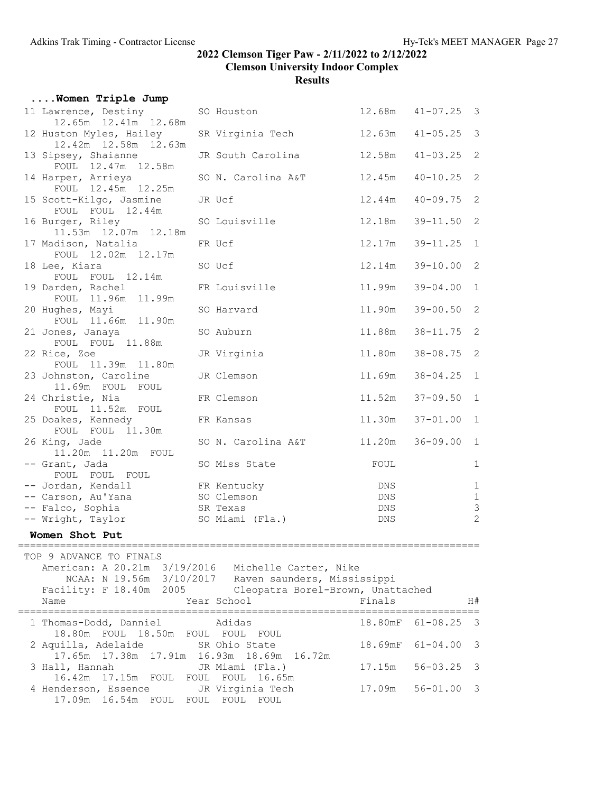|                                                |                                                                                                                                                                                                                                                                                                                                                                                                                                                                                                                                                                                                                                                                                                                                                                                                                                                                                                                                                                                              |                           |                                                                                                                                                                                                                                                                                                                                                                                                                                                          | $41 - 05.25$ 3                                                                                             |                                                                                                     |
|------------------------------------------------|----------------------------------------------------------------------------------------------------------------------------------------------------------------------------------------------------------------------------------------------------------------------------------------------------------------------------------------------------------------------------------------------------------------------------------------------------------------------------------------------------------------------------------------------------------------------------------------------------------------------------------------------------------------------------------------------------------------------------------------------------------------------------------------------------------------------------------------------------------------------------------------------------------------------------------------------------------------------------------------------|---------------------------|----------------------------------------------------------------------------------------------------------------------------------------------------------------------------------------------------------------------------------------------------------------------------------------------------------------------------------------------------------------------------------------------------------------------------------------------------------|------------------------------------------------------------------------------------------------------------|-----------------------------------------------------------------------------------------------------|
|                                                |                                                                                                                                                                                                                                                                                                                                                                                                                                                                                                                                                                                                                                                                                                                                                                                                                                                                                                                                                                                              |                           | 12.58m                                                                                                                                                                                                                                                                                                                                                                                                                                                   | $41 - 03.25$                                                                                               | 2                                                                                                   |
|                                                |                                                                                                                                                                                                                                                                                                                                                                                                                                                                                                                                                                                                                                                                                                                                                                                                                                                                                                                                                                                              |                           | 12.45m                                                                                                                                                                                                                                                                                                                                                                                                                                                   | $40 - 10.25$                                                                                               | 2                                                                                                   |
|                                                |                                                                                                                                                                                                                                                                                                                                                                                                                                                                                                                                                                                                                                                                                                                                                                                                                                                                                                                                                                                              |                           | 12.44m                                                                                                                                                                                                                                                                                                                                                                                                                                                   | $40 - 09.75$                                                                                               | 2                                                                                                   |
|                                                |                                                                                                                                                                                                                                                                                                                                                                                                                                                                                                                                                                                                                                                                                                                                                                                                                                                                                                                                                                                              |                           | 12.18m                                                                                                                                                                                                                                                                                                                                                                                                                                                   | $39 - 11.50$                                                                                               | $\mathbf{2}$                                                                                        |
|                                                |                                                                                                                                                                                                                                                                                                                                                                                                                                                                                                                                                                                                                                                                                                                                                                                                                                                                                                                                                                                              |                           | 12.17m                                                                                                                                                                                                                                                                                                                                                                                                                                                   | $39 - 11.25$                                                                                               | 1                                                                                                   |
|                                                |                                                                                                                                                                                                                                                                                                                                                                                                                                                                                                                                                                                                                                                                                                                                                                                                                                                                                                                                                                                              |                           |                                                                                                                                                                                                                                                                                                                                                                                                                                                          | $39 - 10.00$                                                                                               | 2                                                                                                   |
|                                                |                                                                                                                                                                                                                                                                                                                                                                                                                                                                                                                                                                                                                                                                                                                                                                                                                                                                                                                                                                                              |                           | 11.99m                                                                                                                                                                                                                                                                                                                                                                                                                                                   | $39 - 04.00$                                                                                               | $\mathbf{1}$                                                                                        |
|                                                |                                                                                                                                                                                                                                                                                                                                                                                                                                                                                                                                                                                                                                                                                                                                                                                                                                                                                                                                                                                              |                           | 11.90m                                                                                                                                                                                                                                                                                                                                                                                                                                                   | $39 - 00.50$                                                                                               | 2                                                                                                   |
|                                                |                                                                                                                                                                                                                                                                                                                                                                                                                                                                                                                                                                                                                                                                                                                                                                                                                                                                                                                                                                                              |                           | 11.88m                                                                                                                                                                                                                                                                                                                                                                                                                                                   | $38 - 11.75$                                                                                               | 2                                                                                                   |
|                                                |                                                                                                                                                                                                                                                                                                                                                                                                                                                                                                                                                                                                                                                                                                                                                                                                                                                                                                                                                                                              |                           | 11.80m                                                                                                                                                                                                                                                                                                                                                                                                                                                   | $38 - 08.75$                                                                                               | 2                                                                                                   |
|                                                |                                                                                                                                                                                                                                                                                                                                                                                                                                                                                                                                                                                                                                                                                                                                                                                                                                                                                                                                                                                              |                           | 11.69m                                                                                                                                                                                                                                                                                                                                                                                                                                                   | $38 - 04.25$                                                                                               | 1                                                                                                   |
|                                                |                                                                                                                                                                                                                                                                                                                                                                                                                                                                                                                                                                                                                                                                                                                                                                                                                                                                                                                                                                                              |                           |                                                                                                                                                                                                                                                                                                                                                                                                                                                          | $37 - 09.50$                                                                                               | $\mathbf{1}$                                                                                        |
|                                                |                                                                                                                                                                                                                                                                                                                                                                                                                                                                                                                                                                                                                                                                                                                                                                                                                                                                                                                                                                                              |                           | 11.30m                                                                                                                                                                                                                                                                                                                                                                                                                                                   | $37 - 01.00$                                                                                               | $\mathbf{1}$                                                                                        |
|                                                |                                                                                                                                                                                                                                                                                                                                                                                                                                                                                                                                                                                                                                                                                                                                                                                                                                                                                                                                                                                              |                           | 11.20m                                                                                                                                                                                                                                                                                                                                                                                                                                                   | $36 - 09.00$                                                                                               | $\mathbf{1}$                                                                                        |
|                                                |                                                                                                                                                                                                                                                                                                                                                                                                                                                                                                                                                                                                                                                                                                                                                                                                                                                                                                                                                                                              |                           | FOUL                                                                                                                                                                                                                                                                                                                                                                                                                                                     |                                                                                                            | $\mathbf{1}$                                                                                        |
|                                                |                                                                                                                                                                                                                                                                                                                                                                                                                                                                                                                                                                                                                                                                                                                                                                                                                                                                                                                                                                                              |                           | DNS                                                                                                                                                                                                                                                                                                                                                                                                                                                      |                                                                                                            | $1\,$                                                                                               |
|                                                |                                                                                                                                                                                                                                                                                                                                                                                                                                                                                                                                                                                                                                                                                                                                                                                                                                                                                                                                                                                              |                           | DNS                                                                                                                                                                                                                                                                                                                                                                                                                                                      |                                                                                                            | $\mathbf{1}$                                                                                        |
|                                                |                                                                                                                                                                                                                                                                                                                                                                                                                                                                                                                                                                                                                                                                                                                                                                                                                                                                                                                                                                                              |                           | <b>DNS</b>                                                                                                                                                                                                                                                                                                                                                                                                                                               |                                                                                                            | $\mathsf 3$                                                                                         |
|                                                |                                                                                                                                                                                                                                                                                                                                                                                                                                                                                                                                                                                                                                                                                                                                                                                                                                                                                                                                                                                              |                           | DNS                                                                                                                                                                                                                                                                                                                                                                                                                                                      |                                                                                                            | $\overline{c}$                                                                                      |
|                                                |                                                                                                                                                                                                                                                                                                                                                                                                                                                                                                                                                                                                                                                                                                                                                                                                                                                                                                                                                                                              |                           |                                                                                                                                                                                                                                                                                                                                                                                                                                                          |                                                                                                            |                                                                                                     |
|                                                |                                                                                                                                                                                                                                                                                                                                                                                                                                                                                                                                                                                                                                                                                                                                                                                                                                                                                                                                                                                              |                           |                                                                                                                                                                                                                                                                                                                                                                                                                                                          |                                                                                                            |                                                                                                     |
|                                                |                                                                                                                                                                                                                                                                                                                                                                                                                                                                                                                                                                                                                                                                                                                                                                                                                                                                                                                                                                                              |                           |                                                                                                                                                                                                                                                                                                                                                                                                                                                          |                                                                                                            |                                                                                                     |
| Name                                           |                                                                                                                                                                                                                                                                                                                                                                                                                                                                                                                                                                                                                                                                                                                                                                                                                                                                                                                                                                                              |                           | Finals                                                                                                                                                                                                                                                                                                                                                                                                                                                   |                                                                                                            | H#                                                                                                  |
|                                                |                                                                                                                                                                                                                                                                                                                                                                                                                                                                                                                                                                                                                                                                                                                                                                                                                                                                                                                                                                                              | Adidas                    | 18.80mF                                                                                                                                                                                                                                                                                                                                                                                                                                                  | $61 - 08.25$                                                                                               | 3                                                                                                   |
|                                                |                                                                                                                                                                                                                                                                                                                                                                                                                                                                                                                                                                                                                                                                                                                                                                                                                                                                                                                                                                                              |                           |                                                                                                                                                                                                                                                                                                                                                                                                                                                          | $61 - 04.00$                                                                                               | 3                                                                                                   |
|                                                |                                                                                                                                                                                                                                                                                                                                                                                                                                                                                                                                                                                                                                                                                                                                                                                                                                                                                                                                                                                              |                           |                                                                                                                                                                                                                                                                                                                                                                                                                                                          |                                                                                                            |                                                                                                     |
| 3 Hall, Hannah<br>16.42m 17.15m FOUL FOUL FOUL |                                                                                                                                                                                                                                                                                                                                                                                                                                                                                                                                                                                                                                                                                                                                                                                                                                                                                                                                                                                              | JR Miami (Fla.)<br>16.65m | 17.15m                                                                                                                                                                                                                                                                                                                                                                                                                                                   | $56 - 03.25$ 3                                                                                             |                                                                                                     |
|                                                | Women Triple Jump<br>11 Lawrence, Destiny<br>12.65m  12.41m  12.68m<br>12 Huston Myles, Hailey<br>12.42m  12.58m  12.63m<br>13 Sipsey, Shaianne<br>FOUL 12.47m 12.58m<br>14 Harper, Arrieya<br>FOUL 12.45m 12.25m<br>15 Scott-Kilgo, Jasmine<br>FOUL FOUL 12.44m<br>16 Burger, Riley<br>11.53m  12.07m  12.18m<br>17 Madison, Natalia<br>FOUL 12.02m 12.17m<br>18 Lee, Kiara<br>FOUL FOUL 12.14m<br>19 Darden, Rachel<br>FOUL 11.96m 11.99m<br>20 Hughes, Mayi<br>FOUL 11.66m 11.90m<br>21 Jones, Janaya<br>FOUL FOUL 11.88m<br>22 Rice, Zoe<br>FOUL 11.39m 11.80m<br>23 Johnston, Caroline<br>11.69m FOUL FOUL<br>24 Christie, Nia<br>FOUL 11.52m FOUL<br>25 Doakes, Kennedy<br>FOUL FOUL 11.30m<br>26 King, Jade<br>11.20m  11.20m  FOUL<br>-- Grant, Jada<br>FOUL FOUL FOUL<br>-- Jordan, Kendall<br>-- Carson, Au'Yana<br>-- Falco, Sophia<br>-- Wright, Taylor<br>Women Shot Put<br>TOP 9 ADVANCE TO FINALS<br>Facility: F 18.40m 2005<br>1 Thomas-Dodd, Danniel<br>2 Aquilla, Adelaide |                           | SO Houston<br>SR Virginia Tech<br>JR South Carolina<br>SO N. Carolina A&T<br>JR Ucf<br>SO Louisville<br>FR Ucf<br>SO Ucf<br>FR Louisville<br>SO Harvard<br>SO Auburn<br>JR Virginia<br>JR Clemson<br>FR Clemson<br>FR Kansas<br>SO N. Carolina A&T<br>SO Miss State<br>FR Kentucky<br>SO Clemson<br>SR Texas<br>SO Miami (Fla.)<br>Year School<br>18.80m FOUL 18.50m FOUL FOUL FOUL<br>SR Ohio State<br>17.65m  17.38m  17.91m  16.93m  18.69m<br>16.72m | American: A 20.21m 3/19/2016 Michelle Carter, Nike<br>NCAA: N 19.56m 3/10/2017 Raven saunders, Mississippi | $12.68m$ $41-07.25$ 3<br>12.63m<br>12.14m<br>11.52m<br>Cleopatra Borel-Brown, Unattached<br>18.69mF |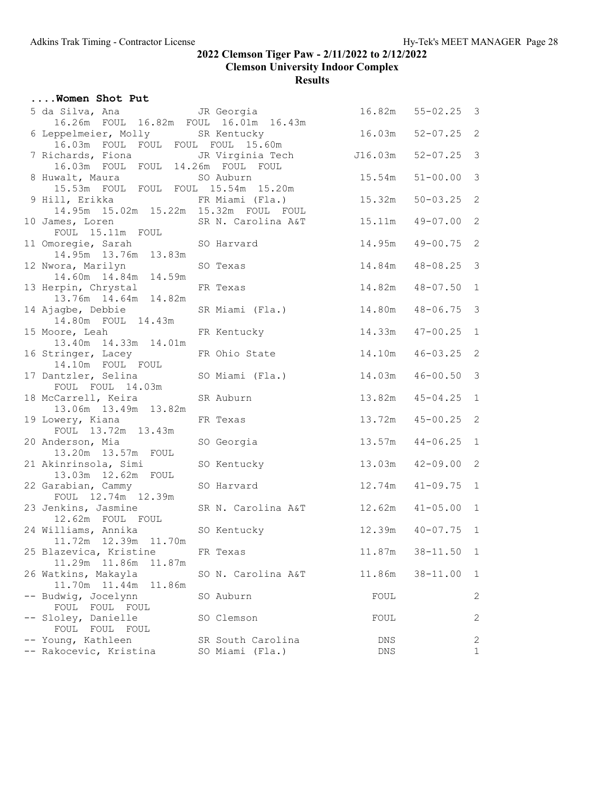| Women Shot Put                                                                                                 |                                      |             |                       |                            |
|----------------------------------------------------------------------------------------------------------------|--------------------------------------|-------------|-----------------------|----------------------------|
| 5 da Silva, Ana (5) JR Georgia                                                                                 |                                      |             | $16.82m$ $55-02.25$ 3 |                            |
| 16.26m FOUL 16.82m FOUL 16.01m 16.43m<br>6 Leppelmeier, Molly SR Kentucky<br>16.03m FOUL FOUL FOUL FOUL 15.60m |                                      | 16.03m      | $52 - 07.25$ 2        |                            |
| 7 Richards, Fiona JR Virginia Tech<br>16.03m FOUL FOUL 14.26m FOUL FOUL                                        |                                      | J16.03m     | $52 - 07.25$ 3        |                            |
| 8 Huwalt, Maura SO Auburn<br>15.53m FOUL FOUL FOUL 15.54m 15.20m                                               |                                      | 15.54m      | $51 - 00.00$          | 3                          |
| 9 Hill, Erikka KR Miami (Fla.)<br>14.95m  15.02m  15.22m  15.32m  FOUL  FOUL                                   |                                      | 15.32m      | $50 - 03.25$          | 2                          |
| 10 James, Loren<br>FOUL 15.11m FOUL<br>FOUL TOUL                                                               |                                      | 15.11m      | $49 - 07.00$          | $\mathbf{2}$               |
| 11 Omoregie, Sarah<br>14.95m  13.76m  13.83m                                                                   | SO Harvard                           | 14.95m      | $49 - 00.75$          | $\overline{\phantom{0}}^2$ |
| 12 Nwora, Marilyn<br>14.60m 14.84m 14.59m                                                                      | SO Texas                             | 14.84m      | $48 - 08.25$ 3        |                            |
| 13 Herpin, Chrystal<br>13.76m  14.64m  14.82m                                                                  | FR Texas                             | 14.82m      | $48 - 07.50$          | $\overline{1}$             |
| 14 Ajagbe, Debbie<br>14.80m FOUL 14.43m                                                                        | SR Miami (Fla.)                      | 14.80m      | $48 - 06.75$          | $\mathcal{E}$              |
| 15 Moore, Leah<br>13.40m  14.33m  14.01m                                                                       | FR Kentucky                          | 14.33m      | $47 - 00.25$          | $\mathbf{1}$               |
| 16 Stringer, Lacey<br>14.10m FOUL FOUL                                                                         | FR Ohio State                        | 14.10m      | $46 - 03.25$          | $\overline{\phantom{0}}^2$ |
| 17 Dantzler, Selina<br>FOUL FOUL 14.03m                                                                        | SO Miami (Fla.)                      | 14.03m      | $46 - 00.50$          | $\mathcal{E}$              |
| 18 McCarrell, Keira<br>13.06m  13.49m  13.82m                                                                  | SR Auburn                            | 13.82m      | $45 - 04.25$ 1        |                            |
| 19 Lowery, Kiana<br>FOUL 13.72m 13.43m                                                                         | FR Texas                             | 13.72m      | $45 - 00.25$          | $\overline{\phantom{0}}^2$ |
| 20 Anderson, Mia<br>13.20m  13.57m  FOUL                                                                       | SO Georgia                           | 13.57m      | $44 - 06.25$          | $\mathbf{1}$               |
| 21 Akinrinsola, Simi<br>13.03m  12.62m  FOUL                                                                   | SO Kentucky                          | 13.03m      | $42 - 09.00$          | 2                          |
| 22 Garabian, Cammy<br>FOUL 12.74m 12.39m                                                                       | SO Harvard                           | 12.74m      | $41 - 09.75$          | $\sqrt{1}$                 |
| 23 Jenkins, Jasmine SR N. Carolina A&T<br>12.62m FOUL FOUL                                                     |                                      | 12.62m      | $41 - 05.00$          | $\overline{1}$             |
| 24 Williams, Annika<br>11.72m  12.39m  11.70m                                                                  | SO Kentucky                          |             | 12.39m  40-07.75  1   |                            |
| 25 Blazevica, Kristine<br>11.29m  11.86m<br>11.87m                                                             | FR Texas                             | 11.87m      | $38 - 11.50$          | $\mathbf{1}$               |
| 26 Watkins, Makayla<br>11.70m  11.44m<br>11.86m                                                                | SO N. Carolina A&T                   | 11.86m      | $38 - 11.00$          | 1                          |
| -- Budwig, Jocelynn<br>FOUL FOUL FOUL                                                                          | SO Auburn                            | FOUL        |                       | 2                          |
| -- Sloley, Danielle<br>FOUL FOUL<br>FOUL                                                                       | SO Clemson                           | FOUL        |                       | 2                          |
| -- Young, Kathleen<br>-- Rakocevic, Kristina                                                                   | SR South Carolina<br>SO Miami (Fla.) | DNS.<br>DNS |                       | 2<br>$\mathbf{1}$          |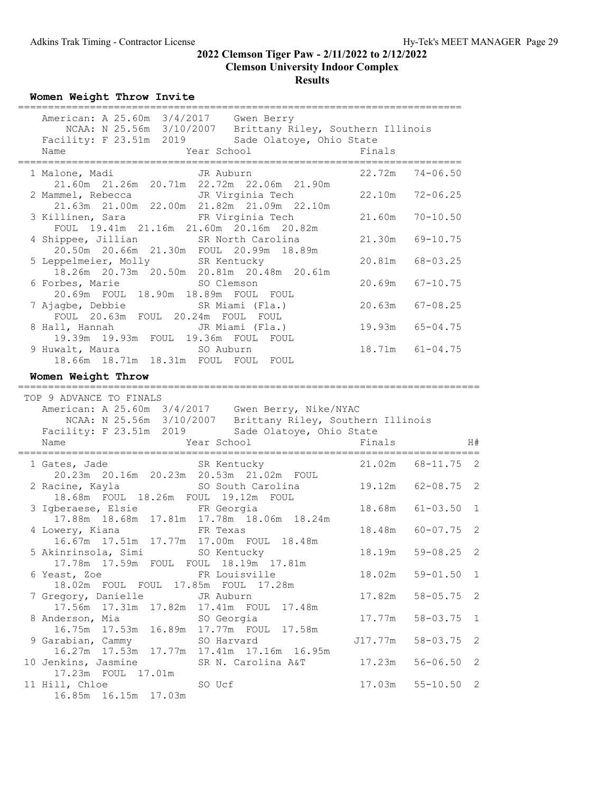Women Weight Throw Invite

| American: A 25.60m 3/4/2017 Gwen Berry<br>NCAA: N 25.56m 3/10/2007 Brittany Riley, Southern Illinois<br>Facility: F 23.51m 2019 Sade Olatoye, Ohio State                                   |         |                     |                            |
|--------------------------------------------------------------------------------------------------------------------------------------------------------------------------------------------|---------|---------------------|----------------------------|
| 1 Malone, Madi JR Auburn<br>21.60m 21.26m 20.71m 22.72m 22.06m 21.90m                                                                                                                      | 22.72m  | $74 - 06.50$        |                            |
| JR Virginia Tech<br>2 Mammel, Rebecca<br>21.63m  21.00m  22.00m  21.82m  21.09m  22.10m                                                                                                    | 22.10m  | $72 - 06.25$        |                            |
| 3 Killinen, Sara<br>FR Virginia Tech                                                                                                                                                       | 21.60m  | $70 - 10.50$        |                            |
| FOUL 19.41m 21.16m 21.60m 20.16m 20.82m<br>4 Shippee, Jillian SR North Carolina<br>20.50m  20.66m  21.30m  FOUL  20.99m  18.89m                                                            | 21.30m  | $69 - 10.75$        |                            |
| 5 Leppelmeier, Molly SR Kentucky<br>18.26m  20.73m  20.50m  20.81m  20.48m  20.61m                                                                                                         | 20.81m  | $68 - 03.25$        |                            |
| 6 Forbes, Marie 50 Clemson<br>20.69m FOUL 18.90m 18.89m FOUL FOUL                                                                                                                          | 20.69m  | $67 - 10.75$        |                            |
| 7 Ajagbe, Debbie             SR Miami (Fla.)<br>FOUL 20.63m FOUL 20.24m FOUL FOUL                                                                                                          | 20.63m  | $67 - 08.25$        |                            |
|                                                                                                                                                                                            | 19.93m  | $65 - 04.75$        |                            |
| 9 Huwalt, Maura<br>SO Auburn<br>18.66m  18.71m  18.31m  FOUL  FOUL  FOUL                                                                                                                   |         | $18.71m$ $61-04.75$ |                            |
| Women Weight Throw                                                                                                                                                                         |         |                     |                            |
| TOP 9 ADVANCE TO FINALS                                                                                                                                                                    |         |                     |                            |
| American: A 25.60m 3/4/2017 Gwen Berry, Nike/NYAC<br>NCAA: N 25.56m 3/10/2007 Brittany Riley, Southern Illinois<br>Facility: F 23.51m 2019 Sade Olatoye, Ohio State<br>Year School<br>Name | Finals  |                     | H#                         |
| ===============================<br>=============                                                                                                                                           | 21.02m  | $68 - 11.75$ 2      |                            |
| 1 Gates, Jade SR Kentucky<br>20.23m  20.16m  20.23m  20.53m  21.02m  FOUL                                                                                                                  | 19.12m  | $62 - 08.75$ 2      |                            |
| 3 Igberaese, Elsie FR Georgia                                                                                                                                                              | 18.68m  | $61 - 03.50$ 1      |                            |
| 17.88m  18.68m  17.81m  17.78m  18.06m  18.24m<br>4 Lowery, Kiana<br>FR Texas                                                                                                              |         | 18.48m 60-07.75 2   |                            |
| 16.67m  17.51m  17.77m  17.00m  FOUL  18.48m<br>5 Akinrinsola, Simi SO Kentucky                                                                                                            | 18.19m  | $59 - 08.25$ 2      |                            |
| 17.78m  17.59m  FOUL  FOUL  18.19m  17.81m<br>6 Yeast, Zoe<br>FR Louisville                                                                                                                | 18.02m  | $59 - 01.50$        | $\mathbf{1}$               |
| 18.02m FOUL FOUL 17.85m FOUL 17.28m<br>7 Gregory, Danielle<br>JR Auburn                                                                                                                    | 17.82m  | $58 - 05.75$        | $\overline{\phantom{0}}^2$ |
| 17.56m  17.31m  17.82m  17.41m  FOUL<br>17.48m<br>8 Anderson, Mia<br>SO Georgia                                                                                                            | 17.77m  | $58 - 03.75$        | 1                          |
| 16.75m  17.53m  16.89m  17.77m  FOUL<br>17.58m<br>9 Garabian, Cammy<br>SO Harvard                                                                                                          | J17.77m | $58 - 03.75$        | 2                          |
| 16.27m 17.53m 17.77m 17.41m 17.16m 16.95m<br>10 Jenkins, Jasmine<br>SR N. Carolina A&T<br>17.23m FOUL 17.01m                                                                               | 17.23m  | $56 - 06.50$        | 2                          |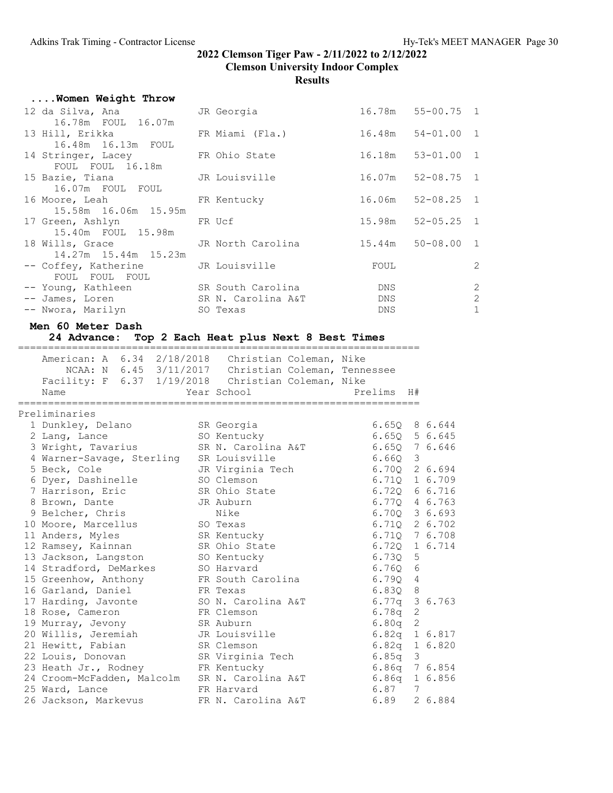| Women Weight Throw                                        |                 |        |                       |              |
|-----------------------------------------------------------|-----------------|--------|-----------------------|--------------|
| 12 da Silva, Ana<br>16.78m FOUL 16.07m                    | JR Georgia      |        | 16.78m 55-00.75 1     |              |
| 13 Hill, Erikka<br>16.48m  16.13m  FOUL                   | FR Miami (Fla.) |        | $16.48m$ $54-01.00$ 1 |              |
| 14 Stringer, Lacey FR Ohio State<br>FOUL FOUL 16.18m      |                 |        | 16.18m 53-01.00 1     |              |
| 15 Bazie, Tiana Manuel JR Louisville<br>16.07m FOUL FOUL  |                 |        | $16.07m$ $52-08.75$ 1 |              |
| 16 Moore, Leah<br>15.58m 16.06m 15.95m                    | FR Kentucky     | 16.06m | $52 - 08.25$ 1        |              |
| 17 Green, Ashlyn<br>15.40m FOUL 15.98m                    | FR Ucf          |        | $15.98m$ $52-05.25$ 1 |              |
| 18 Wills, Grace GR North Carolina<br>14.27m 15.44m 15.23m |                 |        | 15.44m 50-08.00 1     |              |
| -- Coffey, Katherine JR Louisville<br>FOUL FOUL FOUL      |                 | FOUL   |                       | 2            |
| -- Young, Kathleen SR South Carolina                      |                 | DNS    |                       | 2            |
| -- James, Loren SR N. Carolina A&T                        |                 | DNS    |                       | $\mathbf{2}$ |
| -- Nwora, Marilyn SO Texas                                |                 | DNS    |                       | $\mathbf{1}$ |

#### Men 60 Meter Dash

# 24 Advance: Top 2 Each Heat plus Next 8 Best Times

| American: A 6.34 2/18/2018 Christian Coleman, Nike  |                    |                   |   |         |
|-----------------------------------------------------|--------------------|-------------------|---|---------|
| NCAA: N 6.45 3/11/2017 Christian Coleman, Tennessee |                    |                   |   |         |
| Facility: F 6.37 1/19/2018 Christian Coleman, Nike  |                    |                   |   |         |
| Name                                                | Year School        | Prelims H#        |   |         |
|                                                     |                    |                   |   |         |
| Preliminaries                                       |                    |                   |   |         |
| 1 Dunkley, Delano                                   | SR Georgia         | 6.650 8 6.644     |   |         |
| 2 Lang, Lance                                       | SO Kentucky        | 6.65Q             |   | 5 6.645 |
| 3 Wright, Tavarius                                  | SR N. Carolina A&T | 6.650 7 6.646     |   |         |
| 4 Warner-Savage, Sterling                           | SR Louisville      | 6.660             | 3 |         |
| 5 Beck, Cole                                        | JR Virginia Tech   | 6.700 2 6.694     |   |         |
| 6 Dyer, Dashinelle                                  | SO Clemson         | 6.710             |   | 1 6.709 |
| 7 Harrison, Eric                                    | SR Ohio State      | 6.720             |   | 6 6.716 |
| 8 Brown, Dante                                      | JR Auburn          | 6.770             |   | 4 6.763 |
| 9 Belcher, Chris                                    | Nike               | 6.70Q 3 6.693     |   |         |
| 10 Moore, Marcellus                                 | SO Texas           | 6.71Q 2 6.702     |   |         |
| 11 Anders, Myles                                    | SR Kentucky        | 6.710 7 6.708     |   |         |
| 12 Ramsey, Kainnan                                  | SR Ohio State      | 6.720 1 6.714     |   |         |
| 13 Jackson, Langston                                | SO Kentucky        | 6.730             | 5 |         |
| 14 Stradford, DeMarkes                              | SO Harvard         | 6.760             | 6 |         |
| 15 Greenhow, Anthony                                | FR South Carolina  | 6.790             | 4 |         |
| 16 Garland, Daniel                                  | FR Texas           | 6.830             | 8 |         |
| 17 Harding, Javonte                                 | SO N. Carolina A&T | 6.77a             |   | 3 6.763 |
| 18 Rose, Cameron                                    | FR Clemson         | 6.78a             | 2 |         |
| 19 Murray, Jevony                                   | SR Auburn          | 6.80 <sub>q</sub> | 2 |         |
| 20 Willis, Jeremiah                                 | JR Louisville      | 6.82q 1 6.817     |   |         |
| 21 Hewitt, Fabian                                   | SR Clemson         | 6.82q             |   | 1 6.820 |
| 22 Louis, Donovan                                   | SR Virginia Tech   | 6.85q             | 3 |         |
| 23 Heath Jr., Rodney                                | FR Kentucky        | 6.86q 7 6.854     |   |         |
| 24 Croom-McFadden, Malcolm                          | SR N. Carolina A&T | 6.86q             |   | 1 6.856 |
| 25 Ward, Lance                                      | FR Harvard         | 6.87              | 7 |         |
| 26 Jackson, Markevus                                | FR N. Carolina A&T | 6.89              |   | 2 6.884 |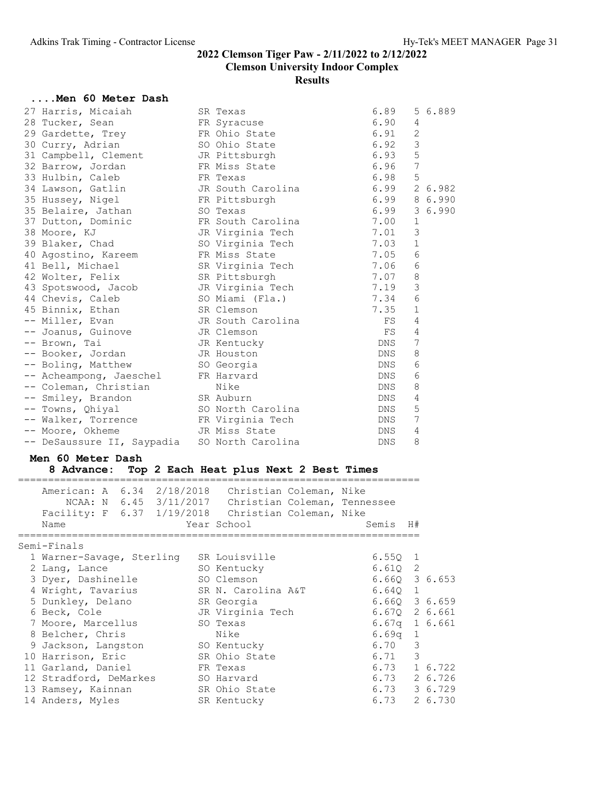#### ....Men 60 Meter Dash

| 27 Harris, Micaiah                         | SR Texas          | 6.89       | 5 6.889         |
|--------------------------------------------|-------------------|------------|-----------------|
| 28 Tucker, Sean                            | FR Syracuse       | 6.90       | 4               |
| 29 Gardette, Trey                          | FR Ohio State     | 6.91       | $\mathbf{2}$    |
| 30 Curry, Adrian                           | SO Ohio State     | 6.92       | 3               |
| 31 Campbell, Clement                       | JR Pittsburgh     | 6.93       | 5               |
| 32 Barrow, Jordan                          | FR Miss State     | 6.96       | 7               |
| 33 Hulbin, Caleb                           | FR Texas          | 6.98       | 5               |
| 34 Lawson, Gatlin                          | JR South Carolina | 6.99       | 2 6.982         |
| 35 Hussey, Nigel                           | FR Pittsburgh     | 6.99       | 8 6.990         |
| 35 Belaire, Jathan                         | SO Texas          | 6.99       | 36.990          |
| 37 Dutton, Dominic                         | FR South Carolina | 7.00       | 1               |
| 38 Moore, KJ                               | JR Virginia Tech  | 7.01       | 3               |
| 39 Blaker, Chad                            | SO Virginia Tech  | 7.03       | $1\,$           |
| 40 Agostino, Kareem                        | FR Miss State     | 7.05       | $6\,$           |
| 41 Bell, Michael                           | SR Virginia Tech  | 7.06       | $\epsilon$      |
| 42 Wolter, Felix                           | SR Pittsburgh     | 7.07       | $\,8\,$         |
| 43 Spotswood, Jacob                        | JR Virginia Tech  | 7.19       | $\mathsf 3$     |
| 44 Chevis, Caleb                           | SO Miami (Fla.)   | 7.34       | $6\phantom{1}6$ |
| 45 Binnix, Ethan                           | SR Clemson        | 7.35       | $\mathbf{1}$    |
| -- Miller, Evan                            | JR South Carolina | FS         | 4               |
| -- Joanus, Guinove <a> JR<br/> Clemson</a> |                   | FS         | $\overline{4}$  |
| -- Brown, Tai                              | JR Kentucky       | DNS        | 7               |
| -- Booker, Jordan                          | JR Houston        | DNS.       | 8               |
| -- Boling, Matthew                         | SO Georgia        | DNS        | 6               |
| -- Acheampong, Jaeschel FR Harvard         |                   | DNS.       | 6               |
| -- Coleman, Christian                      | Nike              | DNS        | $\,8\,$         |
| -- Smiley, Brandon                         | SR Auburn         | DNS.       | $\overline{4}$  |
| -- Towns, Ohiyal                           | SO North Carolina | DNS        | 5               |
| -- Walker, Torrence FR Virginia Tech       |                   | DNS        | 7               |
| -- Moore, Okheme                           | JR Miss State     | DNS        | 4               |
| -- DeSaussure II, Saypadia                 | SO North Carolina | <b>DNS</b> | 8               |

#### Men 60 Meter Dash

#### 8 Advance: Top 2 Each Heat plus Next 2 Best Times

| Name |             |                               |                                                                                                                                                                         |                                                     |                   |                                                                                                                                                                                                   |                                        |                                                                                                                                                                 |                                                                                                                                                                                                                    |
|------|-------------|-------------------------------|-------------------------------------------------------------------------------------------------------------------------------------------------------------------------|-----------------------------------------------------|-------------------|---------------------------------------------------------------------------------------------------------------------------------------------------------------------------------------------------|----------------------------------------|-----------------------------------------------------------------------------------------------------------------------------------------------------------------|--------------------------------------------------------------------------------------------------------------------------------------------------------------------------------------------------------------------|
|      |             |                               |                                                                                                                                                                         |                                                     |                   |                                                                                                                                                                                                   |                                        |                                                                                                                                                                 |                                                                                                                                                                                                                    |
|      |             |                               |                                                                                                                                                                         |                                                     |                   |                                                                                                                                                                                                   |                                        |                                                                                                                                                                 |                                                                                                                                                                                                                    |
|      |             |                               |                                                                                                                                                                         |                                                     |                   |                                                                                                                                                                                                   |                                        |                                                                                                                                                                 |                                                                                                                                                                                                                    |
|      |             |                               |                                                                                                                                                                         |                                                     |                   |                                                                                                                                                                                                   |                                        |                                                                                                                                                                 |                                                                                                                                                                                                                    |
|      |             |                               |                                                                                                                                                                         |                                                     |                   |                                                                                                                                                                                                   |                                        |                                                                                                                                                                 |                                                                                                                                                                                                                    |
|      |             |                               |                                                                                                                                                                         |                                                     |                   |                                                                                                                                                                                                   |                                        |                                                                                                                                                                 |                                                                                                                                                                                                                    |
|      |             |                               |                                                                                                                                                                         |                                                     |                   |                                                                                                                                                                                                   |                                        |                                                                                                                                                                 |                                                                                                                                                                                                                    |
|      |             |                               |                                                                                                                                                                         |                                                     |                   |                                                                                                                                                                                                   |                                        |                                                                                                                                                                 |                                                                                                                                                                                                                    |
|      |             |                               |                                                                                                                                                                         |                                                     | Nike              |                                                                                                                                                                                                   |                                        |                                                                                                                                                                 |                                                                                                                                                                                                                    |
|      |             |                               |                                                                                                                                                                         |                                                     |                   |                                                                                                                                                                                                   |                                        | 3                                                                                                                                                               |                                                                                                                                                                                                                    |
|      |             |                               |                                                                                                                                                                         |                                                     |                   |                                                                                                                                                                                                   |                                        | 3                                                                                                                                                               |                                                                                                                                                                                                                    |
|      |             |                               |                                                                                                                                                                         |                                                     |                   |                                                                                                                                                                                                   |                                        |                                                                                                                                                                 |                                                                                                                                                                                                                    |
|      |             |                               |                                                                                                                                                                         |                                                     |                   |                                                                                                                                                                                                   |                                        |                                                                                                                                                                 |                                                                                                                                                                                                                    |
|      |             |                               |                                                                                                                                                                         |                                                     |                   |                                                                                                                                                                                                   |                                        |                                                                                                                                                                 |                                                                                                                                                                                                                    |
|      |             |                               |                                                                                                                                                                         |                                                     |                   |                                                                                                                                                                                                   |                                        |                                                                                                                                                                 |                                                                                                                                                                                                                    |
|      | Semi-Finals | 2 Lang, Lance<br>6 Beck, Cole | 3 Dyer, Dashinelle<br>4 Wright, Tavarius<br>7 Moore, Marcellus<br>8 Belcher, Chris<br>10 Harrison, Eric<br>11 Garland, Daniel<br>13 Ramsey, Kainnan<br>14 Anders, Myles | 1 Warner-Savage, Sterling<br>12 Stradford, DeMarkes | 5 Dunkley, Delano | Year School<br>SR Louisville<br>SO Kentucky<br>SO Clemson<br>SR Georgia<br>SO Texas<br>9 Jackson, Langston SO Kentucky<br>SR Ohio State<br>FR Texas<br>SO Harvard<br>SR Ohio State<br>SR Kentucky | SR N. Carolina A&T<br>JR Virginia Tech | American: A 6.34 2/18/2018 Christian Coleman, Nike<br>NCAA: N 6.45 3/11/2017 Christian Coleman, Tennessee<br>Facility: F 6.37 1/19/2018 Christian Coleman, Nike | Semis H#<br>6.5501<br>6.610 2<br>6.660 3 6.653<br>6.640 1<br>$6.66Q$ 3 $6.659$<br>6.670 2 6.661<br>$6.67q$ 1 6.661<br>$6.69q$ 1<br>6.70<br>6.71<br>6.73 1 6.722<br>6.73 2 6.726<br>$6.73$ $36.729$<br>6.73 2 6.730 |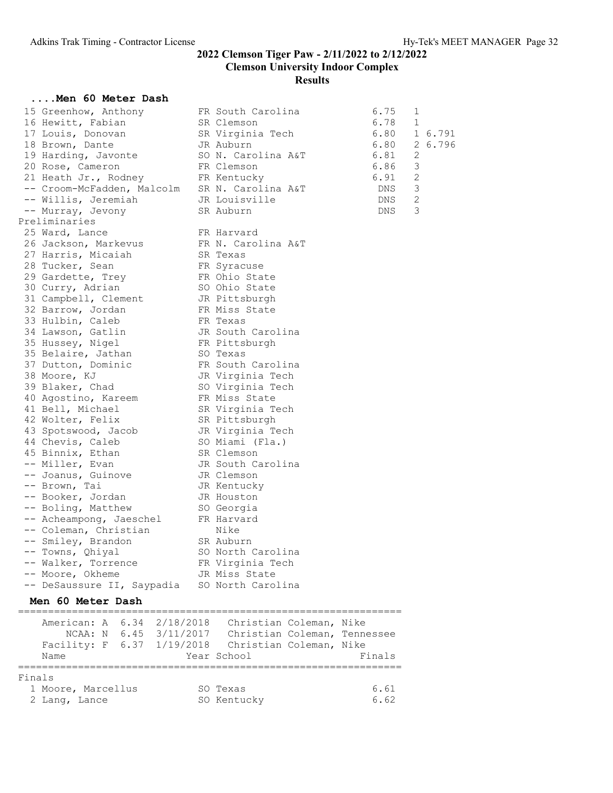#### ....Men 60 Meter Dash

| 15 Greenhow, Anthony                          | FR South Carolina  | 6.75 | 1 |         |
|-----------------------------------------------|--------------------|------|---|---------|
| 16 Hewitt, Fabian                             | SR Clemson         | 6.78 | 1 |         |
| 17 Louis, Donovan                             | SR Virginia Tech   | 6.80 |   | 1 6.791 |
| 18 Brown, Dante                               | JR Auburn          | 6.80 |   | 2 6.796 |
| 19 Harding, Javonte                           | SO N. Carolina A&T | 6.81 | 2 |         |
| 20 Rose, Cameron                              | FR Clemson         | 6.86 | 3 |         |
| 21 Heath Jr., Rodney                          | FR Kentucky        |      | 2 |         |
| -- Croom-McFadden, Malcolm SR N. Carolina A&T |                    | 6.91 | 3 |         |
| -- Willis, Jeremiah                           | JR Louisville      | DNS  | 2 |         |
| -- Murray, Jevony                             | SR Auburn          | DNS  | 3 |         |
| Preliminaries                                 |                    |      |   |         |
| 25 Ward, Lance                                | FR Harvard         |      |   |         |
| 26 Jackson, Markevus                          | FR N. Carolina A&T |      |   |         |
| 27 Harris, Micaiah                            | SR Texas           |      |   |         |
| 28 Tucker, Sean                               | FR Syracuse        |      |   |         |
| 29 Gardette, Trey                             | FR Ohio State      |      |   |         |
| 30 Curry, Adrian                              | SO Ohio State      |      |   |         |
| 31 Campbell, Clement                          | JR Pittsburgh      |      |   |         |
| 32 Barrow, Jordan                             | FR Miss State      |      |   |         |
| 33 Hulbin, Caleb                              | FR Texas           |      |   |         |
| 34 Lawson, Gatlin                             | JR South Carolina  |      |   |         |
| 35 Hussey, Nigel                              | FR Pittsburgh      |      |   |         |
| 35 Belaire, Jathan                            | SO Texas           |      |   |         |
| 37 Dutton, Dominic                            | FR South Carolina  |      |   |         |
| 38 Moore, KJ                                  | JR Virginia Tech   |      |   |         |
| 39 Blaker, Chad                               | SO Virginia Tech   |      |   |         |
| 40 Agostino, Kareem                           | FR Miss State      |      |   |         |
| 41 Bell, Michael                              | SR Virginia Tech   |      |   |         |
| 42 Wolter, Felix                              | SR Pittsburgh      |      |   |         |
| 43 Spotswood, Jacob                           | JR Virginia Tech   |      |   |         |
| 44 Chevis, Caleb                              | SO Miami (Fla.)    |      |   |         |
| 45 Binnix, Ethan                              | SR Clemson         |      |   |         |
| -- Miller, Evan                               | JR South Carolina  |      |   |         |
| -- Joanus, Guinove                            | JR Clemson         |      |   |         |
| -- Brown, Tai                                 | JR Kentucky        |      |   |         |
| -- Booker, Jordan                             | JR Houston         |      |   |         |
| -- Boling, Matthew                            | SO Georgia         |      |   |         |
| -- Acheampong, Jaeschel                       | FR Harvard         |      |   |         |
| -- Coleman, Christian                         | Nike               |      |   |         |
| -- Smiley, Brandon                            | SR Auburn          |      |   |         |
| -- Towns, Qhiyal                              | SO North Carolina  |      |   |         |
| -- Walker, Torrence                           | FR Virginia Tech   |      |   |         |
| -- Moore, Okheme                              | JR Miss State      |      |   |         |
| -- DeSaussure II, Saypadia                    | SO North Carolina  |      |   |         |
|                                               |                    |      |   |         |
| Men 60 Meter Dash                             |                    |      |   |         |
|                                               |                    |      |   |         |

| Name               |  | American: A 6.34 2/18/2018<br>NCAA: N 6.45 3/11/2017<br>Facility: F 6.37 1/19/2018 | Christian Coleman, Nike<br>Christian Coleman, Tennessee<br>Christian Coleman, Nike<br>Year School | Finals |
|--------------------|--|------------------------------------------------------------------------------------|---------------------------------------------------------------------------------------------------|--------|
| Finals             |  |                                                                                    |                                                                                                   |        |
| 1 Moore, Marcellus |  |                                                                                    | SO Texas                                                                                          | 6.61   |
| 2 Lang, Lance      |  |                                                                                    | SO Kentucky                                                                                       | 6.62   |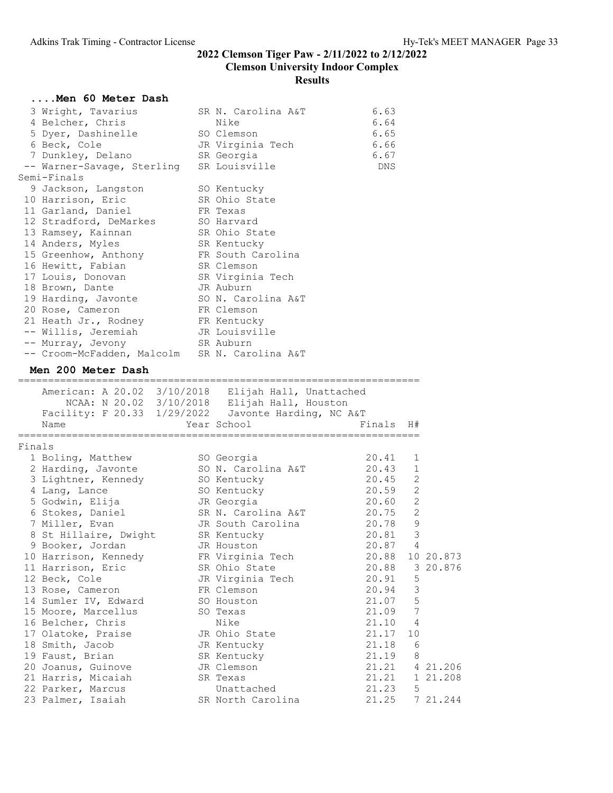|        | Men 60 Meter Dash                                   |                                              |                |    |           |
|--------|-----------------------------------------------------|----------------------------------------------|----------------|----|-----------|
|        | 3 Wright, Tavarius                                  | SR N. Carolina A&T                           | 6.63           |    |           |
|        | 4 Belcher, Chris                                    | Nike                                         | 6.64           |    |           |
|        | 5 Dyer, Dashinelle                                  | SO Clemson                                   | 6.65           |    |           |
|        | 6 Beck, Cole                                        | JR Virginia Tech                             | 6.66           |    |           |
|        | 7 Dunkley, Delano                                   | SR Georgia                                   | 6.67           |    |           |
|        | -- Warner-Savage, Sterling                          | SR Louisville                                | DNS            |    |           |
|        | Semi-Finals                                         |                                              |                |    |           |
|        | 9 Jackson, Langston                                 | SO Kentucky                                  |                |    |           |
|        | 10 Harrison, Eric                                   | SR Ohio State                                |                |    |           |
|        | 11 Garland, Daniel                                  | FR Texas                                     |                |    |           |
|        | 12 Stradford, DeMarkes                              | SO Harvard                                   |                |    |           |
|        | 13 Ramsey, Kainnan                                  | SR Ohio State                                |                |    |           |
|        | 14 Anders, Myles                                    | SR Kentucky                                  |                |    |           |
|        | 15 Greenhow, Anthony                                | FR South Carolina                            |                |    |           |
|        | 16 Hewitt, Fabian                                   | SR Clemson                                   |                |    |           |
|        | 17 Louis, Donovan                                   | SR Virginia Tech                             |                |    |           |
|        | 18 Brown, Dante                                     | JR Auburn                                    |                |    |           |
|        | 19 Harding, Javonte                                 | SO N. Carolina A&T                           |                |    |           |
|        | 20 Rose, Cameron                                    | FR Clemson                                   |                |    |           |
|        | 21 Heath Jr., Rodney                                | FR Kentucky                                  |                |    |           |
|        | -- Willis, Jeremiah                                 | JR Louisville                                |                |    |           |
|        | -- Murray, Jevony                                   | SR Auburn                                    |                |    |           |
|        | -- Croom-McFadden, Malcolm SR N. Carolina A&T       |                                              |                |    |           |
|        | Men 200 Meter Dash                                  |                                              |                |    |           |
|        | American: A 20.02 3/10/2018 Elijah Hall, Unattached |                                              |                |    |           |
|        |                                                     | NCAA: N 20.02 3/10/2018 Elijah Hall, Houston |                |    |           |
|        |                                                     |                                              |                |    |           |
|        | Facility: F 20.33 1/29/2022 Javonte Harding, NC A&T |                                              |                |    |           |
|        | Name                                                | Year School                                  | Finals H#      |    |           |
|        |                                                     |                                              |                |    |           |
| Finals |                                                     |                                              |                |    |           |
|        | 1 Boling, Matthew                                   | SO Georgia                                   | 20.41          | 1  |           |
|        | 2 Harding, Javonte                                  | SO N. Carolina A&T                           | 20.43 1        |    |           |
|        | 3 Lightner, Kennedy                                 | SO Kentucky                                  | 20.45 2        |    |           |
|        | 4 Lang, Lance                                       | SO Kentucky                                  | $20.59$ 2      |    |           |
|        | 5 Godwin, Elija                                     | JR Georgia                                   | $20.60$ 2      |    |           |
|        | 6 Stokes, Daniel                                    | SR N. Carolina A&T                           | 20.75 2        |    |           |
|        | 7 Miller, Evan                                      | JR South Carolina                            | 20.78 9        |    |           |
|        | 8 St Hillaire, Dwight                               | SR Kentucky                                  | 20.81          | 3  |           |
|        | 9 Booker, Jordan                                    | JR Houston                                   | 20.87          | 4  |           |
|        | 10 Harrison, Kennedy                                | FR Virginia Tech                             | 20.88          |    | 10 20.873 |
|        | 11 Harrison, Eric                                   | SR Ohio State                                | 20.88          |    | 3 20.876  |
|        | 12 Beck, Cole                                       | JR Virginia Tech                             | 20.91          | 5  |           |
|        | 13 Rose, Cameron                                    | FR Clemson                                   | 20.94          | 3  |           |
|        | 14 Sumler IV, Edward                                | SO Houston                                   | 21.07          | 5  |           |
|        | 15 Moore, Marcellus                                 | SO Texas                                     | 21.09          | 7  |           |
|        | 16 Belcher, Chris                                   | Nike                                         | 21.10          | 4  |           |
|        | 17 Olatoke, Praise                                  | JR Ohio State                                | 21.17          | 10 |           |
|        | 18 Smith, Jacob                                     | JR Kentucky                                  | 21.18          | 6  |           |
|        | 19 Faust, Brian                                     | SR Kentucky                                  | 21.19<br>21.21 | 8  | 4 21.206  |
|        | 20 Joanus, Guinove                                  | JR Clemson<br>SR Texas                       |                |    |           |
|        | 21 Harris, Micaiah<br>22 Parker, Marcus             | Unattached                                   | 21.21<br>21.23 | 5  | 1 21.208  |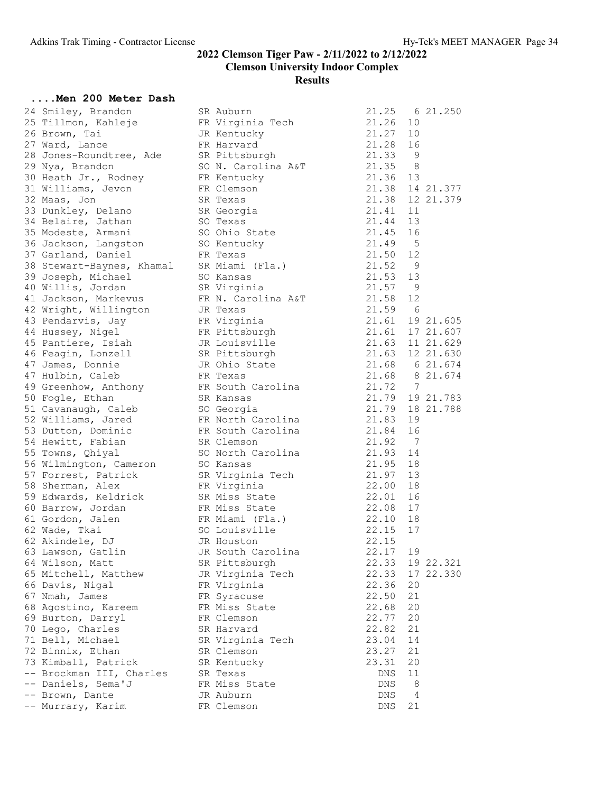#### ....Men 200 Meter Dash

| 24 Smiley, Brandon                            | SR Auburn                    | 21.25                        | 6 21.250                         |
|-----------------------------------------------|------------------------------|------------------------------|----------------------------------|
| 25 Tillmon, Kahleje                           | FR Virginia Tech             | 21.26                        | 10                               |
| 26 Brown, Tai                                 | JR Kentucky                  | 21.27                        | 10                               |
| 27 Ward, Lance                                | FR Harvard                   | 21.28                        | 16                               |
| 28 Jones-Roundtree, Ade                       | SR Pittsburgh                | 21.33                        | 9                                |
| 29 Nya, Brandon                               |                              | 21.35<br>SO N. Carolina A&T  | 8                                |
| 30 Heath Jr., Rodney                          | FR Kentucky                  | 21.36 13                     |                                  |
| 31 Williams, Jevon                            | FR Clemson                   |                              | 21.38 14 21.377                  |
| 32 Maas, Jon                                  | SR Texas                     |                              | 21.38 12 21.379                  |
| 33 Dunkley, Delano                            | SR Georgia                   | 21.41                        | 11                               |
| 34 Belaire, Jathan                            | SO Texas                     | 21.44 13                     |                                  |
| 35 Modeste, Armani                            | SO Ohio State                | 21.45 16                     |                                  |
| 36 Jackson, Langston                          | SO Kentucky                  | 21.49 5                      |                                  |
| 37 Garland, Daniel                            | FR Texas                     | 21.50                        | 12                               |
| 38 Stewart-Baynes, Khamal                     | SR Miami (Fla.)              | 21.52                        | - 9                              |
| 39 Joseph, Michael                            | SO Kansas                    | 21.53                        | 13                               |
| 40 Willis, Jordan                             | SR Virginia                  | 21.57                        | $\overline{9}$                   |
| 41 Jackson, Markevus                          |                              | 21.58<br>FR N. Carolina A&T  | 12                               |
| 42 Wright, Willington                         | JR Texas                     | 21.59 6                      |                                  |
| 43 Pendarvis, Jay                             | FR Virginia                  |                              | 21.61 19 21.605                  |
| 44 Hussey, Nigel                              | FR Pittsburgh                |                              | 21.61 17 21.607                  |
| 45 Pantiere, Isiah                            | JR Louisville                |                              | 21.63 11 21.629                  |
| 46 Feagin, Lonzell                            | SR Pittsburgh                |                              | 21.63 12 21.630                  |
| 47 James, Donnie                              | JR Ohio State                |                              |                                  |
| 47 Hulbin, Caleb                              | FR Texas                     |                              | 21.68 6 21.674<br>21.68 8 21.674 |
| 49 Greenhow, Anthony                          |                              | 21.72 7<br>FR South Carolina |                                  |
| 50 Fogle, Ethan                               | SR Kansas                    |                              | 21.79 19 21.783                  |
| 51 Cavanaugh, Caleb                           | SO Georgia                   |                              | 21.79 18 21.788                  |
| 52 Williams, Jared                            |                              | FR North Carolina<br>21.83   | 19                               |
| 53 Dutton, Dominic                            |                              | FR South Carolina<br>21.84   | 16                               |
| 54 Hewitt, Fabian                             | SR Clemson                   | 21.92 7                      |                                  |
| 55 Towns, Qhiyal                              |                              | 21.93<br>SO North Carolina   | 14                               |
|                                               |                              | 21.95                        | 18                               |
| 56 Wilmington, Cameron<br>57 Forrest, Patrick | SO Kansas                    |                              | 13                               |
|                                               | SR Virginia Tech             | 21.97<br>22.00 18            |                                  |
| 58 Sherman, Alex                              | FR Virginia<br>SR Miss State | 22.01 16                     |                                  |
| 59 Edwards, Keldrick                          |                              | 22.08 17                     |                                  |
| 60 Barrow, Jordan                             | FR Miss State                | 22.10                        | 18                               |
| 61 Gordon, Jalen                              | FR Miami (Fla.)              |                              |                                  |
| 62 Wade, Tkai<br>62 Akindele, DJ              | SO Louisville<br>JR Houston  | 22.15<br>22.15               | 17                               |
|                                               |                              |                              | 19                               |
| 63 Lawson, Gatlin                             | JR South Carolina            | 22.17                        |                                  |
| 64 Wilson, Matt                               | SR Pittsburgh                | 22.33                        | 19 22.321                        |
| 65 Mitchell, Matthew                          | JR Virginia Tech             | 22.33                        | 17 22.330                        |
| 66 Davis, Nigal                               | FR Virginia                  | 22.36                        | 20                               |
| 67 Nmah, James                                | FR Syracuse                  | 22.50                        | 21                               |
| 68 Agostino, Kareem                           | FR Miss State                | 22.68                        | 20                               |
| 69 Burton, Darryl                             | FR Clemson                   | 22.77                        | 20                               |
| 70 Lego, Charles                              | SR Harvard                   | 22.82                        | 21                               |
| 71 Bell, Michael                              | SR Virginia Tech             | 23.04                        | 14                               |
| 72 Binnix, Ethan                              | SR Clemson                   | 23.27                        | 21                               |
| 73 Kimball, Patrick                           | SR Kentucky                  | 23.31                        | 20                               |
| -- Brockman III, Charles                      | SR Texas                     | DNS                          | 11                               |
| -- Daniels, Sema'J                            | FR Miss State                | DNS                          | 8                                |
| -- Brown, Dante                               | JR Auburn                    | DNS                          | $\overline{4}$                   |
| -- Murrary, Karim                             | FR Clemson                   | DNS                          | 21                               |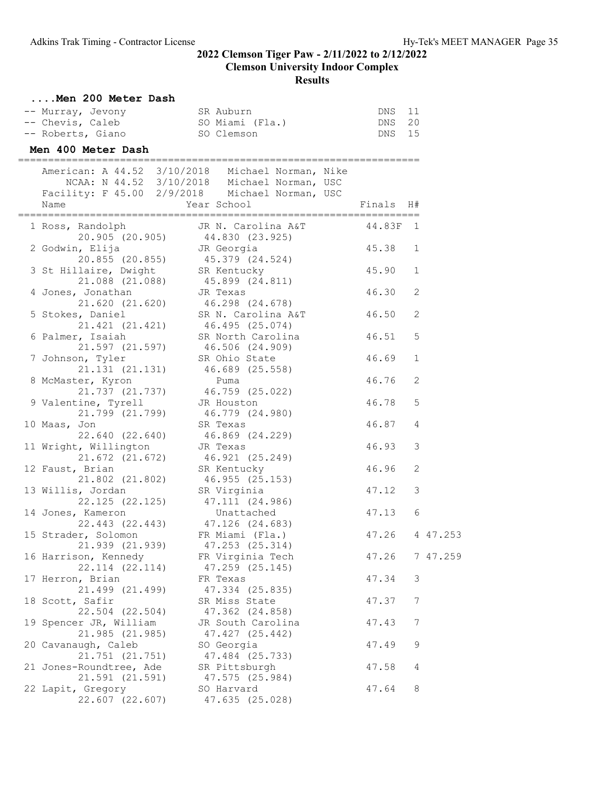| Men 200 Meter Dash                   |                                                  |           |    |          |
|--------------------------------------|--------------------------------------------------|-----------|----|----------|
| -- Murray, Jevony                    | SR Auburn                                        | DNS       | 11 |          |
| -- Chevis, Caleb                     | SO Miami (Fla.)                                  | DNS       | 20 |          |
| -- Roberts, Giano SO Clemson         |                                                  | DNS 15    |    |          |
| Men 400 Meter Dash                   |                                                  |           |    |          |
|                                      | American: A 44.52 3/10/2018 Michael Norman, Nike |           |    |          |
|                                      | NCAA: N 44.52 3/10/2018 Michael Norman, USC      |           |    |          |
|                                      | Facility: F 45.00 2/9/2018 Michael Norman, USC   |           |    |          |
| Name                                 | Year School                                      | Finals H# |    |          |
| 1 Ross, Randolph                     | JR N. Carolina A&T 44.83F 1                      |           |    |          |
|                                      | 20.905 (20.905) 44.830 (23.925)                  |           |    |          |
| 2 Godwin, Elija                      | JR Georgia                                       | 45.38 1   |    |          |
|                                      | 20.855 (20.855) 45.379 (24.524)                  |           |    |          |
| 3 St Hillaire, Dwight SR Kentucky    |                                                  | 45.90     | 1  |          |
| 21.088 (21.088)                      | 45.899 (24.811)<br>JR Texas                      |           |    |          |
| 4 Jones, Jonathan                    |                                                  | 46.30     | 2  |          |
|                                      | 21.620 (21.620) 46.298 (24.678)                  |           |    |          |
| 5 Stokes, Daniel                     | SR N. Carolina A&T 46.50                         |           | 2  |          |
|                                      | 21.421 (21.421) 46.495 (25.074)                  |           |    |          |
| 6 Palmer, Isaiah                     | SR North Carolina<br>46.506 (24.909)             | 46.51     | 5  |          |
| 21.597 (21.597)<br>7 Johnson, Tyler  | SR Ohio State                                    | 46.69     | 1  |          |
|                                      | 21.131 (21.131) 46.689 (25.558)                  |           |    |          |
| 8 McMaster, Kyron                    | Puma                                             | 46.76     | 2  |          |
|                                      | 21.737 (21.737) 46.759 (25.022)                  |           |    |          |
| 9 Valentine, Tyrell                  | JR Houston                                       | 46.78     | 5  |          |
| 21.799 (21.799)                      | 46.779 (24.980)                                  |           |    |          |
| 10 Maas, Jon                         | SR Texas                                         | 46.87     | 4  |          |
| 22.640 (22.640)                      | 46.869 (24.229)                                  |           |    |          |
| 11 Wright, Willington                | JR Texas                                         | 46.93     | 3  |          |
| 21.672 (21.672)                      | 46.921 (25.249)                                  |           |    |          |
| 12 Faust, Brian                      | SR Kentucky                                      | 46.96     | 2  |          |
| 21.802 (21.802)                      | 46.955 (25.153)                                  |           |    |          |
| 13 Willis, Jordan                    | SR Virginia                                      | 47.12     | 3  |          |
|                                      | 22.125 (22.125) 47.111 (24.986)                  |           |    |          |
| 14 Jones, Kameron                    | Unattached                                       | 47.13     | 6  |          |
|                                      | 22.443 (22.443) 47.126 (24.683)                  |           |    |          |
| 15 Strader, Solomon                  | FR Miami (Fla.)                                  | 47.26     |    | 4 47.253 |
| 21.939 (21.939)                      | 47.253 (25.314)                                  |           |    |          |
| 16 Harrison, Kennedy                 | FR Virginia Tech                                 | 47.26     |    | 7 47.259 |
| 22.114 (22.114)                      | 47.259 (25.145)                                  |           |    |          |
| 17 Herron, Brian                     | FR Texas                                         | 47.34     | 3  |          |
| 21.499 (21.499)                      | 47.334 (25.835)                                  |           |    |          |
| 18 Scott, Safir                      | SR Miss State                                    | 47.37     | 7  |          |
| 22.504 (22.504)                      | 47.362 (24.858)                                  |           |    |          |
| 19 Spencer JR, William               | JR South Carolina                                | 47.43     | 7  |          |
| 21.985 (21.985)                      | 47.427 (25.442)                                  |           |    |          |
| 20 Cavanaugh, Caleb                  | SO Georgia                                       | 47.49     | 9  |          |
| 21.751 (21.751)                      | 47.484 (25.733)                                  |           |    |          |
| 21 Jones-Roundtree, Ade              | SR Pittsburgh                                    | 47.58     | 4  |          |
| 21.591 (21.591)<br>22 Lapit, Gregory | 47.575 (25.984)<br>SO Harvard                    | 47.64     | 8  |          |
| 22.607 (22.607)                      | 47.635 (25.028)                                  |           |    |          |
|                                      |                                                  |           |    |          |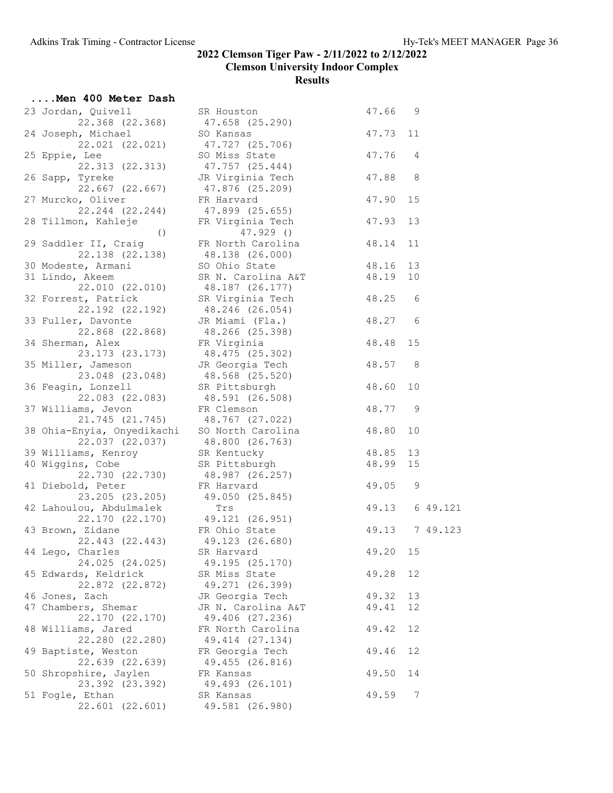| Men 400 Meter Dash                                                                                 |                                                                                                                                                   |                |    |          |
|----------------------------------------------------------------------------------------------------|---------------------------------------------------------------------------------------------------------------------------------------------------|----------------|----|----------|
| 23 Jordan, Quivell<br>22.368 (22.368)                                                              | SR Houston<br>47.658 (25.290)                                                                                                                     | 47.66 9        |    |          |
| 24 Joseph, Michael<br>22.021 (22.021)                                                              | SO Kansas<br>47.727 (25.706)                                                                                                                      | 47.73          | 11 |          |
| 25 Eppie, Lee<br>22.313 (22.313)                                                                   | SO Miss State<br>47.757 (25.444)                                                                                                                  | 47.76          | 4  |          |
| 26 Sapp, Tyreke<br>$22.667$ $(22.667)$                                                             | JR Virginia Tech<br>47.876 (25.209)                                                                                                               | 47.88          | 8  |          |
| 27 Murcko, Oliver<br>22.244 (22.244)                                                               | FR Harvard<br>47.899 (25.655)                                                                                                                     | 47.90          | 15 |          |
| 28 Tillmon, Kahleje<br>( )                                                                         | FR Virginia Tech<br>$47.929$ ()                                                                                                                   | 47.93          | 13 |          |
| 29 Saddler II, Craig<br>22.138 (22.138) 48.138 (26.000)                                            | FR North Carolina                                                                                                                                 | 48.14          | 11 |          |
| 30 Modeste, Armani                                                                                 | SO Ohio State                                                                                                                                     | 48.16          | 13 |          |
| 31 Lindo, Akeem<br>22.010 (22.010)                                                                 | SR N. Carolina A&T 48.19<br>48.187 (26.177)                                                                                                       |                | 10 |          |
| 32 Forrest, Patrick<br>22.192 (22.192)                                                             | SR Virginia Tech $48.25$ 6<br>48.246 (26.054)                                                                                                     |                |    |          |
| 33 Fuller, Davonte<br>22.868 (22.868)                                                              | JR Miami (Fla.)<br>48.266 (25.398)                                                                                                                | 48.27          | 6  |          |
| 34 Sherman, Alex<br>23.173 (23.173)                                                                | FR Virginia<br>48.475 (25.302)<br>48.475 (25.302)                                                                                                 | 48.48          | 15 |          |
| 35 Miller, Jameson<br>23.048 (23.048)                                                              | UN Georgia Tech (18.57 8)<br>18.568 (25.520)<br>SR Pittsburn                                                                                      |                |    |          |
| 36 Feagin, Lonzell<br>22.083 (22.083)                                                              | SR Pittsburgh<br>48.591 (26.508)                                                                                                                  | 48.60          |    |          |
| 37 Williams, Jevon                                                                                 | FR Clemson                                                                                                                                        | 48.77 9        |    |          |
| 21.745 (21.745) 48.767 (27.022)<br>38 Ohia-Enyia, Onyedikachi SO North Carolina<br>22.037 (22.037) | 48.800 (26.763)                                                                                                                                   | 48.80          | 10 |          |
| 39 Williams, Kenroy                                                                                | SR Kentucky                                                                                                                                       | 48.85          | 13 |          |
| 40 Wiggins, Cobe                                                                                   |                                                                                                                                                   |                |    |          |
|                                                                                                    |                                                                                                                                                   |                |    |          |
| 41 Diebold, Peter                                                                                  | Illis, Nobe<br>22.730 (22.730) 8R PIttsburg<br>22.730 (22.730) 48.987 (26.257)<br>1d, Peter FR Harvard 49.05 9<br>23.205) 49.050 (25.845) 49.13 6 |                |    |          |
| 42 Lahoulou, Abdulmalek                                                                            | 22.170 (22.170) 49.121 (26.951)                                                                                                                   |                |    | 6 49.121 |
| 43 Brown, Zidane FR Ohio State<br>22.443 (22.443) 49.123 (26.680)                                  |                                                                                                                                                   | 49.13 7 49.123 |    |          |
| 44 Lego, Charles<br>24.025 (24.025)                                                                | SR Harvard<br>49.195 (25.170)                                                                                                                     | 49.20          | 15 |          |
| 45 Edwards, Keldrick<br>22.872 (22.872)                                                            | SR Miss State<br>49.271 (26.399)                                                                                                                  | 49.28          | 12 |          |
| 46 Jones, Zach                                                                                     | JR Georgia Tech                                                                                                                                   | 49.32          | 13 |          |
| 47 Chambers, Shemar<br>22.170 (22.170)                                                             | JR N. Carolina A&T<br>49.406 (27.236)                                                                                                             | 49.41          | 12 |          |
| 48 Williams, Jared<br>22.280 (22.280)                                                              | FR North Carolina<br>49.414 (27.134)                                                                                                              | 49.42          | 12 |          |
| 49 Baptiste, Weston<br>22.639 (22.639)                                                             | FR Georgia Tech<br>49.455 (26.816)                                                                                                                | 49.46          | 12 |          |
| 50 Shropshire, Jaylen<br>23.392 (23.392)                                                           | FR Kansas<br>49.493 (26.101)                                                                                                                      | 49.50          | 14 |          |
| 51 Fogle, Ethan<br>22.601 (22.601)                                                                 | SR Kansas<br>49.581 (26.980)                                                                                                                      | 49.59          | 7  |          |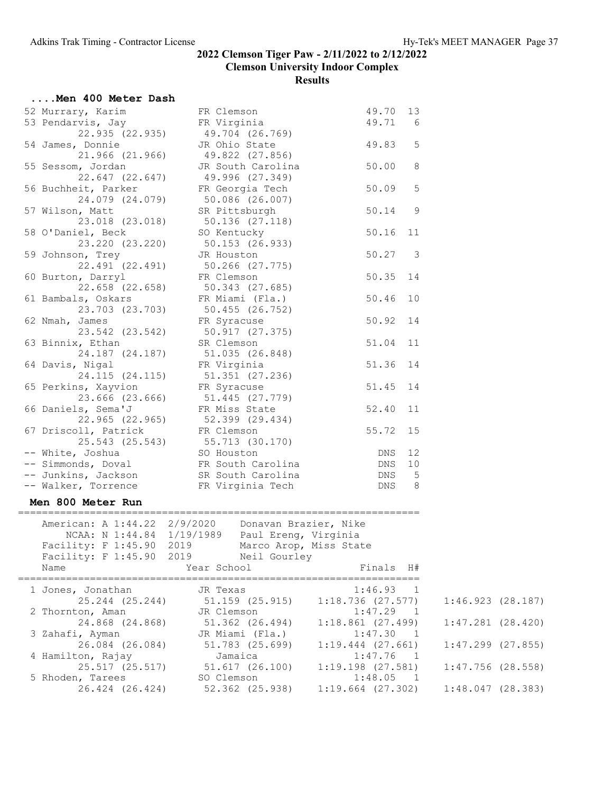| Men 400 Meter Dash                                                                                      |                                                |                       |                |                       |  |
|---------------------------------------------------------------------------------------------------------|------------------------------------------------|-----------------------|----------------|-----------------------|--|
| 52 Murrary, Karim                                                                                       | FR Clemson                                     | 49.70 13              |                |                       |  |
| 53 Pendarvis, Jay                                                                                       | FR Virginia                                    | 49.71                 | 6              |                       |  |
| 22.935 (22.935)                                                                                         |                                                |                       |                |                       |  |
| 54 James, Donnie                                                                                        | 49.704 (26.769)<br>JR Ohio State               | 49.83                 | 5              |                       |  |
|                                                                                                         | 21.966 (21.966) 49.822 (27.856)                |                       |                |                       |  |
|                                                                                                         | JR South Carolina                              | 50.00                 | 8              |                       |  |
| 55 Sessom, Jordan                                                                                       |                                                |                       |                |                       |  |
| 22.647 (22.647)                                                                                         | 49.996 (27.349)                                |                       |                |                       |  |
| 56 Buchheit, Parker                                                                                     | FR Georgia Tech                                | 50.09                 | 5              |                       |  |
| 24.079 (24.079)                                                                                         | 50.086 (26.007)                                |                       |                |                       |  |
| 57 Wilson, Matt                                                                                         | SR Pittsburgh                                  | 50.14                 | 9              |                       |  |
| 23.018 (23.018)                                                                                         | 50.136 (27.118)                                |                       |                |                       |  |
| 58 O'Daniel, Beck                                                                                       | SO Kentucky                                    | 50.16                 | 11             |                       |  |
| 23.220 (23.220)                                                                                         | 50.153 (26.933)                                |                       |                |                       |  |
| 59 Johnson, Trey                                                                                        | JR Houston                                     | 50.27                 | 3              |                       |  |
| 22.491 (22.491)                                                                                         |                                                |                       |                |                       |  |
| 60 Burton, Darryl                                                                                       | 50.266 (27.775)<br>FR Clemson                  | 50.35 14              |                |                       |  |
|                                                                                                         | $22.658$ (22.658) $50.343$ (27.685)            |                       |                |                       |  |
| 61 Bambals, Oskars                                                                                      | FR Miami (Fla.)                                | 50.46                 | 10             |                       |  |
| 23.703 (23.703)                                                                                         | 50.455 (26.752)                                |                       |                |                       |  |
|                                                                                                         |                                                | 50.92 14              |                |                       |  |
| 62 Nmah, James                                                                                          | FR Syracuse                                    |                       |                |                       |  |
| 23.542 (23.542)                                                                                         | 50.917 (27.375)                                |                       |                |                       |  |
| 63 Binnix, Ethan                                                                                        | SR Clemson                                     | 51.04 11              |                |                       |  |
| 24.187 (24.187)                                                                                         | 51.035 (26.848)                                |                       |                |                       |  |
| 64 Davis, Nigal                                                                                         | FR Virginia                                    | 51.36 14              |                |                       |  |
| 24.115 (24.115)                                                                                         | 51.351 (27.236)                                |                       |                |                       |  |
| 65 Perkins, Xayvion                                                                                     | FR Syracuse                                    | 51.45 14              |                |                       |  |
| 23.666 (23.666)                                                                                         | 51.445 (27.779)<br>FR Miss State               |                       |                |                       |  |
| 66 Daniels, Sema'J                                                                                      |                                                | 52.40 11              |                |                       |  |
|                                                                                                         | 22.965 (22.965) 52.399 (29.434)                |                       |                |                       |  |
| 67 Driscoll, Patrick                                                                                    | FR Clemson                                     | 55.72 15              |                |                       |  |
|                                                                                                         | 25.543 (25.543) 55.713 (30.170)                |                       |                |                       |  |
|                                                                                                         |                                                | DNS 12                |                |                       |  |
| -- White, Joshua<br>-- Simmonds, Doval<br>-- Junkins, Jackson<br>SR South Carolina<br>SR South Carolina |                                                | DNS 10                |                |                       |  |
|                                                                                                         |                                                | DNS                   | $5^{\circ}$    |                       |  |
| -- Walker, Torrence FR Virginia Tech                                                                    |                                                | DNS                   | 8              |                       |  |
|                                                                                                         |                                                |                       |                |                       |  |
| Men 800 Meter Run                                                                                       |                                                |                       |                |                       |  |
|                                                                                                         |                                                |                       |                |                       |  |
| American: A 1:44.22 2/9/2020 Donavan Brazier, Nike                                                      |                                                |                       |                |                       |  |
|                                                                                                         | NCAA: N 1:44.84 1/19/1989 Paul Ereng, Virginia |                       |                |                       |  |
| Facility: F 1:45.90 2019                                                                                | Marco Arop, Miss State                         |                       |                |                       |  |
| Facility: F 1:45.90<br>2019                                                                             | Neil Gourley                                   |                       |                |                       |  |
| Name                                                                                                    | Year School                                    | Finals H#             |                |                       |  |
|                                                                                                         |                                                |                       |                |                       |  |
| 1 Jones, Jonathan                                                                                       | JR Texas                                       | 1:46.93               | $\overline{1}$ |                       |  |
| 25.244 (25.244)                                                                                         | 51.159 (25.915)                                | $1:18.736$ (27.577)   |                | 1:46.923(28.187)      |  |
| 2 Thornton, Aman                                                                                        | JR Clemson                                     | 1:47.29               | $\overline{1}$ |                       |  |
| 24.868 (24.868)                                                                                         | 51.362 (26.494)                                | $1:18.861$ (27.499)   |                | $1:47.281$ $(28.420)$ |  |
| 3 Zahafi, Ayman                                                                                         | JR Miami (Fla.)                                | 1:47.30               | $\mathbf{1}$   |                       |  |
| 26.084 (26.084)                                                                                         | 51.783 (25.699)                                | $1:19.444$ $(27.661)$ |                | $1:47.299$ $(27.855)$ |  |
| 4 Hamilton, Rajay                                                                                       | Jamaica                                        | 1:47.76               | $\overline{1}$ |                       |  |
| 25.517 (25.517)                                                                                         | 51.617 (26.100)                                | $1:19.198$ $(27.581)$ |                | $1:47.756$ (28.558)   |  |
| 5 Rhoden, Tarees                                                                                        | SO Clemson                                     | 1:48.05               | $\overline{1}$ |                       |  |
| 26.424 (26.424)                                                                                         | 52.362 (25.938)                                | $1:19.664$ (27.302)   |                | 1:48.047(28.383)      |  |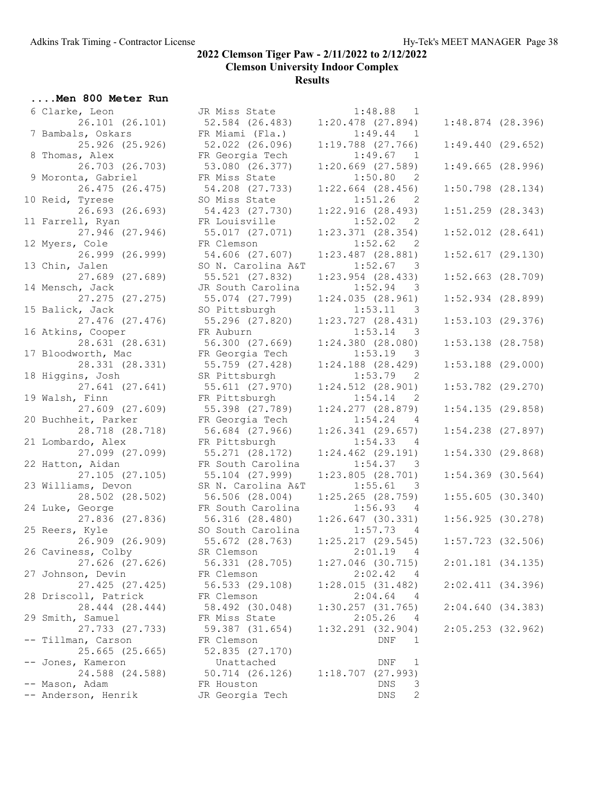....Men 800 Meter Run 6 Clarke, Leon JR Miss State 1:48.88 1 7 Bambals, Oskars FR Miami (Fla.) 1:49.44 1 8 Thomas, Alex FR Georgia Tech 1:49.67 1 9 Moronta, Gabriel FR Miss State 1:50.80 2 10 Reid, Tyrese SO Miss State 1:51.26 2 11 Farrell, Ryan FR Louisville 1:52.02 2 12 Myers, Cole **FR Clemson** 1:52.62 2 13 Chin, Jalen SO N. Carolina A&T 1:52.67 3 14 Mensch, Jack JR South Carolina 1:52.94 3 15 Balick, Jack SO Pittsburgh 1:53.11 3 16 Atkins, Cooper 5 FR Auburn 1:53.14 3 17 Bloodworth, Mac FR Georgia Tech 1:53.19 3 18 Higgins, Josh SR Pittsburgh 1:53.79 2 19 Walsh, Finn FR Pittsburgh 1:54.14 2 20 Buchheit, Parker FR Georgia Tech 1:54.24 4 21 Lombardo, Alex FR Pittsburgh 1:54.33 4 22 Hatton, Aidan FR South Carolina 1:54.37 3 23 Williams, Devon SR N. Carolina A&T 1:55.61 3 24 Luke, George TR South Carolina 1:56.93 4 25 Reers, Kyle SO South Carolina 1:57.73 4 26 Caviness, Colby SR Clemson 2:01.19 4 27 Johnson, Devin FR Clemson 2:02.42 4 28 Driscoll, Patrick FR Clemson 2:04.64 4 29 Smith, Samuel FR Miss State 2:05.26 4 -- Tillman, Carson FR Clemson DNF 1 25.665 (25.665) 52.835 (27.170) -- Jones, Kameron Unattached DNF 1 24.588 (24.588) 50.714 (26.126) 1:18.707 (27.993) -- Mason, Adam FR Houston DNS 3 -- Anderson, Henrik JR Georgia Tech DNS 2

| 6 Clarke, Leon       | JR Miss State      | 1:48.88<br>$\overline{\phantom{a}}$   |                       |
|----------------------|--------------------|---------------------------------------|-----------------------|
| 26.101 (26.101)      | 52.584 (26.483)    | $1:20.478$ $(27.894)$                 | $1:48.874$ (28.396)   |
| 7 Bambals, Oskars    | FR Miami (Fla.)    | 1:49.44<br>$\mathbf{1}$               |                       |
| 25.926 (25.926)      | 52.022 (26.096)    | $1:19.788$ $(27.766)$                 | 1:49.440(29.652)      |
| 8 Thomas, Alex       | FR Georgia Tech    | 1:49.67<br>$\overline{\phantom{1}}$   |                       |
| 26.703 (26.703)      | 53.080 (26.377)    | $1:20.669$ $(27.589)$                 | 1:49.665(28.996)      |
| 9 Moronta, Gabriel   | FR Miss State      | 1:50.80<br>2                          |                       |
| 26.475 (26.475)      | 54.208 (27.733)    | $1:22.664$ (28.456)                   | $1:50.798$ $(28.134)$ |
|                      |                    |                                       |                       |
| 10 Reid, Tyrese      | SO Miss State      | 1:51.26<br>2                          |                       |
| 26.693 (26.693)      | 54.423 (27.730)    | 1:22.916(28.493)                      | $1:51.259$ $(28.343)$ |
| 11 Farrell, Ryan     | FR Louisville      | 1:52.02<br>$\overline{\phantom{0}}^2$ |                       |
| 27.946 (27.946)      | 55.017 (27.071)    | $1:23.371$ $(28.354)$                 | $1:52.012$ $(28.641)$ |
| 12 Myers, Cole       | FR Clemson         | 1:52.62<br>2                          |                       |
| 26.999 (26.999)      | 54.606 (27.607)    | $1:23.487$ $(28.881)$                 | 1:52.617(29.130)      |
| 13 Chin, Jalen       | SO N. Carolina A&T | 1:52.67<br>$\overline{\phantom{a}}$   |                       |
| 27.689 (27.689)      | 55.521 (27.832)    | $1:23.954$ $(28.433)$                 | $1:52.663$ $(28.709)$ |
| 14 Mensch, Jack      | JR South Carolina  | 1:52.94<br>$\overline{\phantom{a}}$   |                       |
| 27.275 (27.275)      | 55.074 (27.799)    | 1:24.035(28.961)                      | $1:52.934$ $(28.899)$ |
| 15 Balick, Jack      | SO Pittsburgh      | 1:53.11<br>3                          |                       |
| 27.476 (27.476)      | 55.296 (27.820)    | 1:23.727(28.431)                      | $1:53.103$ (29.376)   |
| 16 Atkins, Cooper    | FR Auburn          | 1:53.14<br>3                          |                       |
| 28.631 (28.631)      | 56.300 (27.669)    | 1:24.380(28.080)                      | $1:53.138$ $(28.758)$ |
| 17 Bloodworth, Mac   | FR Georgia Tech    | 1:53.19<br>$\overline{\phantom{a}}$ 3 |                       |
|                      |                    |                                       |                       |
| 28.331 (28.331)      | 55.759 (27.428)    | $1:24.188$ $(28.429)$                 | $1:53.188$ (29.000)   |
| 18 Higgins, Josh     | SR Pittsburgh      | 1:53.79<br>2                          |                       |
| 27.641 (27.641)      | 55.611 (27.970)    | $1:24.512$ $(28.901)$                 | $1:53.782$ (29.270)   |
| 19 Walsh, Finn       | FR Pittsburgh      | 1:54.14<br>2                          |                       |
| 27.609 (27.609)      | 55.398 (27.789)    | $1:24.277$ $(28.879)$                 | 1:54.135(29.858)      |
| 20 Buchheit, Parker  | FR Georgia Tech    | 1:54.24<br>4                          |                       |
| 28.718 (28.718)      | 56.684 (27.966)    | $1:26.341$ (29.657)                   | $1:54.238$ $(27.897)$ |
| 21 Lombardo, Alex    | FR Pittsburgh      | 1:54.33<br>4                          |                       |
| 27.099 (27.099)      | 55.271 (28.172)    | $1:24.462$ $(29.191)$                 | 1:54.330(29.868)      |
| 22 Hatton, Aidan     | FR South Carolina  | 1:54.37<br>- 3                        |                       |
| 27.105 (27.105)      | 55.104 (27.999)    | 1:23.805(28.701)                      | $1:54.369$ (30.564)   |
| 23 Williams, Devon   | SR N. Carolina A&T | 1:55.61<br>$\overline{\phantom{a}}$   |                       |
| 28.502 (28.502)      | 56.506 (28.004)    | $1:25.265$ (28.759)                   | 1:55.605(30.340)      |
| 24 Luke, George      | FR South Carolina  | 1:56.93<br>4                          |                       |
| 27.836 (27.836)      | 56.316 (28.480)    | $1:26.647$ (30.331)                   | 1:56.925(30.278)      |
| 25 Reers, Kyle       | SO South Carolina  | 1:57.73<br>$\overline{4}$             |                       |
|                      |                    |                                       |                       |
| 26.909 (26.909)      | 55.672 (28.763)    | 1:25.217(29.545)                      | $1:57.723$ (32.506)   |
| 26 Caviness, Colby   | SR Clemson         | 2:01.19 4                             |                       |
| 27.626 (27.626)      | 56.331 (28.705)    | $1:27.046$ (30.715)                   | 2:01.181(34.135)      |
| 27 Johnson, Devin    | FR Clemson         | 2:02.42<br>4                          |                       |
| 27.425 (27.425)      | 56.533 (29.108)    | 1:28.015(31.482)                      | 2:02.411(34.396)      |
| 28 Driscoll, Patrick | FR Clemson         | 2:04.64<br>- 4                        |                       |
| 28.444 (28.444)      | 58.492 (30.048)    | $1:30.257$ $(31.765)$                 | 2:04.640(34.383)      |
| 29 Smith, Samuel     | FR Miss State      | 2:05.26<br>- 4                        |                       |
| 27.733 (27.733)      | 59.387 (31.654)    | $1:32.291$ $(32.904)$                 | 2:05.253(32.962)      |
| -- Tillman, Carson   | FR Clemson         | DNF<br>1                              |                       |
| 25.665 (25.665)      | 52.835 (27.170)    |                                       |                       |
| -- Jones, Kameron    | Unattached         | DNF<br>1                              |                       |
| 24.588 (24.588)      | 50.714 (26.126)    | 1:18.707(27.993)                      |                       |
|                      |                    |                                       |                       |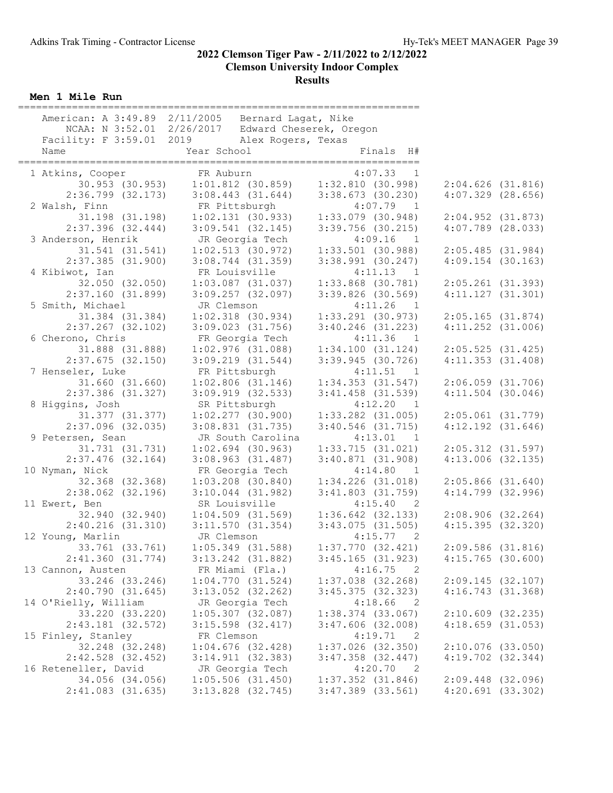Men 1 Mile Run

| American: A 3:49.89 2/11/2005 Bernard Lagat, Nike | NCAA: N 3:52.01 2/26/2017 Edward Cheserek, Oregon |                       |                                                                  |                       |  |
|---------------------------------------------------|---------------------------------------------------|-----------------------|------------------------------------------------------------------|-----------------------|--|
| Facility: F 3:59.01 2019 Alex Rogers, Texas       |                                                   |                       |                                                                  |                       |  |
| Name                                              | Year School                                       |                       | Finals H#                                                        |                       |  |
|                                                   |                                                   |                       |                                                                  |                       |  |
| 1 Atkins, Cooper                                  | FR Auburn                                         |                       | 4:07.33 1<br>30.953 (30.953) 1:01.812 (30.859) 1:32.810 (30.998) | $2:04.626$ $(31.816)$ |  |
| $2:36.799$ $(32.173)$                             | 3:08.443(31.644)                                  |                       | $3:38.673$ (30.230)                                              | $4:07.329$ $(28.656)$ |  |
| 2 Walsh, Finn                                     | FR Pittsburgh                                     |                       | $4:07.79$ 1                                                      |                       |  |
| 31.198 (31.198)                                   | $1:02.131$ (30.933)                               |                       | $1:33.079$ (30.948)                                              | $2:04.952$ (31.873)   |  |
| $2:37.396$ $(32.444)$                             | $3:09.541$ (32.145)                               |                       | $3:39.756$ (30.215)                                              | $4:07.789$ $(28.033)$ |  |
| 3 Anderson, Henrik                                | JR Georgia Tech                                   |                       | $4:09.16$ 1                                                      |                       |  |
| $31.541$ $(31.541)$                               | $1:02.513$ (30.972)                               |                       | $1:33.501$ (30.988)                                              | 2:05.485(31.984)      |  |
| $2:37.385$ $(31.900)$                             | $3:08.744$ $(31.359)$                             |                       | $3:38.991$ (30.247)                                              | $4:09.154$ (30.163)   |  |
| 4 Kibiwot, Ian                                    | FR Louisville                                     |                       | 4:11.13<br>$\overline{1}$                                        |                       |  |
| 32.050 (32.050)                                   |                                                   | $1:03.087$ (31.037)   | $1:33.868$ (30.781)                                              | $2:05.261$ (31.393)   |  |
| 2:37.160(31.899)                                  | $3:09.257$ $(32.097)$                             |                       | $3:39.826$ (30.569)                                              | 4:11.127(31.301)      |  |
| 5 Smith, Michael                                  | JR Clemson                                        |                       | $4:11.26$ 1                                                      |                       |  |
| 31.384 (31.384)                                   | $1:02.318$ $(30.934)$                             |                       | $1:33.291$ (30.973)                                              | $2:05.165$ (31.874)   |  |
| $2:37.267$ (32.102)                               | $3:09.023$ $(31.756)$                             |                       | $3:40.246$ (31.223)                                              | $4:11.252$ $(31.006)$ |  |
| 6 Cherono, Chris                                  | FR Georgia Tech                                   |                       | 4:11.36<br>$\overline{1}$                                        |                       |  |
| 31.888 (31.888)                                   | $1:02.976$ (31.088)                               |                       | 1:34.100(31.124)                                                 | 2:05.525(31.425)      |  |
| $2:37.675$ (32.150)                               | 3:09.219(31.544)                                  |                       | $3:39.945$ (30.726)                                              | 4:11.353(31.408)      |  |
| 7 Henseler, Luke                                  | FR Pittsburgh                                     |                       | 4:11.51 1                                                        |                       |  |
| $31.660$ $(31.660)$                               |                                                   | $1:02.806$ $(31.146)$ | $1:34.353$ $(31.547)$                                            | $2:06.059$ $(31.706)$ |  |
| $2:37.386$ $(31.327)$                             | $3:09.919$ $(32.533)$                             |                       | $3:41.458$ (31.539)                                              | $4:11.504$ (30.046)   |  |
| 8 Higgins, Josh                                   | SR Pittsburgh                                     |                       | 4:12.20<br>$\overline{1}$                                        |                       |  |
| 31.377 (31.377)                                   | $1:02.277$ (30.900)                               |                       | $1:33.282$ $(31.005)$                                            | $2:05.061$ $(31.779)$ |  |
| $2:37.096$ (32.035)                               | $3:08.831$ $(31.735)$                             |                       | $3:40.546$ (31.715)                                              | $4:12.192$ $(31.646)$ |  |
| 9 Petersen, Sean                                  |                                                   | JR South Carolina     | 4:13.01 1                                                        |                       |  |
| 31.731 (31.731)                                   | $1:02.694$ (30.963)                               |                       | 1:33.715(31.021)                                                 | $2:05.312$ (31.597)   |  |
| $2:37.476$ (32.164)                               | $3:08.963$ $(31.487)$                             |                       | 3:40.871(31.908)                                                 | $4:13.006$ $(32.135)$ |  |
| 10 Nyman, Nick                                    | FR Georgia Tech                                   |                       | 4:14.80 1                                                        |                       |  |
| 32.368 (32.368)                                   | $1:03.208$ (30.840)                               |                       | $1:34.226$ $(31.018)$                                            | $2:05.866$ $(31.640)$ |  |
| $2:38.062$ (32.196)                               | $3:10.044$ $(31.982)$                             |                       | $3:41.803$ $(31.759)$                                            | $4:14.799$ $(32.996)$ |  |
| 11 Ewert, Ben                                     | SR Louisville                                     |                       | 4:15.40 2                                                        |                       |  |
|                                                   | 32.940 (32.940) 1:04.509 (31.569)                 |                       | $1:36.642$ (32.133)                                              | 2:08.906(32.264)      |  |
| 2:40.216(31.310)                                  | 3:11.570(31.354)                                  |                       | 3:43.075(31.505)                                                 | 4:15.395(32.320)      |  |
| 12 Young, Marlin                                  | JR Clemson                                        |                       | 4:15.77 2                                                        |                       |  |
| 33.761 (33.761)                                   | $1:05.349$ (31.588)                               |                       | $1:37.770$ (32.421)                                              | $2:09.586$ (31.816)   |  |
| 2:41.360(31.774)                                  | 3:13.242 (31.882)                                 |                       | $3:45.165$ (31.923)                                              | $4:15.765$ (30.600)   |  |
| 13 Cannon, Austen                                 | FR Miami (Fla.)                                   |                       | $4:16.75$ 2                                                      |                       |  |
| 33.246 (33.246)                                   | 1:04.770(31.524)                                  |                       | $1:37.038$ (32.268)                                              | 2:09.145(32.107)      |  |
| 2:40.790(31.645)                                  | $3:13.052$ (32.262)                               |                       | 3:45.375(32.323)                                                 | 4:16.743(31.368)      |  |
| 14 O'Rielly, William                              | JR Georgia Tech                                   |                       | 4:18.66<br>$\overline{\phantom{0}}^2$                            |                       |  |
| 33.220 (33.220)                                   | $1:05.307$ (32.087)                               |                       | $1:38.374$ (33.067)                                              | $2:10.609$ (32.235)   |  |
| 2:43.181 (32.572)                                 | $3:15.598$ $(32.417)$                             |                       | $3:47.606$ (32.008)                                              | $4:18.659$ $(31.053)$ |  |
| 15 Finley, Stanley                                | FR Clemson                                        |                       | 4:19.71<br>$\overline{\phantom{0}}^2$                            |                       |  |
| 32.248 (32.248)                                   | $1:04.676$ (32.428)                               |                       | $1:37.026$ (32.350)                                              | $2:10.076$ (33.050)   |  |
| $2:42.528$ (32.452)                               | $3:14.911$ (32.383)                               |                       | $3:47.358$ $(32.447)$                                            | $4:19.702$ $(32.344)$ |  |
| 16 Reteneller, David                              | JR Georgia Tech                                   |                       | 4:20.70<br>$\overline{\phantom{0}}^2$                            |                       |  |
| 34.056 (34.056)                                   | $1:05.506$ (31.450)                               |                       | $1:37.352$ $(31.846)$                                            | $2:09.448$ (32.096)   |  |
| $2:41.083$ (31.635)                               | 3:13.828 (32.745)                                 |                       | $3:47.389$ $(33.561)$                                            | 4:20.691(33.302)      |  |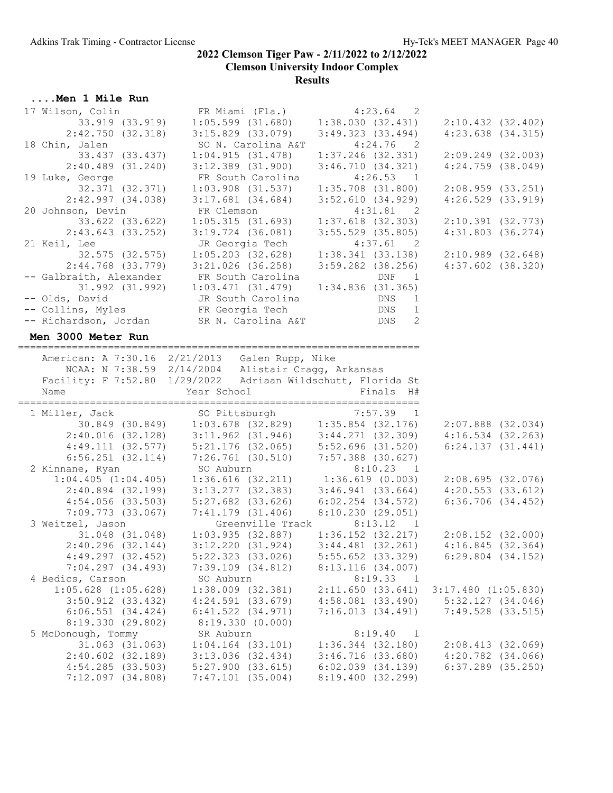| Men 1 Mile Run                          |                                                               |                                                                          |                         |
|-----------------------------------------|---------------------------------------------------------------|--------------------------------------------------------------------------|-------------------------|
| 17 Wilson, Colin                        | FR Miami (Fla.)                                               | $4:23.64$ 2                                                              |                         |
| 33.919 (33.919)                         | $1:05.599$ $(31.680)$                                         | 1:38.030(32.431)                                                         | $2:10.432$ $(32.402)$   |
| 2:42.750(32.318)                        | $3:15.829$ $(33.079)$                                         | $3:49.323$ (33.494)                                                      | $4:23.638$ $(34.315)$   |
| 18 Chin, Jalen                          | SO N. Carolina A&T                                            | 4:24.76<br>$\overline{2}$                                                |                         |
| 33.437 (33.437)                         | 1:04.915(31.478)                                              | $1:37.246$ (32.331)                                                      | $2:09.249$ $(32.003)$   |
| $2:40.489$ $(31.240)$                   | $3:12.389$ $(31.900)$                                         | 3:46.710(34.321)                                                         | $4:24.759$ $(38.049)$   |
| 19 Luke, George                         | FR South Carolina                                             | 4:26.53<br>$\frac{1}{2}$                                                 |                         |
| 32.371 (32.371)                         | $1:03.908$ $(31.537)$                                         | $1:35.708$ $(31.800)$                                                    | 2:08.959(33.251)        |
| $2:42.997$ (34.038)                     | $3:17.681$ $(34.684)$                                         | 3:52.610(34.929)                                                         | $4:26.529$ $(33.919)$   |
| 20 Johnson, Devin                       | FR Clemson                                                    | 4:31.81<br>$\overline{\phantom{0}}^2$                                    |                         |
| 33.622 (33.622)                         | 1:05.315(31.693)                                              | $1:37.618$ $(32.303)$                                                    | 2:10.391(32.773)        |
| $2:43.643$ (33.252)                     | $3:19.724$ $(36.081)$                                         | $3:55.529$ (35.805)                                                      | $4:31.803$ $(36.274)$   |
| 21 Keil, Lee                            | JR Georgia Tech                                               | 4:37.61 2                                                                |                         |
| 32.575 (32.575)                         | $1:05.203$ (32.628)                                           | 1:38.341(33.138)                                                         | 2:10.989(32.648)        |
| $2:44.768$ $(33.779)$                   | 3:21.026 (36.258)                                             | $3:59.282$ (38.256)                                                      | $4:37.602$ $(38.320)$   |
|                                         | -- Galbraith, Alexander FR South Carolina                     | DNF<br>$\overline{1}$                                                    |                         |
| 31.992 (31.992)                         | 1:03.471(31.479)                                              | 1:34.836(31.365)                                                         |                         |
| -- Olds, David                          | JR South Carolina                                             | <b>DNS</b><br>1                                                          |                         |
|                                         | -- Collins, Myles<br>-- Richardson, Jordan SR N. Carolina A&T | DNS<br>1                                                                 |                         |
|                                         |                                                               | DNS<br>2                                                                 |                         |
| Men 3000 Meter Run                      |                                                               |                                                                          |                         |
|                                         |                                                               |                                                                          |                         |
|                                         | American: A 7:30.16 2/21/2013 Galen Rupp, Nike                |                                                                          |                         |
|                                         | NCAA: N 7:38.59 2/14/2004 Alistair Cragg, Arkansas            |                                                                          |                         |
|                                         | Facility: F 7:52.80 1/29/2022 Adriaan Wildschutt, Florida St  |                                                                          |                         |
|                                         |                                                               |                                                                          |                         |
| Name                                    | Year School                                                   | Finals H#                                                                |                         |
|                                         |                                                               |                                                                          |                         |
| 1 Miller, Jack                          |                                                               |                                                                          |                         |
|                                         |                                                               |                                                                          | $2:07.888$ (32.034)     |
| $2:40.016$ (32.128)                     |                                                               |                                                                          | 4:16.534(32.263)        |
| 4:49.111(32.577)                        | 3:11.962 (31.946)<br>5:21.176 (32.065)                        |                                                                          | 6:24.137(31.441)        |
| $6:56.251$ $(32.114)$                   |                                                               |                                                                          |                         |
| 2 Kinnane, Ryan                         | $7:26.761$ (30.510)<br>SO Auburn                              | 3:44.271 (32.309)<br>5:52.696 (31.520)<br>7:57.388 (30.627)<br>8:10.23 1 |                         |
| $1:04.405$ $(1:04.405)$                 | $1:36.616$ (32.211) $1:36.619$ (0.003)                        |                                                                          | 2:08.695(32.076)        |
| $2:40.894$ (32.199)                     | $3:13.277$ (32.383)                                           | 3:46.941 (33.664)                                                        | 4:20.553(33.612)        |
| $4:54.056$ $(33.503)$                   |                                                               |                                                                          | $6:36.706$ $(34.452)$   |
| 7:09.773 (33.067)                       | 5:27.682 (33.626)<br>7:41.179 (31.406)                        | $6:02.254$ $(34.572)$<br>8:10.230(29.051)                                |                         |
| 3 Weitzel, Jason                        | Greenville Track 8:13.12                                      | $\overline{1}$                                                           |                         |
| 31.048 (31.048)                         | 1:03.935(32.887)                                              | $1:36.152$ $(32.217)$                                                    | $2:08.152$ (32.000)     |
| $2:40.296$ (32.144)                     | 3:12.220(31.924)                                              | $3:44.481$ $(32.261)$                                                    | 4:16.845(32.364)        |
| $4:49.297$ $(32.452)$                   | $5:22.323$ $(33.026)$                                         | $5:55.652$ (33.329)                                                      | $6:29.804$ $(34.152)$   |
| $7:04.297$ $(34.493)$                   | $7:39.109$ $(34.812)$                                         | 8:13.116 (34.007)                                                        |                         |
| 4 Bedics, Carson                        | SO Auburn                                                     | 8:19.33 1                                                                |                         |
| $1:05.628$ $(1:05.628)$                 | 1:38.009 (32.381)                                             | 2:11.650(33.641)                                                         | $3:17.480$ $(1:05.830)$ |
| $3:50.912$ $(33.432)$                   | $4:24.591$ $(33.679)$                                         | $4:58.081$ $(33.490)$                                                    | 5:32.127(34.046)        |
| $6:06.551$ $(34.424)$                   | $6:41.522$ $(34.971)$                                         | 7:16.013(34.491)                                                         | $7:49.528$ $(33.515)$   |
| 8:19.330(29.802)                        | 8:19.330(0.000)                                               |                                                                          |                         |
| 5 McDonough, Tommy                      | SR Auburn                                                     | 8:19.40 1                                                                |                         |
| $31.063$ $(31.063)$                     | $1:04.164$ $(33.101)$                                         | $1:36.344$ $(32.180)$                                                    | 2:08.413(32.069)        |
| $2:40.602$ (32.189)                     | $3:13.036$ (32.434)                                           | 3:46.716(33.680)                                                         | $4:20.782$ $(34.066)$   |
| 4:54.285(33.503)<br>$7:12.097$ (34.808) | $5:27.900$ $(33.615)$<br>$7:47.101$ (35.004)                  | $6:02.039$ $(34.139)$<br>8:19.400 (32.299)                               | $6:37.289$ $(35.250)$   |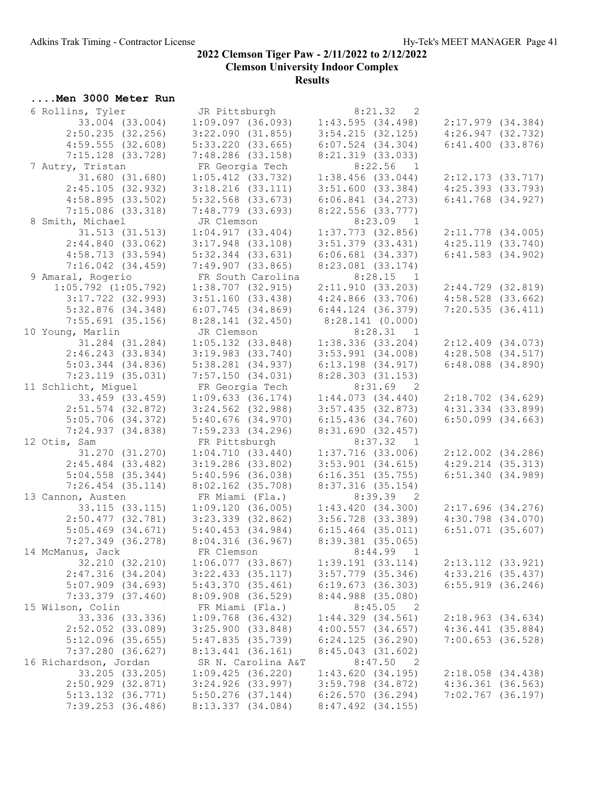....Men 3000 Meter Run

#### 2022 Clemson Tiger Paw - 2/11/2022 to 2/12/2022 Clemson University Indoor Complex Results

#### 6 Rollins, Tyler JR Pittsburgh 8:21.32 2 33.004 (33.004) 1:09.097 (36.093) 1:43.595 (34.498) 2:17.979 (34.384) 2:50.235 (32.256) 3:22.090 (31.855) 3:54.215 (32.125) 4:26.947 (32.732) 4:59.555 (32.608) 5:33.220 (33.665) 6:07.524 (34.304) 6:41.400 (33.876) 7:15.128 (33.728) 7:48.286 (33.158) 8:21.319 (33.033) 7 Autry, Tristan FR Georgia Tech 8:22.56 1 31.680 (31.680) 1:05.412 (33.732) 1:38.456 (33.044) 2:12.173 (33.717) 2:45.105 (32.932) 3:18.216 (33.111) 3:51.600 (33.384) 4:25.393 (33.793) 4:58.895 (33.502) 5:32.568 (33.673) 6:06.841 (34.273) 6:41.768 (34.927) 7:15.086 (33.318) 7:48.779 (33.693) 8:22.556 (33.777) 8 Smith, Michael JR Clemson 8:23.09 1 31.513 (31.513) 1:04.917 (33.404) 1:37.773 (32.856) 2:11.778 (34.005) 2:44.840 (33.062) 3:17.948 (33.108) 3:51.379 (33.431) 4:25.119 (33.740) 4:58.713 (33.594) 5:32.344 (33.631) 6:06.681 (34.337) 6:41.583 (34.902) 7:16.042 (34.459) 7:49.907 (33.865) 8:23.081 (33.174) 9 Amaral, Rogerio FR South Carolina 8:28.15 1 1:05.792 (1:05.792) 1:38.707 (32.915) 2:11.910 (33.203) 2:44.729 (32.819) 3:17.722 (32.993) 3:51.160 (33.438) 4:24.866 (33.706) 4:58.528 (33.662) 5:32.876 (34.348) 6:07.745 (34.869) 6:44.124 (36.379) 7:20.535 (36.411) 7:55.691 (35.156) 8:28.141 (32.450) 8:28.141 (0.000) 10 Young, Marlin JR Clemson 8:28.31 1<br>31.284 (31.284) 1:05.132 (33.848) 1:38.336 (33.204)<br>2:46.243 (33.834) 3:19.983 (33.740) 3:53.991 (34.008)<br>5:03.344 (34.836) 5:38.281 (34.937) 6:13.198 (34.917)<br>7:23.119 (35.031) 7:57.1 31.284 (31.284) 1:05.132 (33.848) 1:38.336 (33.204) 2:12.409 (34.073) 2:46.243 (33.834) 3:19.983 (33.740) 3:53.991 (34.008) 4:28.508 (34.517) 5:03.344 (34.836) 5:38.281 (34.937) 6:13.198 (34.917) 6:48.088 (34.890) 7:23.119 (35.031) 7:57.150 (34.031) 8:28.303 (31.153) 11 Schlicht, Miguel FR Georgia Tech 8:31.69 2 33.459 (33.459) 1:09.633 (36.174) 1:44.073 (34.440) 2:18.702 (34.629) 2:51.574 (32.872) 3:24.562 (32.988) 3:57.435 (32.873) 4:31.334 (33.899) 5:05.706 (34.372) 5:40.676 (34.970) 6:15.436 (34.760) 6:50.099 (34.663) 7:24.937 (34.838) 7:59.233 (34.296) 8:31.690 (32.457)<br>FR Pittsburgh 8:37.32 1, am 12 Otis, Sam FR Pittsburgh 8:37.32 1 31.270 (31.270) 1:04.710 (33.440) 1:37.716 (33.006) 2:12.002 (34.286) 2:45.484 (33.482) 3:19.286 (33.802) 3:53.901 (34.615) 4:29.214 (35.313) 5:04.558 (35.344) 5:40.596 (36.038) 6:16.351 (35.755) 6:51.340 (34.989) 7:26.454 (35.114) 8:02.162 (35.708) 8:37.316 (35.154) 13 Cannon, Austen FR Miami (Fla.) 8:39.39 2 33.115 (33.115) 1:09.120 (36.005) 1:43.420 (34.300) 2:17.696 (34.276) 2:50.477 (32.781) 3:23.339 (32.862) 3:56.728 (33.389) 4:30.798 (34.070) 5:05.469 (34.671) 5:40.453 (34.984) 6:15.464 (35.011) 6:51.071 (35.607) 7:27.349 (36.278) 8:04.316 (36.967) 8:39.381 (35.065) 14 McManus, Jack FR Clemson 8:44.99 1 32.210 (32.210) 1:06.077 (33.867) 1:39.191 (33.114) 2:13.112 (33.921) 2:47.316 (34.204) 3:22.433 (35.117) 3:57.779 (35.346) 4:33.216 (35.437) 5:07.909 (34.693) 5:43.370 (35.461) 6:19.673 (36.303) 6:55.919 (36.246) 7:33.379 (37.460) 8:09.908 (36.529) 8:44.988 (35.080) 15 Wilson, Colin FR Miami (Fla.) 33.336 (33.336) 1:09.768 (36.432) 1:44.329 (34.561) 2:18.963 (34.634) 2:52.052 (33.089) 3:25.900 (33.848) 4:00.557 (34.657) 4:36.441 (35.884) 5:12.096 (35.655) 5:47.835 (35.739) 6:24.125 (36.290) 7:00.653 (36.528) 7:37.280 (36.627) 8:13.441 (36.161) 8:45.043 (31.602) 16 Richardson, Jordan SR N. Carolina A&T 8:47.50 2 33.205 (33.205) 1:09.425 (36.220) 1:43.620 (34.195) 2:18.058 (34.438) 2:50.929 (32.871) 3:24.926 (33.997) 3:59.798 (34.872) 4:36.361 (36.563) 5:13.132 (36.771) 5:50.276 (37.144) 6:26.570 (36.294) 7:02.767 (36.197) 7:39.253 (36.486) 8:13.337 (34.084) 8:47.492 (34.155)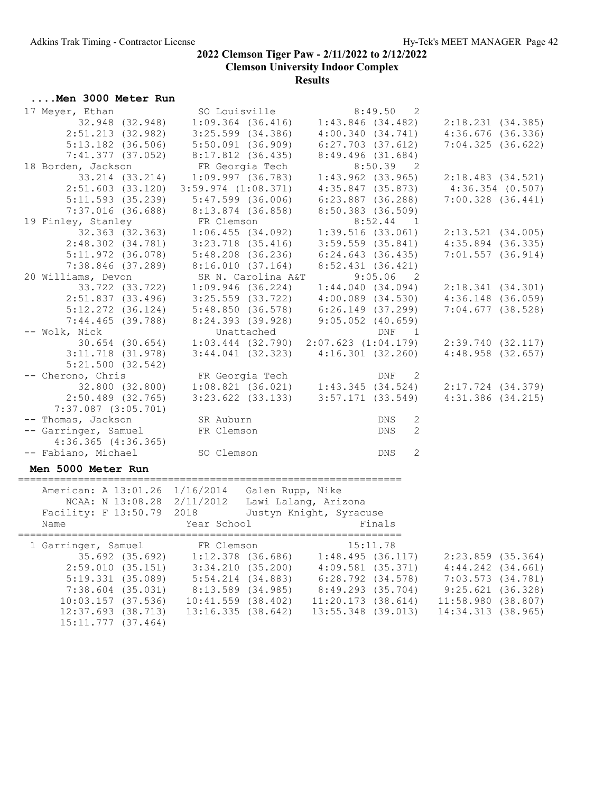#### ....Men 3000 Meter Run

| 17 Meyer, Ethan                      | SO Louisville                                                                | 8:49.50<br>2                                                                       |                                                                                     |
|--------------------------------------|------------------------------------------------------------------------------|------------------------------------------------------------------------------------|-------------------------------------------------------------------------------------|
| 32.948 (32.948)                      | $1:09.364$ (36.416)                                                          | $1:43.846$ (34.482)                                                                | 2:18.231(34.385)                                                                    |
| $2:51.213$ (32.982)                  | $3:25.599$ $(34.386)$                                                        | 4:00.340(34.741)                                                                   | $4:36.676$ (36.336)                                                                 |
| $5:13.182$ (36.506)                  | 5:50.091 (36.909)                                                            | $6:27.703$ (37.612)                                                                | 7:04.325(36.622)                                                                    |
| $7:41.377$ (37.052)                  | 8:17.812 (36.435)                                                            | $8:49.496$ (31.684)                                                                |                                                                                     |
| 18 Borden, Jackson                   | FR Georgia Tech                                                              | $8:50.39$ 2                                                                        |                                                                                     |
| 33.214 (33.214)                      | $1:09.997$ $(36.783)$                                                        | $1:43.962$ (33.965)                                                                | 2:18.483(34.521)                                                                    |
| $2:51.603$ (33.120)                  | $3:59.974$ $(1:08.371)$                                                      | $4:35.847$ (35.873)                                                                | $4:36.354$ (0.507)                                                                  |
|                                      |                                                                              |                                                                                    |                                                                                     |
| $5:11.593$ (35.239)                  | $5:47.599$ (36.006)                                                          | $6:23.887$ (36.288)                                                                | $7:00.328$ $(36.441)$                                                               |
| $7:37.016$ (36.688)                  | $8:13.874$ (36.858)                                                          | 8:50.383 (36.509)                                                                  |                                                                                     |
| 19 Finley, Stanley                   | FR Clemson                                                                   | $8:52.44$ 1                                                                        |                                                                                     |
| 32.363 (32.363)                      | 1:06.455(34.092)                                                             | 1:39.516(33.061)                                                                   | 2:13.521(34.005)                                                                    |
| $2:48.302$ $(34.781)$                | $3:23.718$ $(35.416)$                                                        | $3:59.559$ $(35.841)$                                                              | $4:35.894$ (36.335)                                                                 |
| $5:11.972$ (36.078)                  | 5:48.208 (36.236)                                                            | 6:24.643(36.435)                                                                   | $7:01.557$ (36.914)                                                                 |
| $7:38.846$ (37.289)                  | 8:16.010(37.164)                                                             | 8:52.431(36.421)                                                                   |                                                                                     |
| 20 Williams, Devon                   | SR N. Carolina A&T                                                           | $9:05.06$ 2                                                                        |                                                                                     |
| 33.722 (33.722)                      | $1:09.946$ (36.224)                                                          | 1:44.040(34.094)                                                                   | 2:18.341(34.301)                                                                    |
| $2:51.837$ (33.496)                  | $3:25.559$ $(33.722)$                                                        | $4:00.089$ $(34.530)$                                                              | $4:36.148$ $(36.059)$                                                               |
| $5:12.272$ (36.124)                  | 5:48.850 (36.578)                                                            | 6:26.149 (37.299)                                                                  | 7:04.677(38.528)                                                                    |
| $7:44.465$ (39.788)                  | 8:24.393 (39.928)                                                            | $9:05.052$ (40.659)                                                                |                                                                                     |
| -- Wolk, Nick                        | Unattached                                                                   | DNF<br>$\overline{1}$                                                              |                                                                                     |
| $30.654$ $(30.654)$                  |                                                                              | $1:03.444$ (32.790) 2:07.623 (1:04.179)                                            | 2:39.740(32.117)                                                                    |
| $3:11.718$ (31.978)                  |                                                                              | $3:44.041$ (32.323) $4:16.301$ (32.260)                                            | 4:48.958(32.657)                                                                    |
| $5:21.500$ $(32.542)$                |                                                                              |                                                                                    |                                                                                     |
| -- Cherono, Chris                    | FR Georgia Tech                                                              | DNF<br>2                                                                           |                                                                                     |
| 32.800 (32.800)                      |                                                                              | ER Georgia Tech<br>1:08.821 (36.021) 1:43.345 (34.524)                             | $2:17.724$ $(34.379)$                                                               |
| $2:50.489$ (32.765)                  |                                                                              | $3:23.622$ (33.133) $3:57.171$ (33.549)                                            | $4:31.386$ $(34.215)$                                                               |
| $7:37.087$ $(3:05.701)$              |                                                                              |                                                                                    |                                                                                     |
| -- Thomas, Jackson                   | SR Auburn                                                                    | 2<br>DNS                                                                           |                                                                                     |
| -- Garringer, Samuel                 | FR Clemson                                                                   | <b>DNS</b><br>2                                                                    |                                                                                     |
| $4:36.365$ $(4:36.365)$              |                                                                              |                                                                                    |                                                                                     |
| -- Fabiano, Michael                  |                                                                              | 2<br>DNS                                                                           |                                                                                     |
|                                      | SO Clemson                                                                   |                                                                                    |                                                                                     |
| Men 5000 Meter Run                   |                                                                              |                                                                                    |                                                                                     |
| =======================              |                                                                              |                                                                                    |                                                                                     |
|                                      | American: A 13:01.26 1/16/2014 Galen Rupp, Nike                              |                                                                                    |                                                                                     |
| NCAA: N 13:08.28 2/11/2012           |                                                                              | Lawi Lalang, Arizona                                                               |                                                                                     |
| Facility: F 13:50.79 2018            |                                                                              | Justyn Knight, Syracuse                                                            |                                                                                     |
| Name                                 | Year School                                                                  | Finals                                                                             |                                                                                     |
|                                      |                                                                              |                                                                                    |                                                                                     |
| 1 Garringer, Samuel                  | FR Clemson                                                                   | 15:11.78                                                                           |                                                                                     |
| 35.692 (35.692)<br>2:59.010 (35.151) |                                                                              | $1:12.378$ (36.686) $1:48.495$ (36.117)<br>$3:34.210$ (35.200) $4:09.581$ (35.371) | 2:23.859 (35.364)                                                                   |
|                                      |                                                                              |                                                                                    | $4:44.242$ $(34.661)$                                                               |
| 5:19.331(35.089)                     | 5:54.214 (34.883)                                                            | 6:28.792 (34.578)                                                                  | 7:03.573 (34.781)<br>$9:25.621$ (34.781)<br>9:25.621 (36.328)<br>11:58.980 (36.328) |
|                                      | 7:38.604 (35.031) 8:13.589 (34.985)<br>10:03.157 (37.536) 10:41.559 (38.402) | 8:49.293 (35.704)                                                                  |                                                                                     |
|                                      |                                                                              | 11:20.173(38.614)                                                                  |                                                                                     |
| $12:37.693$ $(38.713)$               | 13:16.335(38.642)                                                            | 13:55.348 (39.013)                                                                 | 14:34.313 (38.965)                                                                  |

 $12:37.093$  (38.713)<br>15:11.777 (37.464)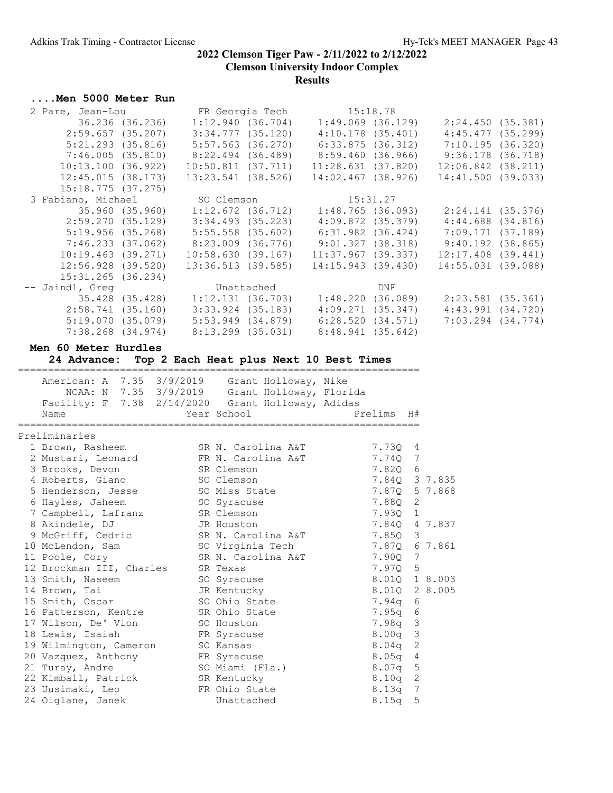## ....Men 5000 Meter Run

| 2 Pare, Jean-Lou                      |                   |                        |                     | FR Georgia Tech 15:18.78                                |     |                        |  |
|---------------------------------------|-------------------|------------------------|---------------------|---------------------------------------------------------|-----|------------------------|--|
| 36.236 (36.236)                       |                   |                        | 1:12.940(36.704)    | 1:49.069 (36.129)                                       |     | 2:24.450(35.381)       |  |
| 2:59.657(35.207)                      |                   |                        | 3:34.777 (35.120)   | 4:10.178 (35.401)                                       |     | 4:45.477(35.299)       |  |
| $5:21.293$ (35.816)                   |                   | $5:57.563$ (36.270)    |                     | 6:33.875 (36.312)                                       |     | 7:10.195(36.320)       |  |
|                                       |                   |                        |                     | 8:59.460 (36.966)                                       |     | 9:36.178 (36.718)      |  |
| 10:13.100(36.922)                     |                   | $10:50.811$ $(37.711)$ |                     | 11:28.631(37.820)                                       |     | 12:06.842 (38.211)     |  |
| 12:45.015(38.173)                     |                   | 13:23.541 (38.526)     |                     | 14:02.467 (38.926)                                      |     | 14:41.500 (39.033)     |  |
| $15:18.775$ (37.275)                  |                   |                        |                     |                                                         |     |                        |  |
| 3 Fabiano, Michael SO Clemson 5:31.27 |                   |                        |                     |                                                         |     |                        |  |
|                                       | 35.960 (35.960)   | 1:12.672 (36.712)      |                     | 1:48.765 (36.093)                                       |     | 2:24.141(35.376)       |  |
| 2:59.270 (35.129)                     |                   |                        | 3:34.493 (35.223)   | 4:09.872 (35.379)                                       |     | $4:44.688$ $(34.816)$  |  |
| 5:19.956 (35.268)                     |                   | 5:55.558 (35.602)      |                     | 6:31.982 (36.424)                                       |     | 7:09.171 (37.189)      |  |
|                                       |                   |                        |                     | 7:46.233 (37.062)  8:23.009 (36.776)  9:01.327 (38.318) |     | 9:40.192 (38.865)      |  |
| 10:19.463 (39.271)                    |                   | 10:58.630(39.167)      |                     | 11:37.967 (39.337)                                      |     | $12:17.408$ $(39.441)$ |  |
| $12:56.928$ $(39.520)$                |                   | $13:36.513$ (39.585)   |                     | $14:15.943$ (39.430)                                    |     | 14:55.031 (39.088)     |  |
| 15:31.265 (36.234)                    |                   |                        |                     |                                                         |     |                        |  |
| -- Jaindl, Greg                       |                   | Unattached             |                     |                                                         | DNF |                        |  |
| 35.428 (35.428)                       |                   |                        | $1:12.131$ (36.703) | 1:48.220 (36.089)                                       |     | $2:23.581$ (35.361)    |  |
| 2:58.741(35.160)                      |                   | $3:33.924$ (35.183)    |                     | 4:09.271 (35.347)                                       |     | 4:43.991(34.720)       |  |
|                                       | 5:19.070(35.079)  |                        | 5:53.949 (34.879)   | 6:28.520 (34.571)                                       |     | 7:03.294 (34.774)      |  |
|                                       | 7:38.268 (34.974) | 8:13.299 (35.031)      |                     | 8:48.941 (35.642)                                       |     |                        |  |

# Men 60 Meter Hurdles

## 24 Advance: Top 2 Each Heat plus Next 10 Best Times

| American: A 7.35 3/9/2019 Grant Holloway, Nike    |                    |                   |                 |  |
|---------------------------------------------------|--------------------|-------------------|-----------------|--|
| NCAA: N 7.35 3/9/2019 Grant Holloway, Florida     |                    |                   |                 |  |
| Facility: F 7.38 2/14/2020 Grant Holloway, Adidas |                    |                   |                 |  |
| Name                                              | Year School        | Prelims H#        |                 |  |
| Preliminaries                                     |                    |                   |                 |  |
| 1 Brown, Rasheem                                  | SR N. Carolina A&T | 7.730 4           |                 |  |
| 2 Mustari, Leonard FR N. Carolina A&T             |                    | 7.740             | 7               |  |
| 3 Brooks, Devon                                   | SR Clemson         | 7.820             | 6               |  |
| 4 Roberts, Giano                                  | SO Clemson         | 7.84Q 3 7.835     |                 |  |
| 5 Henderson, Jesse SO Miss State                  |                    | 7.870 5 7.868     |                 |  |
| 6 Hayles, Jaheem                                  | SO Syracuse        | 7.88Q 2           |                 |  |
| 7 Campbell, Lafranz                               | SR Clemson         | 7.930 1           |                 |  |
| 8 Akindele, DJ                                    | JR Houston         | 7.84Q 4 7.837     |                 |  |
| 9 McGriff, Cedric SR N. Carolina A&T              |                    | 7.850             | 3               |  |
| 10 McLendon, Sam                                  | SO Virginia Tech   | 7.870 6 7.861     |                 |  |
| 11 Poole, Cory                                    | SR N. Carolina A&T | 7.900 7           |                 |  |
| 12 Brockman III, Charles                          | SR Texas           | 7.970             | 5               |  |
| 13 Smith, Naseem                                  | SO Syracuse        | 8.010 1 8.003     |                 |  |
| 14 Brown, Tai                                     | JR Kentucky        | 8.01Q 2 8.005     |                 |  |
| 15 Smith, Oscar                                   | SO Ohio State      | 7.94a             | 6               |  |
| 16 Patterson, Kentre                              | SR Ohio State      | 7.95q             | 6               |  |
| 17 Wilson, De' Vion                               | SO Houston         | 7.98q             | $\mathsf 3$     |  |
| 18 Lewis, Isaiah                                  | FR Syracuse        | 8.00 <sub>q</sub> | $\mathfrak{Z}$  |  |
| 19 Wilmington, Cameron SO Kansas                  |                    | 8.04q             | $\sqrt{2}$      |  |
| 20 Vazquez, Anthony                               | FR Syracuse        | 8.05q             | 4               |  |
| 21 Turay, Andre                                   | SO Miami (Fla.)    | 8.07a             | 5               |  |
| 22 Kimball, Patrick                               | SR Kentucky        | 8.10q             | 2               |  |
| 23 Uusimaki, Leo                                  | FR Ohio State      | 8.13q             | $7\phantom{.0}$ |  |
| 24 Oiglane, Janek                                 | Unattached         | 8.15q             | 5               |  |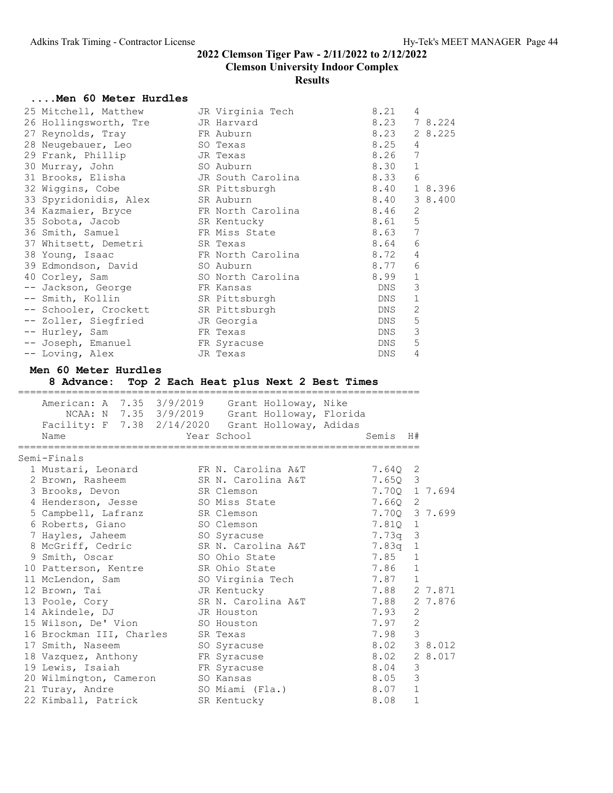#### ....Men 60 Meter Hurdles

| 25 Mitchell, Matthew                              | JR Virginia Tech                                  | 8.21           | 4            |               |
|---------------------------------------------------|---------------------------------------------------|----------------|--------------|---------------|
| 26 Hollingsworth, Tre                             | JR Harvard                                        | 8.23           |              | 7 8.224       |
| 27 Reynolds, Tray                                 | FR Auburn                                         | 8.23           |              | 2 8.225       |
| 28 Neugebauer, Leo                                | SO Texas                                          | 8.25           | 4            |               |
| 29 Frank, Phillip                                 | JR Texas                                          | 8.26           | 7            |               |
| 30 Murray, John                                   | SO Auburn                                         | 8.30           | 1            |               |
| 31 Brooks, Elisha                                 | JR South Carolina                                 | 8.33           | 6            |               |
| 32 Wiggins, Cobe                                  | SR Pittsburgh                                     | 8.40           |              | 1 8.396       |
| 33 Spyridonidis, Alex                             | SR Auburn                                         | 8.40           |              | 3 8.400       |
| 34 Kazmaier, Bryce                                | FR North Carolina                                 | 8.46           | 2            |               |
| 35 Sobota, Jacob                                  | SR Kentucky                                       | 8.61           | 5            |               |
| 36 Smith, Samuel                                  | FR Miss State                                     | 8.63           | 7            |               |
|                                                   | SR Texas                                          | 8.64           | 6            |               |
| 37 Whitsett, Demetri                              |                                                   | 8.72           |              |               |
| 38 Young, Isaac                                   | FR North Carolina                                 |                | 4            |               |
| 39 Edmondson, David                               | SO Auburn                                         | 8.77           | 6            |               |
| 40 Corley, Sam                                    | SO North Carolina                                 | 8.99           | 1            |               |
| -- Jackson, George                                | FR Kansas                                         | DNS            | 3            |               |
| -- Smith, Kollin                                  | SR Pittsburgh                                     | DNS            | $\mathbf 1$  |               |
| -- Schooler, Crockett                             | SR Pittsburgh                                     | DNS            | 2            |               |
| -- Zoller, Siegfried                              | JR Georgia                                        | DNS            | 5            |               |
| -- Hurley, Sam                                    | FR Texas                                          | DNS            | 3            |               |
| -- Joseph, Emanuel                                | FR Syracuse                                       | DNS            | 5            |               |
| -- Loving, Alex                                   | JR Texas                                          | DNS            | 4            |               |
| Men 60 Meter Hurdles                              | 8 Advance: Top 2 Each Heat plus Next 2 Best Times |                |              |               |
|                                                   |                                                   |                |              |               |
|                                                   |                                                   |                |              |               |
| American: A 7.35 3/9/2019 Grant Holloway, Nike    |                                                   |                |              |               |
|                                                   | NCAA: N 7.35 3/9/2019 Grant Holloway, Florida     |                |              |               |
| Facility: F 7.38 2/14/2020 Grant Holloway, Adidas |                                                   |                |              |               |
| Name                                              | Year School                                       | Semis          | H#           |               |
|                                                   | =======================                           | ============== |              |               |
| Semi-Finals                                       |                                                   |                |              |               |
| 1 Mustari, Leonard                                | FR N. Carolina A&T                                | 7.64Q          | 2            |               |
| 2 Brown, Rasheem                                  | SR N. Carolina A&T                                | 7.65Q          | 3            |               |
| 3 Brooks, Devon                                   | SR Clemson                                        |                |              | 7.70Q 1 7.694 |
| 4 Henderson, Jesse                                | SO Miss State                                     | $7.66Q$ 2      |              |               |
| 5 Campbell, Lafranz                               | SR Clemson                                        | 7.700 3 7.699  |              |               |
| 6 Roberts, Giano                                  | SO Clemson                                        | 7.81Q 1        |              |               |
| 7 Hayles, Jaheem                                  | SO Syracuse                                       | 7.73q          | 3            |               |
| 8 McGriff, Cedric                                 | SR N. Carolina A&T                                | 7.83q          | 1            |               |
| 9 Smith, Oscar                                    | SO Ohio State                                     | 7.85           | $\,1\,$      |               |
| 10 Patterson, Kentre                              | SR Ohio State                                     | 7.86           | 1            |               |
| 11 McLendon, Sam                                  | SO Virginia Tech                                  | 7.87           | 1            |               |
| 12 Brown, Tai                                     | JR Kentucky                                       | 7.88           |              | 2 7.871       |
| 13 Poole, Cory                                    | SR N. Carolina A&T                                | 7.88           |              | 2 7.876       |
| 14 Akindele, DJ                                   | JR Houston                                        | 7.93           | 2            |               |
| 15 Wilson, De' Vion                               | SO Houston                                        | 7.97           | $\mathbf{2}$ |               |
| 16 Brockman III, Charles                          | SR Texas                                          | 7.98           | 3            |               |
| 17 Smith, Naseem                                  | SO Syracuse                                       | 8.02           |              | 3 8.012       |
| 18 Vazquez, Anthony                               | FR Syracuse                                       | 8.02           |              | 2 8.017       |
|                                                   | FR Syracuse                                       | 8.04           | 3            |               |
| 19 Lewis, Isaiah<br>20 Wilmington, Cameron        | SO Kansas                                         | 8.05           | 3            |               |

22 Kimball, Patrick SR Kentucky 8.08 1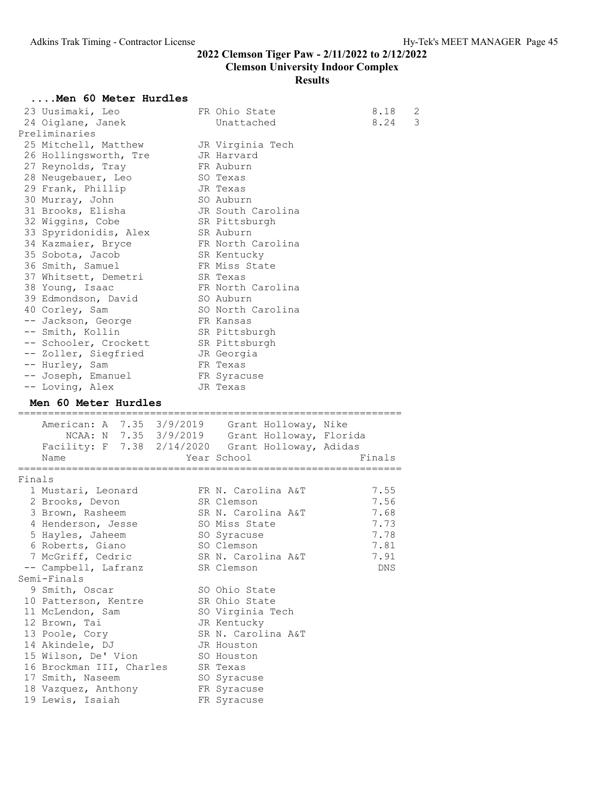#### Men 60 Meter Hurdles

|        | men oo meter nurures                              |                                                   |           |
|--------|---------------------------------------------------|---------------------------------------------------|-----------|
|        | 23 Uusimaki, Leo                                  | FR Ohio State                                     | 8.18<br>2 |
|        | 24 Oiglane, Janek                                 | Unattached                                        | 3<br>8.24 |
|        | Preliminaries                                     |                                                   |           |
|        | 25 Mitchell, Matthew                              | JR Virginia Tech                                  |           |
|        | 26 Hollingsworth, Tre                             | JR Harvard                                        |           |
|        | 27 Reynolds, Tray                                 | FR Auburn                                         |           |
|        | 28 Neugebauer, Leo                                | SO Texas                                          |           |
|        | 29 Frank, Phillip                                 | JR Texas                                          |           |
|        | 30 Murray, John                                   | SO Auburn                                         |           |
|        | 31 Brooks, Elisha                                 | JR South Carolina                                 |           |
|        | 32 Wiggins, Cobe                                  | SR Pittsburgh                                     |           |
|        | 33 Spyridonidis, Alex                             | SR Auburn                                         |           |
|        | 34 Kazmaier, Bryce                                | FR North Carolina                                 |           |
|        | 35 Sobota, Jacob                                  | SR Kentucky                                       |           |
|        | 36 Smith, Samuel                                  | FR Miss State                                     |           |
|        | 37 Whitsett, Demetri                              | SR Texas                                          |           |
|        |                                                   | FR North Carolina                                 |           |
|        | 38 Young, Isaac                                   |                                                   |           |
|        | 39 Edmondson, David                               | SO Auburn                                         |           |
|        | 40 Corley, Sam                                    | SO North Carolina                                 |           |
|        | -- Jackson, George                                | FR Kansas                                         |           |
|        | -- Smith, Kollin                                  | SR Pittsburgh                                     |           |
|        | -- Schooler, Crockett                             | SR Pittsburgh                                     |           |
|        | -- Zoller, Siegfried                              | JR Georgia                                        |           |
|        | -- Hurley, Sam                                    | FR Texas                                          |           |
|        | -- Joseph, Emanuel                                | FR Syracuse                                       |           |
|        | -- Loving, Alex                                   | JR Texas                                          |           |
|        | Men 60 Meter Hurdles                              |                                                   |           |
|        | American: A 7.35 3/9/2019 Grant Holloway, Nike    |                                                   |           |
|        |                                                   | NCAA: N $7.35$ $3/9/2019$ Grant Holloway, Florida |           |
|        | Facility: F 7.38 2/14/2020 Grant Holloway, Adidas |                                                   |           |
|        | Name                                              | Year School                                       | Finals    |
|        |                                                   |                                                   |           |
| Finals |                                                   |                                                   |           |
|        | 1 Mustari, Leonard                                | FR N. Carolina A&T                                | 7.55      |
|        | 2 Brooks, Devon                                   | SR Clemson                                        | 7.56      |
|        | 3 Brown, Rasheem                                  | SR N. Carolina A&T                                | 7.68      |
|        | 4 Henderson, Jesse                                | SO Miss State                                     | 7.73      |
|        | 5 Hayles, Jaheem                                  | SO Syracuse                                       | 7.78      |
|        | 6 Roberts, Giano                                  | SO Clemson                                        | 7.81      |
|        | 7 McGriff, Cedric                                 | SR N. Carolina A&T                                | 7.91      |
|        | -- Campbell, Lafranz                              | SR Clemson                                        | DNS       |
|        | Semi-Finals                                       |                                                   |           |
|        | 9 Smith, Oscar                                    | SO Ohio State                                     |           |
|        | 10 Patterson, Kentre                              | SR Ohio State                                     |           |
|        | 11 McLendon, Sam                                  | SO Virginia Tech                                  |           |
|        | 12 Brown, Tai                                     | JR Kentucky                                       |           |
|        | 13 Poole, Cory                                    | SR N. Carolina A&T                                |           |
|        | 14 Akindele, DJ                                   | JR Houston                                        |           |
|        | 15 Wilson, De' Vion                               | SO Houston                                        |           |
|        | 16 Brockman III, Charles                          | SR Texas                                          |           |
|        | 17 Smith, Naseem                                  | SO Syracuse                                       |           |
|        | 18 Vazquez, Anthony                               | FR Syracuse                                       |           |
|        |                                                   |                                                   |           |
|        | 19 Lewis, Isaiah                                  | FR Syracuse                                       |           |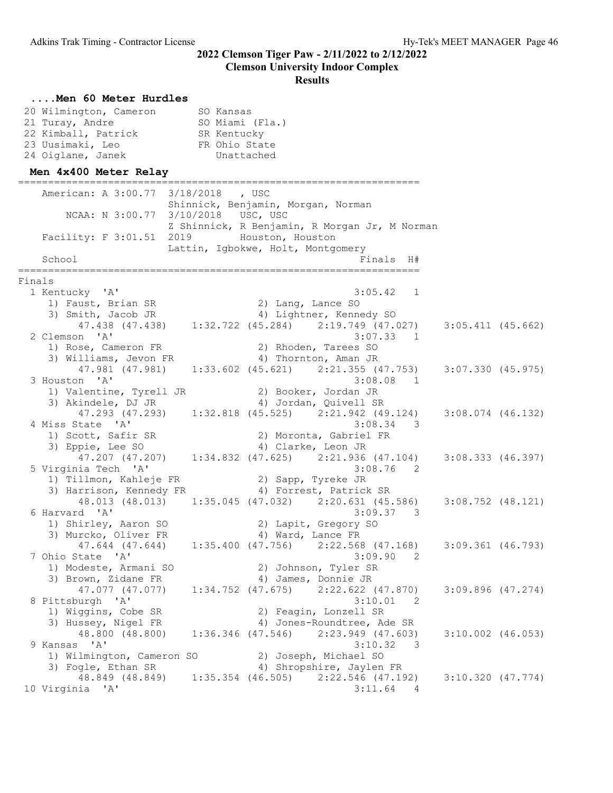#### ....Men 60 Meter Hurdles 20 Wilmington, Cameron SO Kansas 21 Turay, Andre SO Miami (Fla.) 22 Kimball, Patrick SR Kentucky 23 Uusimaki, Leo FR Ohio State 24 Oiglane, Janek Unattached Men 4x400 Meter Relay =================================================================== American: A 3:00.77 3/18/2018 , USC Shinnick, Benjamin, Morgan, Norman NCAA: N 3:00.77 3/10/2018 USC, USC Z Shinnick, R Benjamin, R Morgan Jr, M Norman Facility: F 3:01.51 2019 Houston, Houston Lattin, Igbokwe, Holt, Montgomery School Finals H# =================================================================== Finals<br>1 Kentucky 'A' 1 Kentucky 'A' 3:05.42 1 1) Faust, Brian SR 2) Lang, Lance SO 3) Smith, Jacob JR 4) Lightner, Kennedy SO 47.438 (47.438) 1:32.722 (45.284) 2:19.749 (47.027) 3:05.411 (45.662) 2 Clemson 'A' 3:07.33 1<br>1 Rose, Cameron FR 2) Rhoden, Tarees SO 1) Rose, Cameron FR 2) Rhoden, Tarees SO<br>
3) Williams, Jevon FR 4) Thornton, Aman JR 3) Williams, Jevon FR 47.981 (47.981) 1:33.602 (45.621) 2:21.355 (47.753) 3:07.330 (45.975) 3 Houston 'A' 3:08.08 1 1) Valentine, Tyrell JR 2) Booker, Jordan JR 3) Akindele, DJ JR 4) Jordan, Quivell SR 47.293 (47.293) 1:32.818 (45.525) 2:21.942 (49.124) 3:08.074 (46.132)<br>4 Miss State 'A' 3:08.34 3 4 Miss State 'A' 3:08.34 3 1) Scott, Safir SR 2) Moronta, Gabriel FR 3) Eppie, Lee SO 4) Clarke, Leon JR 47.207 (47.207) 1:34.832 (47.625) 2:21.936 (47.104) 3:08.333 (46.397) 5 Virginia Tech 'A' 3:08.76 2 1) Tillmon, Kahleje FR 2) Sapp, Tyreke JR 3) Harrison, Kennedy FR 4) Forrest, Patrick SR 48.013 (48.013) 1:35.045 (47.032) 2:20.631 (45.586) 3:08.752 (48.121)<br>6 Harvard 'A' 3:09.37 3 6 Harvard 'A' 3:09.37 3 1) Shirley, Aaron SO 2) Lapit, Gregory SO 3) Murcko, Oliver FR 4) Ward, Lance FR 47.644 (47.644) 1:35.400 (47.756) 2:22.568 (47.168) 3:09.361 (46.793) 7 Ohio State 'A' 3:09.90 2 Alio State Mark (Armani SO 2) Johnson, Tyler SR<br>1) Modeste, Armani SO 2) 2, Johnson, Tyler SR 3) Brown, Zidane FR 4) James, Donnie JR 47.077 (47.077) 1:34.752 (47.675) 2:22.622 (47.870) 3:09.896 (47.274) 8 Pittsburgh 'A' 3:10.01 2 1) Wiggins, Cobe SR 2) Feagin, Lonzell SR 3) Hussey, Nigel FR 4) Jones-Roundtree, Ade SR 48.800 (48.800) 1:36.346 (47.546) 2:23.949 (47.603) 3:10.002 (46.053) 9 Kansas 'A' 3:10.32 3 1) Wilmington, Cameron SO 2) Joseph, Michael SO 3) Fogle, Ethan SR 4) Shropshire, Jaylen FR 48.849 (48.849) 1:35.354 (46.505)  $2:22.546$  (47.192) 3:10.320 (47.774) <br>ia 'A' 3:11.64 4 10 Virginia 'A'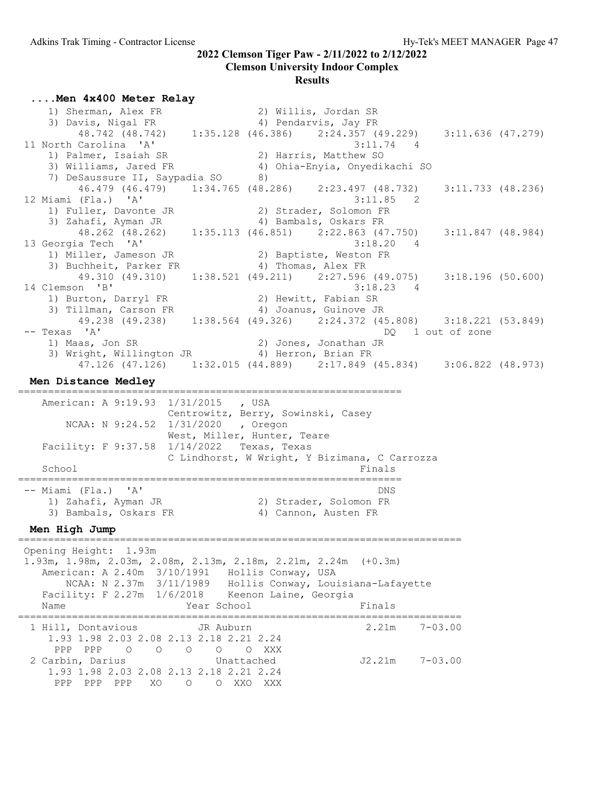## Clemson University Indoor Complex

# Results

....Men 4x400 Meter Relay

| 1) Sherman, Alex FR                                                                                                                                                                                                                                                 |                                                                                         | 2) Willis, Jordan SR                                    |                     |  |
|---------------------------------------------------------------------------------------------------------------------------------------------------------------------------------------------------------------------------------------------------------------------|-----------------------------------------------------------------------------------------|---------------------------------------------------------|---------------------|--|
| 3) Davis, Nigal FR                                                                                                                                                                                                                                                  |                                                                                         | 4) Pendarvis, Jay FR                                    |                     |  |
| 48.742 (48.742) 1:35.128 (46.386) 2:24.357 (49.229) 3:11.636 (47.279)<br>11 North Carolina 'A'                                                                                                                                                                      |                                                                                         | $3:11.74$ 4                                             |                     |  |
| 1) Palmer, Isaiah SR                                                                                                                                                                                                                                                |                                                                                         | 2) Harris, Matthew SO                                   |                     |  |
| 3) Williams, Jared FR                                                                                                                                                                                                                                               |                                                                                         | 4) Ohia-Enyia, Onyedikachi SO                           |                     |  |
| 7) DeSaussure II, Saypadia SO 8)                                                                                                                                                                                                                                    |                                                                                         |                                                         |                     |  |
| 46.479 (46.479) 1:34.765 (48.286) 2:23.497 (48.732)                                                                                                                                                                                                                 |                                                                                         |                                                         | $3:11.733$ (48.236) |  |
| 12 Miami (Fla.) 'A'                                                                                                                                                                                                                                                 |                                                                                         | 3:11.85                                                 | 2                   |  |
| 1) Fuller, Davonte JR                                                                                                                                                                                                                                               | 2) Strader, Solomon FR                                                                  |                                                         |                     |  |
| 3) Zahafi, Ayman JR                                                                                                                                                                                                                                                 |                                                                                         | 4) Bambals, Oskars FR                                   |                     |  |
| 48.262 (48.262) 1:35.113 (46.851) 2:22.863 (47.750)                                                                                                                                                                                                                 |                                                                                         |                                                         | $3:11.847$ (48.984) |  |
| 13 Georgia Tech 'A'                                                                                                                                                                                                                                                 |                                                                                         | 3:18.20<br>4                                            |                     |  |
| 1) Miller, Jameson JR (2) Baptiste, Weston FR<br>3) Buchheit, Parker FR (4) Thomas, Alex FR                                                                                                                                                                         |                                                                                         |                                                         |                     |  |
|                                                                                                                                                                                                                                                                     |                                                                                         |                                                         |                     |  |
| 49.310 (49.310) 1:38.521 (49.211) 2:27.596 (49.075) 3:18.196 (50.600)                                                                                                                                                                                               |                                                                                         |                                                         |                     |  |
| 14 Clemson 'B'                                                                                                                                                                                                                                                      |                                                                                         | $3:18.23$ 4                                             |                     |  |
| 1) Burton, Darryl FR                                                                                                                                                                                                                                                |                                                                                         | 2) Hewitt, Fabian SR                                    |                     |  |
| 3) Tillman, Carson FR (4) Joanus, Guinove JR<br>49.238 (49.238) 1:38.564 (49.326) 2:24.372 (45.808) 3:18.221 (53.849)                                                                                                                                               |                                                                                         |                                                         |                     |  |
|                                                                                                                                                                                                                                                                     |                                                                                         |                                                         |                     |  |
| $--$ Texas 'A'                                                                                                                                                                                                                                                      |                                                                                         |                                                         | DO 1 out of zone    |  |
| 1) Maas, Jon SR                                                                                                                                                                                                                                                     | 2) Jones, Jonathan JR                                                                   |                                                         |                     |  |
| 3) Wright, Willington JR (4) Herron, Brian FR                                                                                                                                                                                                                       |                                                                                         |                                                         |                     |  |
| 47.126 (47.126) 1:32.015 (44.889) 2:17.849 (45.834) 3:06.822 (48.973)                                                                                                                                                                                               |                                                                                         |                                                         |                     |  |
| Men Distance Medley                                                                                                                                                                                                                                                 |                                                                                         |                                                         |                     |  |
| American: A 9:19.93 1/31/2015 , USA<br>NCAA: N 9:24.52 1/31/2020 , Oregon<br>Facility: F 9:37.58 1/14/2022 Texas, Texas<br>School                                                                                                                                   | Centrowitz, Berry, Sowinski, Casey<br>West, Miller, Hunter, Teare<br>:================= | C Lindhorst, W Wright, Y Bizimana, C Carrozza<br>Finals |                     |  |
| -- Miami (Fla.) 'A'                                                                                                                                                                                                                                                 |                                                                                         | DNS                                                     |                     |  |
| Bambals, Ayman JR<br>3) Bambals, Oskars FR<br>1. High                                                                                                                                                                                                               |                                                                                         | 2) Strader, Solomon FR                                  |                     |  |
|                                                                                                                                                                                                                                                                     |                                                                                         | 4) Cannon, Austen FR                                    |                     |  |
| Men High Jump                                                                                                                                                                                                                                                       |                                                                                         |                                                         |                     |  |
| Opening Height: 1.93m<br>1.93m, 1.98m, 2.03m, 2.08m, 2.13m, 2.18m, 2.21m, 2.24m (+0.3m)<br>American: A 2.40m 3/10/1991 Hollis Conway, USA<br>NCAA: N 2.37m 3/11/1989 Hollis Conway, Louisiana-Lafayette<br>Facility: F 2.27m 1/6/2018 Keenon Laine, Georgia<br>Name | Year School                                                                             | Finals                                                  |                     |  |
|                                                                                                                                                                                                                                                                     |                                                                                         |                                                         |                     |  |
| 1 Hill, Dontavious                                                                                                                                                                                                                                                  | JR Auburn                                                                               | 2.21m                                                   | $7 - 03.00$         |  |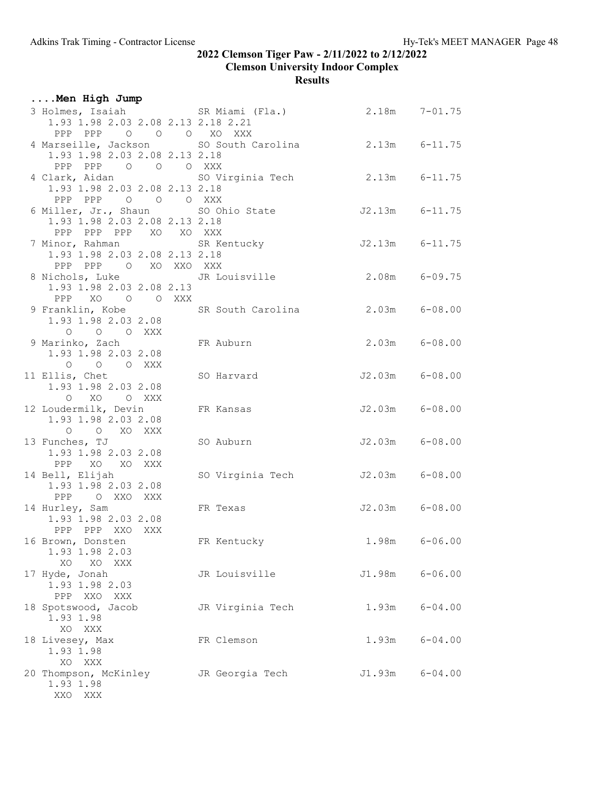| Men High Jump                                                                                                 |                  |                   |                    |
|---------------------------------------------------------------------------------------------------------------|------------------|-------------------|--------------------|
| 3 Holmes, Isaiah SR Miami (Fla.) 2.18m 7-01.75<br>1.93 1.98 2.03 2.08 2.13 2.18 2.21                          |                  |                   |                    |
| PPP PPP 0 0 0 XO XXX<br>4 Marseille, Jackson SO South Carolina 2.13m 6-11.75<br>1.93 1.98 2.03 2.08 2.13 2.18 |                  |                   |                    |
| PPP PPP 0 0 0 XXX<br>1.93 1.98 2.03 2.08 2.13 2.18                                                            |                  |                   |                    |
| PPP PPP 0 0 0 XXX<br>6 Miller, Jr., Shaun SO Ohio State<br>1.93 1.98 2.03 2.08 2.13 2.18                      |                  |                   | $J2.13m$ $6-11.75$ |
| PPP PPP PPP XO XO XXX<br>7 Minor, Rahman SR Kentucky<br>1.93 1.98 2.03 2.08 2.13 2.18                         |                  |                   | $J2.13m$ $6-11.75$ |
| PPP PPP 0 XO XXO XXX<br>1.93 1.98 2.03 2.08 2.13                                                              |                  |                   |                    |
| PPP XO O O XXX<br>9 Franklin, Kobe SR South Carolina 2.03m 6-08.00<br>1.93 1.98 2.03 2.08                     |                  |                   |                    |
| O O O XXX<br>9 Marinko, Zach<br>1.93 1.98 2.03 2.08                                                           | FR Auburn        |                   | $2.03m$ $6-08.00$  |
| O O O XXX<br>11 Ellis, Chet<br>1.93 1.98 2.03 2.08                                                            | SO Harvard       |                   | $J2.03m$ $6-08.00$ |
| O XO O XXX<br>12 Loudermilk, Devin<br>1.93 1.98 2.03 2.08                                                     | FR Kansas        |                   | $J2.03m$ $6-08.00$ |
| O O XO XXX<br>13 Funches, TJ<br>1.93 1.98 2.03 2.08                                                           | SO Auburn        |                   | $J2.03m$ $6-08.00$ |
| PPP XO XO XXX<br>14 Bell, Elijah<br>1.93 1.98 2.03 2.08                                                       | SO Virginia Tech |                   | J2.03m 6-08.00     |
| PPP O XXO XXX<br>14 Hurley, Sam<br>1.93 1.98 2.03 2.08                                                        | FR Texas         |                   | $J2.03m$ $6-08.00$ |
| PPP PPP XXO XXX<br>16 Brown, Donsten<br>1.93 1.98 2.03                                                        | FR Kentucky      | $1.98m$ $6-06.00$ |                    |
| XO<br>XO XXX<br>17 Hyde, Jonah<br>1.93 1.98 2.03                                                              | JR Louisville    | J1.98m            | $6 - 06.00$        |
| PPP XXO XXX<br>18 Spotswood, Jacob<br>1.93 1.98                                                               | JR Virginia Tech | 1.93m             | $6 - 04.00$        |
| XXX<br>XO<br>18 Livesey, Max<br>1.93 1.98                                                                     | FR Clemson       | 1.93m             | $6 - 04.00$        |
| XO<br>XXX<br>20 Thompson, McKinley<br>1.93 1.98<br>XXO XXX                                                    | JR Georgia Tech  | J1.93m            | $6 - 04.00$        |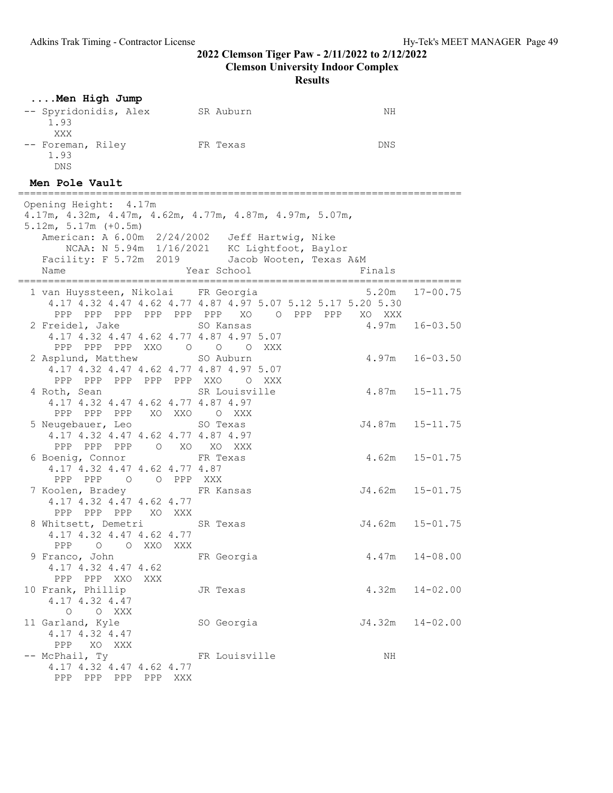Results

| Men High Jump                                                                                                                                                                                                                                                          |     |                         |                                                                                                           |                     |
|------------------------------------------------------------------------------------------------------------------------------------------------------------------------------------------------------------------------------------------------------------------------|-----|-------------------------|-----------------------------------------------------------------------------------------------------------|---------------------|
| -- Spyridonidis, Alex SR Auburn<br>1.93<br>XXX                                                                                                                                                                                                                         |     |                         | ΝH                                                                                                        |                     |
| -- Foreman, Riley FR Texas<br>1.93<br><b>DNS</b>                                                                                                                                                                                                                       |     |                         | DNS                                                                                                       |                     |
| Men Pole Vault                                                                                                                                                                                                                                                         |     |                         |                                                                                                           |                     |
| Opening Height: 4.17m<br>4.17m, 4.32m, 4.47m, 4.62m, 4.77m, 4.87m, 4.97m, 5.07m,<br>$5.12m, 5.17m (+0.5m)$<br>American: A 6.00m 2/24/2002 Jeff Hartwig, Nike<br>NCAA: N 5.94m 1/16/2021 KC Lightfoot, Baylor<br>Facility: F 5.72m 2019 Jacob Wooten, Texas A&M<br>Name |     | Year School             | Finals                                                                                                    |                     |
| 1 van Huyssteen, Nikolai FR Georgia                                                                                                                                                                                                                                    |     |                         | 4.17 4.32 4.47 4.62 4.77 4.87 4.97 5.07 5.12 5.17 5.20 5.30<br>PPP PPP PPP PPP PPP PPP XO OPPP PPP XO XXX | $5.20m$ $17-00.75$  |
| 2 Freidel, Jake<br>4.17 4.32 4.47 4.62 4.77 4.87 4.97 5.07<br>PPP PPP PPP XXO O O O XXX                                                                                                                                                                                |     | SO Kansas               |                                                                                                           | $4.97m$ $16-03.50$  |
| 2 Asplund, Matthew<br>4.17 4.32 4.47 4.62 4.77 4.87 4.97 5.07<br>PPP PPP PPP PPP PPP XXO O XXX                                                                                                                                                                         |     | SO Auburn               |                                                                                                           | $4.97m$ $16-03.50$  |
| 4 Roth, Sean<br>4.17 4.32 4.47 4.62 4.77 4.87 4.97<br>PPP PPP PPP XO XXO O XXX                                                                                                                                                                                         |     | SR Louisville           |                                                                                                           | $4.87m$ $15-11.75$  |
| 5 Neugebauer, Leo<br>4.17 4.32 4.47 4.62 4.77 4.87 4.97<br>PPP PPP PPP                                                                                                                                                                                                 |     | SO Texas<br>O XO XO XXX |                                                                                                           | J4.87m 15-11.75     |
| 6 Boenig, Connor<br>4.17 4.32 4.47 4.62 4.77 4.87<br>PPP PPP 0 0 PPP XXX                                                                                                                                                                                               |     | FR Texas                |                                                                                                           | $4.62m$ $15-01.75$  |
| 7 Koolen, Bradey<br>4.17 4.32 4.47 4.62 4.77<br>PPP PPP PPP XO XXX                                                                                                                                                                                                     |     | FR Kansas               |                                                                                                           | $J4.62m$ $15-01.75$ |
| 8 Whitsett, Demetri SR Texas<br>4.17 4.32 4.47 4.62 4.77<br>PPP<br>$\circ$<br>O XXO                                                                                                                                                                                    | XXX |                         |                                                                                                           | $J4.62m$ $15-01.75$ |
| 9 Franco, John<br>4.17 4.32 4.47 4.62<br>PPP XXO<br>PPP.<br>XXX                                                                                                                                                                                                        |     | FR Georgia              | 4.47m                                                                                                     | 14-08.00            |
| 10 Frank, Phillip<br>4.17 4.32 4.47<br>$\circ$<br>O XXX                                                                                                                                                                                                                |     | JR Texas                | 4.32m                                                                                                     | $14 - 02.00$        |
| 11 Garland, Kyle<br>4.17 4.32 4.47<br>PPP XO XXX                                                                                                                                                                                                                       |     | SO Georgia              | J4.32m                                                                                                    | 14-02.00            |
| -- McPhail, Ty<br>4.17 4.32 4.47 4.62 4.77<br>PPP PPP PPP PPP XXX                                                                                                                                                                                                      |     | FR Louisville           | ΝH                                                                                                        |                     |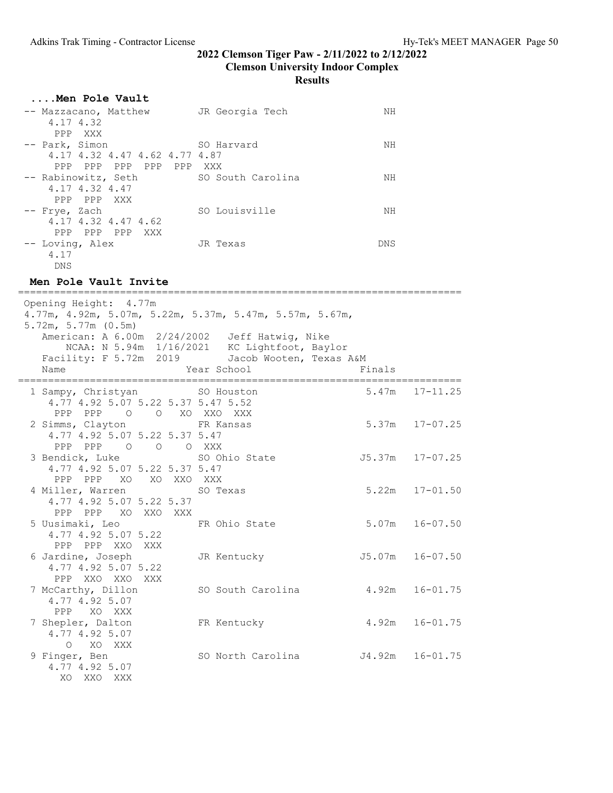| Men Pole Vault                |                   |            |
|-------------------------------|-------------------|------------|
| -- Mazzacano, Matthew         | JR Georgia Tech   | NН         |
| 4.17 4.32                     |                   |            |
| PPP XXX                       |                   |            |
| -- Park, Simon                | SO Harvard        | NΗ         |
| 4.17 4.32 4.47 4.62 4.77 4.87 |                   |            |
| PPP PPP PPP PPP PPP XXX       |                   |            |
| -- Rabinowitz, Seth           | SO South Carolina | NΗ         |
| 4.17 4.32 4.47                |                   |            |
| PPP PPP XXX                   |                   |            |
| -- Frye, Zach                 | SO Louisville     | NΗ         |
| 4.17 4.32 4.47 4.62           |                   |            |
| PPP PPP PPP XXX               |                   |            |
| -- Loving, Alex               | JR Texas          | <b>DNS</b> |
| 4.17                          |                   |            |
| DNS                           |                   |            |

#### Men Pole Vault Invite

========================================================================== Opening Height: 4.77m 4.77m, 4.92m, 5.07m, 5.22m, 5.37m, 5.47m, 5.57m, 5.67m, 5.72m, 5.77m (0.5m) American: A 6.00m 2/24/2002 Jeff Hatwig, Nike NCAA: N 5.94m 1/16/2021 KC Lightfoot, Baylor Facility: F 5.72m 2019 Jacob Wooten, Texas A&M Name The School Mame Times of the Year School School Finals ========================================================================== 1 Sampy, Christyan SO Houston 4.77 4.92 5.07 5.22 5.37 5.47 5.52 PPP PPP O O XO XXO XXX<br>2 Simms, Clayton FR Kansas FR Kansas 5.37m 17-07.25 4.77 4.92 5.07 5.22 5.37 5.47 PPP PPP O O O XXX SO Ohio State  $J5.37m$  17-07.25 4.77 4.92 5.07 5.22 5.37 5.47 PPP PPP XO XO XXO XXX 4 Miller, Warren SO Texas 5.22m 17-01.50 4.77 4.92 5.07 5.22 5.37 PPP PPP XO XXO XXX<br>5 Uusimaki, Leo FR Ohio State 5.07m 16-07.50 4.77 4.92 5.07 5.22 PPP PPP XXO XXX 6 Jardine, Joseph JR Kentucky J5.07m 16-07.50 4.77 4.92 5.07 5.22 PPP XXO XXO XXX<br>7 McCarthy, Dillon SO South Carolina 4.92m 16-01.75 4.77 4.92 5.07 PPP XO XXX 7 Shepler, Dalton FR Kentucky 4.92m 16-01.75 4.77 4.92 5.07 O XO XXX<br>9 Finger, Ben SO North Carolina  $J4.92m$  16-01.75 4.77 4.92 5.07 XO XXO XXX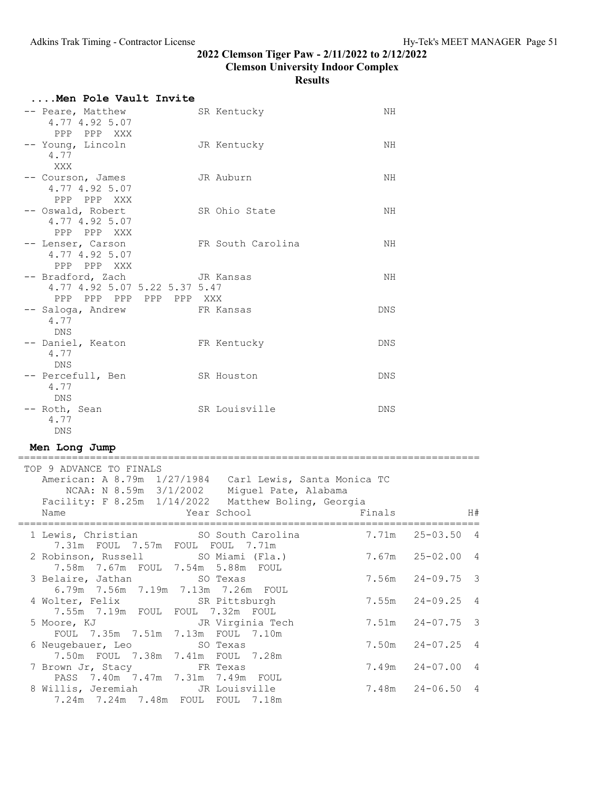Results

| Men Pole Vault Invite                                                                                                                     |                                             |        |                                |
|-------------------------------------------------------------------------------------------------------------------------------------------|---------------------------------------------|--------|--------------------------------|
| -- Peare, Matthew<br>4.77 4.92 5.07<br>PPP<br>PPP XXX                                                                                     | SR Kentucky                                 | ΝH     |                                |
| -- Young, Lincoln<br>4.77<br>XXX                                                                                                          | JR Kentucky                                 | ΝH     |                                |
| -- Courson, James<br>4.77 4.92 5.07<br>PPP PPP XXX                                                                                        | JR Auburn                                   | NH     |                                |
| -- Oswald, Robert<br>4.77 4.92 5.07<br>PPP PPP XXX                                                                                        | SR Ohio State                               | ΝH     |                                |
| -- Lenser, Carson<br>4.77 4.92 5.07<br>PPP PPP XXX                                                                                        | FR South Carolina                           | NH     |                                |
| -- Bradford, Zach<br>4.77 4.92 5.07 5.22 5.37 5.47<br>PPP PPP PPP PPP PPP XXX                                                             | JR Kansas                                   | ΝH     |                                |
| -- Saloga, Andrew<br>4.77<br>DNS                                                                                                          | FR Kansas                                   | DNS.   |                                |
| -- Daniel, Keaton<br>4.77<br>DNS                                                                                                          | FR Kentucky                                 | DNS    |                                |
| -- Percefull, Ben<br>4.77<br>DNS                                                                                                          | SR Houston                                  | DNS    |                                |
| -- Roth, Sean<br>4.77<br><b>DNS</b>                                                                                                       | SR Louisville                               | DNS    |                                |
| Men Long Jump                                                                                                                             |                                             |        |                                |
| TOP 9 ADVANCE TO FINALS<br>American: A 8.79m 1/27/1984 Carl Lewis, Santa Monica TC<br>Facility: F 8.25m 1/14/2022 Matthew Boling, Georgia | NCAA: N 8.59m 3/1/2002 Miguel Pate, Alabama |        |                                |
| Name                                                                                                                                      | Year School                                 | Finals | H#                             |
| 1 Lewis, Christian<br>7.31m  FOUL  7.57m  FOUL  FOUL  7.71m                                                                               | SO South Carolina                           | 7.71m  | $25 - 03.50$<br>4              |
| 2 Robinson, Russell SO Miami (Fla.)<br>7.58m 7.67m FOUL 7.54m 5.88m FOUL                                                                  |                                             | 7.67m  | $25 - 02.00$ 4                 |
| 3 Belaire, Jathan<br>6.79m 7.56m 7.19m 7.13m 7.26m FOUL                                                                                   | SO Texas                                    | 7.56m  | $24 - 09.75$<br>3              |
| 4 Wolter, Felix<br>7.55m 7.19m FOUL                                                                                                       | SR Pittsburgh<br>FOUL 7.32m FOUL            | 7.55m  | $24 - 09.25$<br>4              |
| 5 Moore, KJ<br>FOUL 7.35m 7.51m 7.13m FOUL 7.10m                                                                                          | JR Virginia Tech                            | 7.51m  | $24 - 07.75$<br>3              |
| 6 Neugebauer, Leo<br>7.50m FOUL 7.38m 7.41m                                                                                               | SO Texas<br>FOUL 7.28m                      | 7.50m  | $24 - 07.25$<br>$\overline{4}$ |
| 7 Brown Jr, Stacy<br>PASS 7.40m 7.47m 7.31m                                                                                               | FR Texas<br>7.49m FOUL                      | 7.49m  | $24 - 07.00$<br>4              |
| 8 Willis, Jeremiah<br>7.24m 7.24m 7.48m FOUL FOUL 7.18m                                                                                   | JR Louisville                               | 7.48m  | $24 - 06.50$<br>$\overline{4}$ |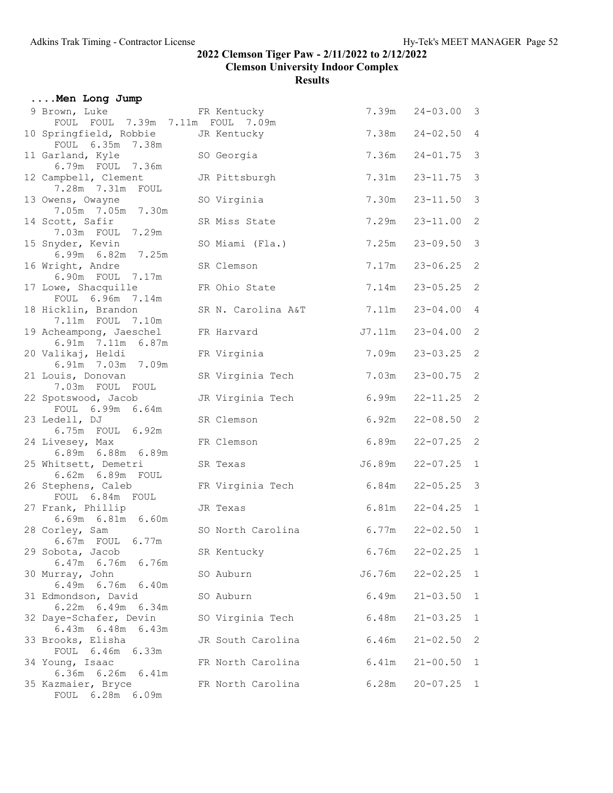| Men Long Jump                                     |                    |        |                    |                |
|---------------------------------------------------|--------------------|--------|--------------------|----------------|
| 9 Brown, Luke<br>FOUL FOUL 7.39m 7.11m FOUL 7.09m | FR Kentucky        |        | 7.39m  24-03.00  3 |                |
| 10 Springfield, Robbie<br>FOUL 6.35m<br>7.38m     | JR Kentucky        | 7.38m  | $24 - 02.50$       | $\overline{4}$ |
| 11 Garland, Kyle<br>6.79m FOUL 7.36m              | SO Georgia         | 7.36m  | $24 - 01.75$       | $\mathcal{E}$  |
| 12 Campbell, Clement<br>7.28m 7.31m FOUL          | JR Pittsburgh      | 7.31m  | $23 - 11.75$       | $\mathcal{S}$  |
| 13 Owens, Owayne<br>7.05m 7.05m 7.30m             | SO Virginia        | 7.30m  | $23 - 11.50$       | $\mathcal{E}$  |
| 14 Scott, Safir<br>7.03m FOUL 7.29m               | SR Miss State      | 7.29m  | $23 - 11.00$       | $\mathbf{2}$   |
| 15 Snyder, Kevin<br>6.99m 6.82m 7.25m             | SO Miami (Fla.)    | 7.25m  | $23 - 09.50$       | $\mathcal{E}$  |
| 16 Wright, Andre<br>6.90m FOUL 7.17m              | SR Clemson         | 7.17m  | $23 - 06.25$       | 2              |
| 17 Lowe, Shacquille<br>FOUL 6.96m 7.14m           | FR Ohio State      | 7.14m  | $23 - 05.25$       | 2              |
| 18 Hicklin, Brandon<br>7.11m FOUL 7.10m           | SR N. Carolina A&T | 7.11m  | $23 - 04.00$       | $\overline{4}$ |
| 19 Acheampong, Jaeschel<br>6.91m 7.11m 6.87m      | FR Harvard         | J7.11m | $23 - 04.00$       | 2              |
| 20 Valikaj, Heldi<br>6.91m 7.03m 7.09m            | FR Virginia        | 7.09m  | $23 - 03.25$       | 2              |
| 21 Louis, Donovan<br>7.03m FOUL FOUL              | SR Virginia Tech   | 7.03m  | $23 - 00.75$       | $\mathbf{2}$   |
| 22 Spotswood, Jacob<br>FOUL 6.99m 6.64m           | JR Virginia Tech   | 6.99m  | $22 - 11.25$       | 2              |
| 23 Ledell, DJ<br>6.75m FOUL 6.92m                 | SR Clemson         | 6.92m  | $22 - 08.50$       | $\mathbf{2}$   |
| 24 Livesey, Max<br>6.89m 6.88m 6.89m              | FR Clemson         | 6.89m  | $22 - 07.25$       | $\mathbf{2}$   |
| 25 Whitsett, Demetri<br>6.62m 6.89m FOUL          | SR Texas           | J6.89m | $22 - 07.25$       | $\mathbf{1}$   |
| 26 Stephens, Caleb<br>FOUL 6.84m FOUL             | FR Virginia Tech   | 6.84m  | $22 - 05.25$       | $\mathcal{E}$  |
| 27 Frank, Phillip<br>6.69m 6.81m 6.60m            | JR Texas           | 6.81m  | $22 - 04.25$       | $\mathbf{1}$   |
| 28 Corley, Sam<br>6.67m  FOUL  6.77m              | SO North Carolina  | 6.77m  | $22 - 02.50$ 1     |                |
| 29 Sobota, Jacob<br>6.47m 6.76m 6.76m             | SR Kentucky        | 6.76m  | $22 - 02.25$ 1     |                |
| 30 Murray, John<br>6.49m 6.76m 6.40m              | SO Auburn          | J6.76m | $22 - 02.25$       | $\overline{1}$ |
| 31 Edmondson, David<br>6.22m 6.49m 6.34m          | SO Auburn          | 6.49m  | $21 - 03.50$       | 1              |
| 32 Daye-Schafer, Devin<br>$6.43m$ $6.48m$ $6.43m$ | SO Virginia Tech   | 6.48m  | $21 - 03.25$       | $\mathbf{1}$   |
| 33 Brooks, Elisha<br>FOUL 6.46m 6.33m             | JR South Carolina  | 6.46m  | $21 - 02.50$       | 2              |
| 34 Young, Isaac<br>6.36m 6.26m 6.41m              | FR North Carolina  | 6.41m  | $21 - 00.50$       | $\mathbf{1}$   |
| 35 Kazmaier, Bryce<br>FOUL 6.28m 6.09m            | FR North Carolina  | 6.28m  | $20 - 07.25$       | $\mathbf{1}$   |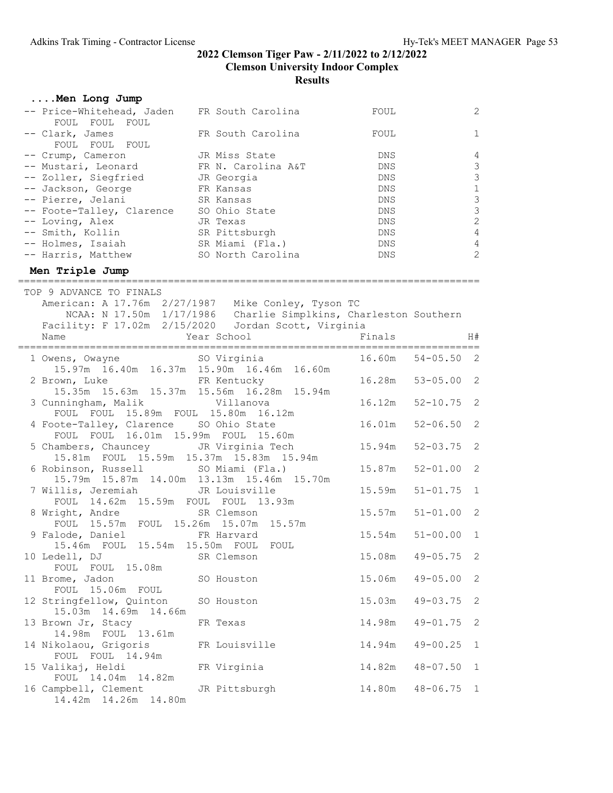| Men Long Jump                                                                                             |                                                                  |            |                |                                            |
|-----------------------------------------------------------------------------------------------------------|------------------------------------------------------------------|------------|----------------|--------------------------------------------|
| -- Price-Whitehead, Jaden FR South Carolina<br>FOUL FOUL<br>FOUL                                          |                                                                  | FOUL       |                | $\mathbf{2}$                               |
| -- Clark, James<br>FOUL FOUL FOUL                                                                         | FR South Carolina                                                | FOUL       |                | $\mathbf{1}$                               |
| -- Crump, Cameron                                                                                         | JR Miss State                                                    | DNS.       |                | 4                                          |
| -- Mustari, Leonard                                                                                       | FR N. Carolina A&T                                               | <b>DNS</b> |                | $\mathfrak{Z}$                             |
| -- Zoller, Siegfried JR Georgia                                                                           |                                                                  | DNS        |                | $\mathfrak{Z}$                             |
| <b>ER Kansas</b>                                                                                          |                                                                  | DNS        |                | $\,1\,$                                    |
| -- Jackson, George                                                                                        |                                                                  |            |                |                                            |
| -- Pierre, Jelani                                                                                         | SR Kansas                                                        | DNS        |                |                                            |
| -- Foote-Talley, Clarence SO Ohio State                                                                   |                                                                  | DNS        |                | $\begin{array}{c} 3 \\ 3 \\ 2 \end{array}$ |
| -- Loving, Alex<br>-- Loving, Alex             JR Texas<br>-- Smith, Kollin                 SR Pittsburgh | JR Texas                                                         | DNS        |                |                                            |
|                                                                                                           |                                                                  | DNS        |                | $\overline{4}$                             |
| -- Holmes, Isaiah (Fla.)                                                                                  |                                                                  | DNS        |                | $\overline{4}$                             |
| -- Harris, Matthew SO North Carolina                                                                      |                                                                  | DNS        |                | $\overline{2}$                             |
| Men Triple Jump                                                                                           |                                                                  |            |                |                                            |
| TOP 9 ADVANCE TO FINALS                                                                                   |                                                                  |            |                |                                            |
| American: A 17.76m 2/27/1987 Mike Conley, Tyson TC                                                        |                                                                  |            |                |                                            |
|                                                                                                           | NCAA: N 17.50m 1/17/1986  Charlie Simplkins, Charleston Southern |            |                |                                            |
| Facility: F 17.02m 2/15/2020 Jordan Scott, Virginia                                                       |                                                                  |            |                |                                            |
| Year School<br>Name                                                                                       |                                                                  | Finals     |                | H#                                         |
|                                                                                                           |                                                                  |            |                |                                            |
| 1 Owens, Owayne SO Virginia                                                                               |                                                                  | 16.60m     | $54 - 05.50$ 2 |                                            |
| 15.97m 16.40m 16.37m 15.90m 16.46m 16.60m                                                                 |                                                                  |            |                |                                            |
| 2 Brown, Luke FR Kentucky                                                                                 |                                                                  | 16.28m     | $53 - 05.00$ 2 |                                            |
| 15.35m  15.63m  15.37m  15.56m  16.28m  15.94m                                                            |                                                                  |            |                |                                            |
| 3 Cunningham, Malik Villanova                                                                             |                                                                  | 16.12m     | $52 - 10.75$   | 2                                          |
| FOUL FOUL 15.89m FOUL 15.80m 16.12m                                                                       |                                                                  |            |                |                                            |
|                                                                                                           |                                                                  |            |                |                                            |
| 4 Foote-Talley, Clarence SO Ohio State                                                                    |                                                                  | 16.01m     | $52 - 06.50$   | 2                                          |
| FOUL FOUL 16.01m 15.99m FOUL 15.60m                                                                       |                                                                  |            |                |                                            |
| 5 Chambers, Chauncey JR Virginia Tech                                                                     |                                                                  | 15.94m     | $52 - 03.75$   | 2                                          |
| 15.81m FOUL 15.59m 15.37m 15.83m 15.94m                                                                   |                                                                  |            |                |                                            |
| 6 Robinson, Russell SO Miami (Fla.)                                                                       |                                                                  | 15.87m     | $52 - 01.00$   | 2                                          |
| 15.79m  15.87m  14.00m  13.13m  15.46m  15.70m                                                            |                                                                  |            |                |                                            |
| 7 Willis, Jeremiah                                                                                        | JR Louisville                                                    | 15.59m     | $51 - 01.75$   | $\mathbf{1}$                               |
| FOUL 14.62m 15.59m FOUL FOUL 13.93m                                                                       |                                                                  |            |                |                                            |
| 8 Wright, Andre                                                                                           | SR Clemson                                                       | 15.57m     | $51 - 01.00$   | 2                                          |
| FOUL 15.57m FOUL 15.26m 15.07m 15.57m                                                                     |                                                                  |            |                |                                            |
| 9 Falode, Daniel<br>ER Harvard                                                                            |                                                                  | 15.54m     | $51 - 00.00$   | $\mathbf{1}$                               |
| 15.46m FOUL 15.54m                                                                                        | 15.50m FOUL<br>FOUL                                              |            |                |                                            |
| 10 Ledell, DJ                                                                                             | SR Clemson                                                       | 15.08m     | $49 - 05.75$   | $\overline{\phantom{0}}^2$                 |
| FOUL FOUL 15.08m                                                                                          |                                                                  |            |                |                                            |
|                                                                                                           |                                                                  | 15.06m     | $49 - 05.00$   | $\mathbf{2}$                               |
| 11 Brome, Jadon                                                                                           | SO Houston                                                       |            |                |                                            |
| FOUL 15.06m FOUL                                                                                          |                                                                  |            |                |                                            |
| 12 Stringfellow, Quinton                                                                                  | SO Houston                                                       | 15.03m     | $49 - 03.75$   | $\mathbf{2}$                               |
| 15.03m  14.69m  14.66m                                                                                    |                                                                  |            |                |                                            |
| 13 Brown Jr, Stacy                                                                                        | FR Texas                                                         | 14.98m     | $49 - 01.75$   | $\mathbf{2}$                               |
| 14.98m FOUL 13.61m                                                                                        |                                                                  |            |                |                                            |
| 14 Nikolaou, Grigoris                                                                                     | FR Louisville                                                    | 14.94m     | $49 - 00.25$   | $\mathbf{1}$                               |
| FOUL FOUL 14.94m                                                                                          |                                                                  |            |                |                                            |
| 15 Valikaj, Heldi                                                                                         | FR Virginia                                                      | 14.82m     | $48 - 07.50$   | $\mathbf{1}$                               |
| FOUL 14.04m 14.82m                                                                                        |                                                                  |            |                |                                            |
| 16 Campbell, Clement                                                                                      | JR Pittsburgh                                                    | 14.80m     | $48 - 06.75$   | 1                                          |
| 14.42m  14.26m  14.80m                                                                                    |                                                                  |            |                |                                            |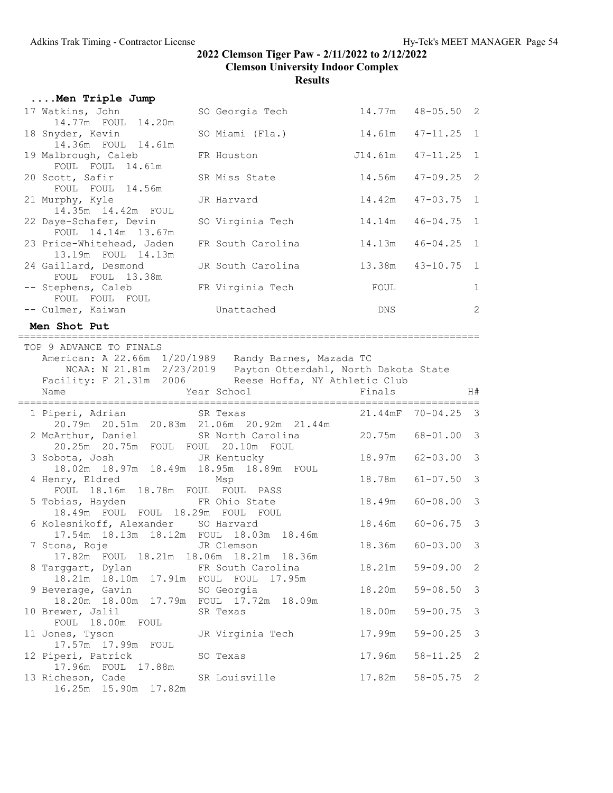| Men Triple Jump                                 |                   |      |                       |              |
|-------------------------------------------------|-------------------|------|-----------------------|--------------|
| 17 Watkins, John<br>14.77m FOUL 14.20m          | SO Georgia Tech   |      | $14.77m$ $48-05.50$ 2 |              |
| 18 Snyder, Kevin<br>14.36m FOUL 14.61m          | SO Miami (Fla.)   |      | $14.61m$ $47-11.25$ 1 |              |
| 19 Malbrough, Caleb                             | FR Houston        |      | J14.61m 47-11.25 1    |              |
| FOUL FOUL 14.61m<br>20 Scott, Safir             | SR Miss State     |      | $14.56m$ $47-09.25$ 2 |              |
| FOUL FOUL 14.56m<br>21 Murphy, Kyle             | JR Harvard        |      | $14.42m$ $47-03.75$ 1 |              |
| 14.35m 14.42m FOUL<br>22 Daye-Schafer, Devin    | SO Virginia Tech  |      | $14.14m$ $46-04.75$ 1 |              |
| FOUL 14.14m 13.67m<br>23 Price-Whitehead, Jaden | FR South Carolina |      | $14.13m$ $46-04.25$ 1 |              |
| 13.19m FOUL 14.13m<br>24 Gaillard, Desmond      | JR South Carolina |      | 13.38m  43-10.75  1   |              |
| FOUL FOUL 13.38m<br>-- Stephens, Caleb          | FR Virginia Tech  | FOUL |                       | $\mathbf{1}$ |
| FOUL FOUL FOUL<br>-- Culmer, Kaiwan             | Unattached        | DNS  |                       | 2            |

#### Men Shot Put

| TOP 9 ADVANCE TO FINALS                      |                                                                       |                   |                                |               |
|----------------------------------------------|-----------------------------------------------------------------------|-------------------|--------------------------------|---------------|
|                                              | American: A 22.66m 1/20/1989 Randy Barnes, Mazada TC                  |                   |                                |               |
|                                              | NCAA: N 21.81m 2/23/2019 Payton Otterdahl, North Dakota State         |                   |                                |               |
|                                              | Facility: F 21.31m 2006 Reese Hoffa, NY Athletic Club                 |                   |                                |               |
| Name                                         |                                                                       | Finals            |                                | H#            |
|                                              |                                                                       |                   |                                |               |
| 1 Piperi, Adrian SR Texas                    |                                                                       |                   | $21.44 \text{mF}$ $70-04.25$ 3 |               |
|                                              | 20.79m  20.51m  20.83m  21.06m  20.92m  21.44m                        |                   |                                |               |
| 2 McArthur, Daniel SR North Carolina         |                                                                       | 20.75m 68-01.00 3 |                                |               |
| 20.25m  20.75m  FOUL  FOUL  20.10m  FOUL     |                                                                       |                   |                                |               |
|                                              | 3 Sobota, Josh JR Kentucky<br>18.02m 18.97m 18.49m 18.95m 18.89m FOUL | 18.97m            | $62 - 03.00$ 3                 |               |
|                                              |                                                                       |                   |                                |               |
| 4 Henry, Eldred Msp                          |                                                                       | 18.78m            | $61 - 07.50$                   | $\mathcal{S}$ |
| FOUL 18.16m 18.78m FOUL FOUL PASS            |                                                                       |                   |                                |               |
| 5 Tobias, Hayden FR Ohio State               | 18.49m                                                                |                   | $60 - 08.00$ 3                 |               |
| 18.49m FOUL FOUL 18.29m FOUL FOUL            |                                                                       |                   |                                |               |
| 6 Kolesnikoff, Alexander SO Harvard          |                                                                       | 18.46m            | $60 - 06.75$ 3                 |               |
| 17.54m  18.13m  18.12m  FOUL  18.03m  18.46m |                                                                       |                   |                                |               |
| 7 Stona, Roje           JR Clemson           |                                                                       | 18.36m            | $60 - 03.00$                   | $\mathcal{S}$ |
| 17.82m FOUL 18.21m 18.06m 18.21m 18.36m      |                                                                       |                   |                                |               |
| 8 Targgart, Dylan North Carolina             |                                                                       | 18.21m            | $59 - 09.00$                   | 2             |
| 18.21m 18.10m 17.91m FOUL FOUL 17.95m        |                                                                       |                   |                                |               |
| 9 Beverage, Gavin SO Georgia                 |                                                                       | 18.20m            | $59 - 08.50$ 3                 |               |
| 18.20m 18.00m 17.79m FOUL 17.72m 18.09m      |                                                                       |                   |                                |               |
| 10 Brewer, Jalil SR Texas                    |                                                                       | 18.00m            | $59 - 00.75$ 3                 |               |
| FOUL 18.00m FOUL                             |                                                                       |                   |                                |               |
|                                              | 11 Jones, Tyson JR Virginia Tech                                      | 17.99m            | $59 - 00.25$                   | $\mathcal{S}$ |
| 17.57m  17.99m  FOUL                         |                                                                       |                   |                                |               |
| 12 Piperi, Patrick SO Texas                  |                                                                       | 17.96m            | $58 - 11.25$ 2                 |               |
| 17.96m FOUL 17.88m                           |                                                                       |                   |                                |               |
|                                              | 13 Richeson, Cade SR Louisville                                       | 17.82m            | $58 - 05.75$ 2                 |               |
| 16.25m  15.90m  17.82m                       |                                                                       |                   |                                |               |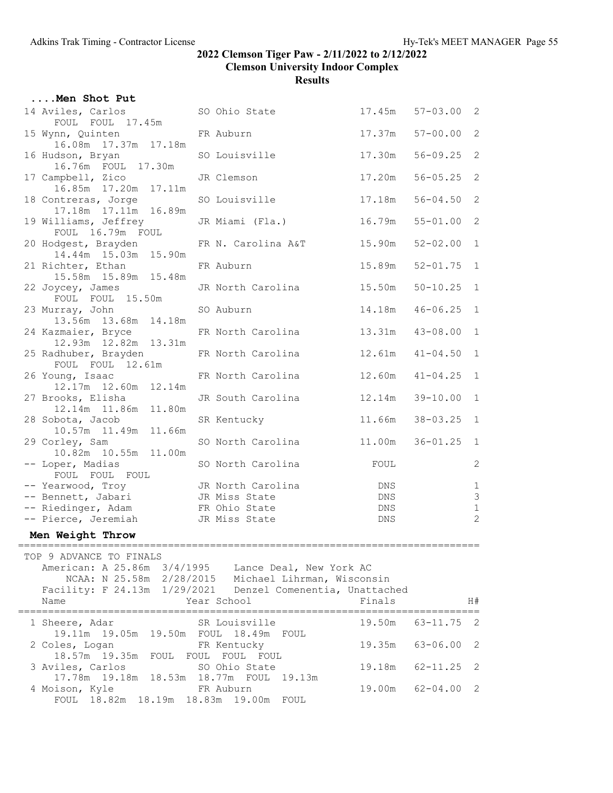|                                                                                                                                                                                                                          | Men Shot Put                                                 |  |                    |                 |                 |                            |  |  |  |
|--------------------------------------------------------------------------------------------------------------------------------------------------------------------------------------------------------------------------|--------------------------------------------------------------|--|--------------------|-----------------|-----------------|----------------------------|--|--|--|
|                                                                                                                                                                                                                          | 14 Aviles, Carlos<br>FOUL FOUL 17.45m                        |  | SO Ohio State      | 17.45m          | $57 - 03.00$ 2  |                            |  |  |  |
|                                                                                                                                                                                                                          | 15 Wynn, Quinten<br>16.08m  17.37m  17.18m                   |  | FR Auburn          | 17.37m          | $57 - 00.00$    | 2                          |  |  |  |
|                                                                                                                                                                                                                          | 16 Hudson, Bryan                                             |  | SO Louisville      | 17.30m          | $56 - 09.25$    | 2                          |  |  |  |
|                                                                                                                                                                                                                          | 16.76m FOUL 17.30m<br>17 Campbell, Zico                      |  | JR Clemson         | 17.20m          | $56 - 05.25$    | $\mathbf{2}$               |  |  |  |
|                                                                                                                                                                                                                          | 16.85m  17.20m  17.11m<br>18 Contreras, Jorge                |  | SO Louisville      | 17.18m          | $56 - 04.50$    | 2                          |  |  |  |
|                                                                                                                                                                                                                          | 17.18m  17.11m  16.89m<br>19 Williams, Jeffrey               |  | JR Miami (Fla.)    | 16.79m          | $55 - 01.00$    | $\mathbf{2}$               |  |  |  |
|                                                                                                                                                                                                                          | FOUL 16.79m FOUL<br>20 Hodgest, Brayden                      |  | FR N. Carolina A&T | 15.90m          | $52 - 02.00$    | $\mathbf{1}$               |  |  |  |
|                                                                                                                                                                                                                          | 14.44m 15.03m 15.90m<br>21 Richter, Ethan                    |  | FR Auburn          | 15.89m          | $52 - 01.75$    | $\mathbf{1}$               |  |  |  |
|                                                                                                                                                                                                                          | 15.58m  15.89m  15.48m<br>22 Joycey, James                   |  | JR North Carolina  | 15.50m          | $50 - 10.25$    | 1                          |  |  |  |
|                                                                                                                                                                                                                          | FOUL FOUL 15.50m<br>23 Murray, John                          |  | SO Auburn          | 14.18m          | $46 - 06.25$    | $\mathbf{1}$               |  |  |  |
|                                                                                                                                                                                                                          | 13.56m  13.68m  14.18m<br>24 Kazmaier, Bryce                 |  | FR North Carolina  | 13.31m          | $43 - 08.00$    | $\mathbf{1}$               |  |  |  |
|                                                                                                                                                                                                                          | 12.93m  12.82m  13.31m<br>25 Radhuber, Brayden               |  | FR North Carolina  | 12 <b>.</b> 61m | $41 - 04.50$    | $\mathbf{1}$               |  |  |  |
|                                                                                                                                                                                                                          | FOUL FOUL 12.61m<br>26 Young, Isaac                          |  | FR North Carolina  | 12.60m          | $41 - 04.25$    | $\mathbf{1}$               |  |  |  |
|                                                                                                                                                                                                                          | 12.17m  12.60m  12.14m<br>27 Brooks, Elisha                  |  | JR South Carolina  | 12.14m          | $39 - 10.00$    | $\mathbf{1}$               |  |  |  |
|                                                                                                                                                                                                                          | 12.14m  11.86m  11.80m                                       |  |                    | 11.66m          | $38 - 03.25$    | 1                          |  |  |  |
|                                                                                                                                                                                                                          | 28 Sobota, Jacob<br>10.57m  11.49m  11.66m                   |  | SR Kentucky        |                 |                 |                            |  |  |  |
|                                                                                                                                                                                                                          | 29 Corley, Sam<br>10.82m  10.55m<br>11.00m                   |  | SO North Carolina  | 11.00m          | $36 - 01.25$    | $\mathbf{1}$               |  |  |  |
|                                                                                                                                                                                                                          | -- Loper, Madias<br>FOUL FOUL FOUL                           |  | SO North Carolina  | FOUL            |                 | $\mathbf{2}$               |  |  |  |
|                                                                                                                                                                                                                          | -- Yearwood, Troy                                            |  | JR North Carolina  | DNS             |                 | $1\,$                      |  |  |  |
|                                                                                                                                                                                                                          | -- Bennett, Jabari                                           |  | JR Miss State      | <b>DNS</b>      |                 | $\mathsf 3$                |  |  |  |
|                                                                                                                                                                                                                          | -- Riedinger, Adam                                           |  | FR Ohio State      | DNS             |                 | $\mathbf 1$                |  |  |  |
|                                                                                                                                                                                                                          | -- Pierce, Jeremiah                                          |  | JR Miss State      | DNS             |                 | $\overline{c}$             |  |  |  |
|                                                                                                                                                                                                                          | Men Weight Throw                                             |  |                    |                 |                 |                            |  |  |  |
| TOP 9 ADVANCE TO FINALS<br>American: A 25.86m 3/4/1995 Lance Deal, New York AC<br>NCAA: N 25.58m 2/28/2015 Michael Lihrman, Wisconsin<br>Facility: F 24.13m 1/29/2021 Denzel Comenentia, Unattached<br>H#<br>Year School |                                                              |  |                    |                 |                 |                            |  |  |  |
|                                                                                                                                                                                                                          | Name                                                         |  |                    | Finals          |                 |                            |  |  |  |
|                                                                                                                                                                                                                          | 1 Sheere, Adar<br>19.11m  19.05m  19.50m  FOUL  18.49m  FOUL |  | SR Louisville      | 19.50m          | $63 - 11.75$    | $\overline{\phantom{0}}^2$ |  |  |  |
|                                                                                                                                                                                                                          | 2 Coles, Logan<br>18.57m 19.35m FOUL FOUL FOUL FOUL          |  | FR Kentucky        |                 | 19.35m 63-06.00 | $\overline{2}$             |  |  |  |

3 Aviles, Carlos SO Ohio State 19.18m 62-11.25 2

 17.78m 19.18m 18.53m 18.77m FOUL 19.13m 4 Moison, Kyle FR Auburn 19.00m 62-04.00 2 FOUL 18.82m 18.19m 18.83m 19.00m FOUL

3 Aviles, Carlos 60 SO Ohio State